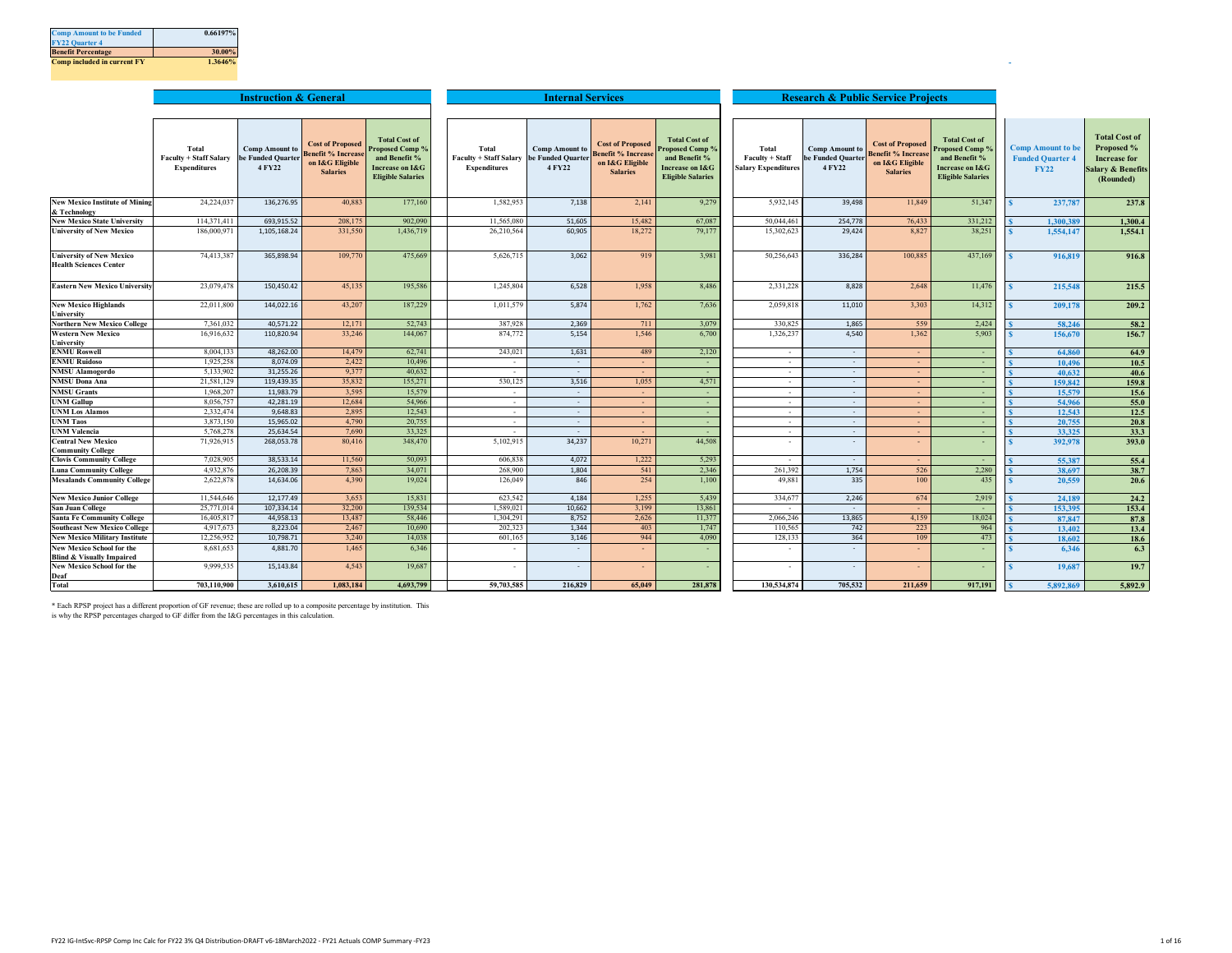| <b>Comp Amount to be Funded</b>    | 0.66197% |
|------------------------------------|----------|
| <b>FY22 Quarter 4</b>              |          |
| <b>Benefit Percentage</b>          | 30.00%   |
| <b>Comp included in current FY</b> | 1.3646%  |

|                                                                  |                                                               | <b>Instruction &amp; General</b>                     |                                                                                           |                                                                                                                           |                                                                          | <b>Internal Services</b>        |                                                                                            |                                                                                                                           |                                                        | <b>Research &amp; Public Service Projects</b>        |                                                                                            |                                                                                                        |                                                                    |                                                                                                        |
|------------------------------------------------------------------|---------------------------------------------------------------|------------------------------------------------------|-------------------------------------------------------------------------------------------|---------------------------------------------------------------------------------------------------------------------------|--------------------------------------------------------------------------|---------------------------------|--------------------------------------------------------------------------------------------|---------------------------------------------------------------------------------------------------------------------------|--------------------------------------------------------|------------------------------------------------------|--------------------------------------------------------------------------------------------|--------------------------------------------------------------------------------------------------------|--------------------------------------------------------------------|--------------------------------------------------------------------------------------------------------|
|                                                                  |                                                               |                                                      |                                                                                           |                                                                                                                           |                                                                          |                                 |                                                                                            |                                                                                                                           |                                                        |                                                      |                                                                                            |                                                                                                        |                                                                    |                                                                                                        |
|                                                                  | Total<br><b>Faculty + Staff Salary</b><br><b>Expenditures</b> | <b>Comp Amount to</b><br>be Funded Quarter<br>4 FY22 | <b>Cost of Proposed</b><br><b>Benefit % Increas</b><br>on I&G Eligible<br><b>Salaries</b> | <b>Total Cost of</b><br><b>Proposed Comp %</b><br>and Benefit %<br><b>Increase on I&amp;G</b><br><b>Eligible Salaries</b> | Total<br>Faculty + Staff Salary be Funded Quarter<br><b>Expenditures</b> | <b>Comp Amount to</b><br>4 FY22 | <b>Cost of Proposed</b><br><b>Benefit % Increase</b><br>on I&G Eligible<br><b>Salaries</b> | <b>Total Cost of</b><br><b>Proposed Comp %</b><br>and Benefit %<br><b>Increase on I&amp;G</b><br><b>Eligible Salaries</b> | Total<br>Faculty + Staff<br><b>Salary Expenditures</b> | <b>Comp Amount to</b><br>be Funded Quarter<br>4 FY22 | <b>Cost of Proposed</b><br><b>Benefit % Increase</b><br>on I&G Eligible<br><b>Salaries</b> | <b>Total Cost of</b><br>Proposed Comp?<br>and Benefit %<br>Increase on I&G<br><b>Eligible Salaries</b> | <b>Comp Amount to be</b><br><b>Funded Quarter 4</b><br><b>FY22</b> | <b>Total Cost of</b><br>Proposed %<br><b>Increase for</b><br><b>Salary &amp; Benefits</b><br>(Rounded) |
| <b>New Mexico Institute of Mining</b>                            | 24,224,037                                                    | 136,276.95                                           | 40,883                                                                                    | 177,160                                                                                                                   | 1,582,953                                                                | 7,138                           | 2,141                                                                                      | 9,279                                                                                                                     | 5,932,145                                              | 39,498                                               | 11,849                                                                                     | 51,347                                                                                                 | 237,787                                                            | 237.8                                                                                                  |
| & Technology                                                     |                                                               |                                                      |                                                                                           |                                                                                                                           |                                                                          |                                 |                                                                                            |                                                                                                                           |                                                        |                                                      |                                                                                            |                                                                                                        |                                                                    |                                                                                                        |
| <b>New Mexico State University</b>                               | 114,371,411                                                   | 693,915.52                                           | 208,175                                                                                   | 902,090                                                                                                                   | 11,565,080                                                               | 51,605                          | 15,482                                                                                     | 67,087                                                                                                                    | 50,044,461                                             | 254,778                                              | 76,433                                                                                     | 331,212                                                                                                | 1,300,389                                                          | 1,300.4                                                                                                |
| <b>University of New Mexico</b>                                  | 186,000,971                                                   | 1,105,168.24                                         | 331,550                                                                                   | 1,436,719                                                                                                                 | 26,210,564                                                               | 60,905                          | 18,272                                                                                     | 79,177                                                                                                                    | 15,302,623                                             | 29,424                                               | 8,827                                                                                      | 38,251                                                                                                 | 1,554,147                                                          | 1,554.1                                                                                                |
| <b>University of New Mexico</b><br><b>Health Sciences Center</b> | 74,413,387                                                    | 365,898.94                                           | 109,770                                                                                   | 475,669                                                                                                                   | 5,626,715                                                                | 3,062                           | 919                                                                                        | 3,981                                                                                                                     | 50,256,643                                             | 336,284                                              | 100,885                                                                                    | 437,169                                                                                                | 916,819                                                            | 916.8                                                                                                  |
| <b>Eastern New Mexico University</b>                             | 23,079,478                                                    | 150,450.42                                           | 45,135                                                                                    | 195,586                                                                                                                   | 1,245,804                                                                | 6,528                           | 1,958                                                                                      | 8,486                                                                                                                     | 2,331,228                                              | 8,828                                                | 2,648                                                                                      | 11,476                                                                                                 | 215,548                                                            | 215.5                                                                                                  |
| <b>New Mexico Highlands</b><br>University                        | 22,011,800                                                    | 144,022.16                                           | 43,207                                                                                    | 187,229                                                                                                                   | 1,011,579                                                                | 5,874                           | 1,762                                                                                      | 7,636                                                                                                                     | 2.059.818                                              | 11,010                                               | 3,303                                                                                      | 14,312                                                                                                 | 209,178                                                            | 209.2                                                                                                  |
| <b>Northern New Mexico College</b>                               | 7,361,032                                                     | 40,571.22                                            | 12,171                                                                                    | 52,743                                                                                                                    | 387,928                                                                  | 2,369                           | 711                                                                                        | 3,079                                                                                                                     | 330,825                                                | 1,865                                                | 559                                                                                        | 2,424                                                                                                  | 58,246                                                             | 58.2                                                                                                   |
| <b>Western New Mexico</b><br>University                          | 16,916,632                                                    | 110,820.94                                           | 33,246                                                                                    | 144,067                                                                                                                   | 874,772                                                                  | 5,154                           | 1,546                                                                                      | 6,700                                                                                                                     | 1,326,237                                              | 4,540                                                | 1,362                                                                                      | 5,903                                                                                                  | 156,670                                                            | 156.7                                                                                                  |
| <b>ENMU Roswell</b>                                              | 8,004,133                                                     | 48.262.00                                            | 14,479                                                                                    | 62,741                                                                                                                    | 243,021                                                                  | 1,631                           | 489                                                                                        | 2,120                                                                                                                     | $\sim$                                                 | $\sim$                                               | $\blacksquare$                                                                             | $\sim$                                                                                                 | 64,860                                                             | 64.9                                                                                                   |
| <b>ENMU Ruidoso</b>                                              | 1,925,258                                                     | 8.074.09                                             | 2,422                                                                                     | 10.496                                                                                                                    | $\sim$                                                                   | $\sim$                          | $\sim$                                                                                     | $\sim$                                                                                                                    | $\sim$                                                 | $\sim$                                               |                                                                                            | $\sim$                                                                                                 | 10,496                                                             | 10.5                                                                                                   |
| <b>NMSU Alamogordo</b>                                           | 5,133,902                                                     | 31,255.26                                            | 9,377                                                                                     | 40.632                                                                                                                    | $\sim$                                                                   | $\sim$                          | $\sim$                                                                                     | $\sim$                                                                                                                    | $\sim$                                                 | $\sim$                                               | $\sim$                                                                                     | $\sim$                                                                                                 | 40.632                                                             | 40.6                                                                                                   |
| <b>NMSU Dona Ana</b>                                             | 21,581,129                                                    | 119,439.35                                           | 35,832                                                                                    | 155,271                                                                                                                   | 530,125                                                                  | 3,516                           | 1,055                                                                                      | 4,571                                                                                                                     | $\sim$                                                 | $\sim$                                               | $\sim$                                                                                     | $\sim$                                                                                                 | 159,842                                                            | 159.8                                                                                                  |
| <b>NMSU Grants</b>                                               | 1,968,207                                                     | 11,983.79                                            | 3,595                                                                                     | 15,579                                                                                                                    | $\sim$                                                                   | $\sim$                          | $\sim$                                                                                     | $\sim$                                                                                                                    | $\sim$                                                 | $\sim$                                               | $\sim$                                                                                     | $\sim$                                                                                                 | 15,579                                                             | 15.6                                                                                                   |
| <b>UNM Gallup</b>                                                | 8,056,757                                                     | 42,281.19                                            | 12,684                                                                                    | 54,966                                                                                                                    | $\sim$                                                                   | $\sim$                          | $\sim$                                                                                     | $\sim$                                                                                                                    | $\sim$                                                 | $\sim$                                               | $\sim$                                                                                     | $\sim$                                                                                                 | 54,966                                                             | 55.0                                                                                                   |
| <b>UNM Los Alamos</b>                                            | 2,332,474                                                     | 9.648.83                                             | 2,895                                                                                     | 12.543                                                                                                                    | $\sim$                                                                   | $\sim$                          | $\sim$                                                                                     | $\sim$                                                                                                                    | $\sim$                                                 | $\sim$                                               | ×.                                                                                         | $\sim$                                                                                                 | 12,543                                                             | 12.5                                                                                                   |
| <b>UNM Taos</b>                                                  | 3,873,150                                                     | 15,965.02                                            | 4,790                                                                                     | 20,755                                                                                                                    | $\sim$                                                                   | $\sim$                          | $\sim$                                                                                     | $\sim$                                                                                                                    | $\sim$                                                 | $\sim$                                               | $\mathbf{r}$                                                                               | $\sim$                                                                                                 | 20,755                                                             | 20.8                                                                                                   |
| <b>UNM Valencia</b>                                              | 5,768,278                                                     | 25,634.54                                            | 7,690                                                                                     | 33,325                                                                                                                    | $\sim$                                                                   | $\sim$                          | $\sim$                                                                                     | $\sim$                                                                                                                    | $\sim$                                                 | $\sim$                                               | $\sim$                                                                                     | $\sim$                                                                                                 | 33.325                                                             | 33.3                                                                                                   |
| <b>Central New Mexico</b><br><b>Community College</b>            | 71,926,915                                                    | 268,053.78                                           | 80,416                                                                                    | 348,470                                                                                                                   | 5,102,915                                                                | 34,237                          | 10,271                                                                                     | 44,508                                                                                                                    | $\sim$                                                 |                                                      | $\overline{\phantom{a}}$                                                                   | ×.                                                                                                     | 392,978                                                            | 393.0                                                                                                  |
| <b>Clovis Community College</b>                                  | 7.028.905                                                     | 38.533.14                                            | 11,560                                                                                    | 50,093                                                                                                                    | 606,838                                                                  | 4.072                           | 1,222                                                                                      | 5,293                                                                                                                     | . .                                                    | $\sim$                                               | $\sim$                                                                                     | $\sim$                                                                                                 | 55,387                                                             | 55.4                                                                                                   |
| <b>Luna Community College</b>                                    | 4,932,876                                                     | 26,208.39                                            | 7,863                                                                                     | 34,071                                                                                                                    | 268,900                                                                  | 1,804                           | 541                                                                                        | 2,346                                                                                                                     | 261,392                                                | 1,754                                                | 526                                                                                        | 2,280                                                                                                  | 38,697                                                             | 38.7                                                                                                   |
| <b>Mesalands Community College</b>                               | 2,622,878                                                     | 14,634.06                                            | 4,390                                                                                     | 19,024                                                                                                                    | 126,049                                                                  | 846                             | 254                                                                                        | 1,100                                                                                                                     | 49,881                                                 | 335                                                  | 100                                                                                        | 435                                                                                                    | 20,559                                                             | 20.6                                                                                                   |
| <b>New Mexico Junior College</b>                                 | 11,544,646                                                    | 12.177.49                                            | 3,653                                                                                     | 15,831                                                                                                                    | 623,542                                                                  | 4,184                           | 1,255                                                                                      | 5,439                                                                                                                     | 334,677                                                | 2,246                                                | 674                                                                                        | 2,919                                                                                                  | 24,189                                                             | 24.2                                                                                                   |
| <b>San Juan College</b>                                          | 25,771,014                                                    | 107.334.14                                           | 32,200                                                                                    | 139.534                                                                                                                   | 1.589.021                                                                | 10,662                          | 3.199                                                                                      | 13,861                                                                                                                    | $\sim$                                                 | $\sim$                                               |                                                                                            | $\sim$                                                                                                 | 153,395                                                            | 153.4                                                                                                  |
| <b>Santa Fe Community College</b>                                | 16,405,817                                                    | 44.958.13                                            | 13,487                                                                                    | 58,446                                                                                                                    | 1,304,291                                                                | 8,752                           | 2,626                                                                                      | 11,377                                                                                                                    | 2,066,246                                              | 13,865                                               | 4,159                                                                                      | 18,024                                                                                                 | 87,847                                                             | 87.8                                                                                                   |
| <b>Southeast New Mexico College</b>                              | 4,917,673                                                     | 8,223.04                                             | 2,467                                                                                     | 10,690                                                                                                                    | 202,323                                                                  | 1,344                           | 403                                                                                        | 1,747                                                                                                                     | 110,565                                                | 742                                                  | 223                                                                                        | 964                                                                                                    | 13,402                                                             | 13.4                                                                                                   |
| <b>New Mexico Military Institute</b>                             | 12,256,952                                                    | 10,798.71                                            | 3,240                                                                                     | 14,038                                                                                                                    | 601,165                                                                  | 3,146                           | 944                                                                                        | 4,090                                                                                                                     | 128,133                                                | 364                                                  | 109                                                                                        | 473                                                                                                    | 18,602                                                             | 18.6                                                                                                   |
| <b>New Mexico School for the</b>                                 | 8,681,653                                                     | 4,881.70                                             | 1,465                                                                                     | 6,346                                                                                                                     |                                                                          | ٠                               |                                                                                            |                                                                                                                           |                                                        |                                                      |                                                                                            |                                                                                                        | 6.346                                                              | 6.3                                                                                                    |
| <b>Blind &amp; Visually Impaired</b>                             |                                                               |                                                      |                                                                                           |                                                                                                                           |                                                                          |                                 |                                                                                            |                                                                                                                           |                                                        |                                                      |                                                                                            |                                                                                                        |                                                                    |                                                                                                        |
| <b>New Mexico School for the</b><br>Deaf                         | 9,999,535                                                     | 15,143.84                                            | 4,543                                                                                     | 19,687                                                                                                                    |                                                                          | $\overline{\phantom{a}}$        | $\sim$                                                                                     |                                                                                                                           | $\sim$                                                 |                                                      | $\overline{\phantom{a}}$                                                                   | $\sim$                                                                                                 | 19,687                                                             | 19.7                                                                                                   |
| <b>Total</b>                                                     | 703,110,900                                                   | 3,610,615                                            | 1,083,184                                                                                 | 4,693,799                                                                                                                 | 59,703,585                                                               | 216,829                         | 65.049                                                                                     | 281,878                                                                                                                   | 130.534.874                                            | 705,532                                              | 211,659                                                                                    | 917,191                                                                                                | 5,892,869                                                          | 5.892.9                                                                                                |

\* Each RPSP project has a different proportion of GF revenue; these are rolled up to a composite percentage by institution. This is why the RPSP percentages charged to GF differ from the I&G percentages in this calculation.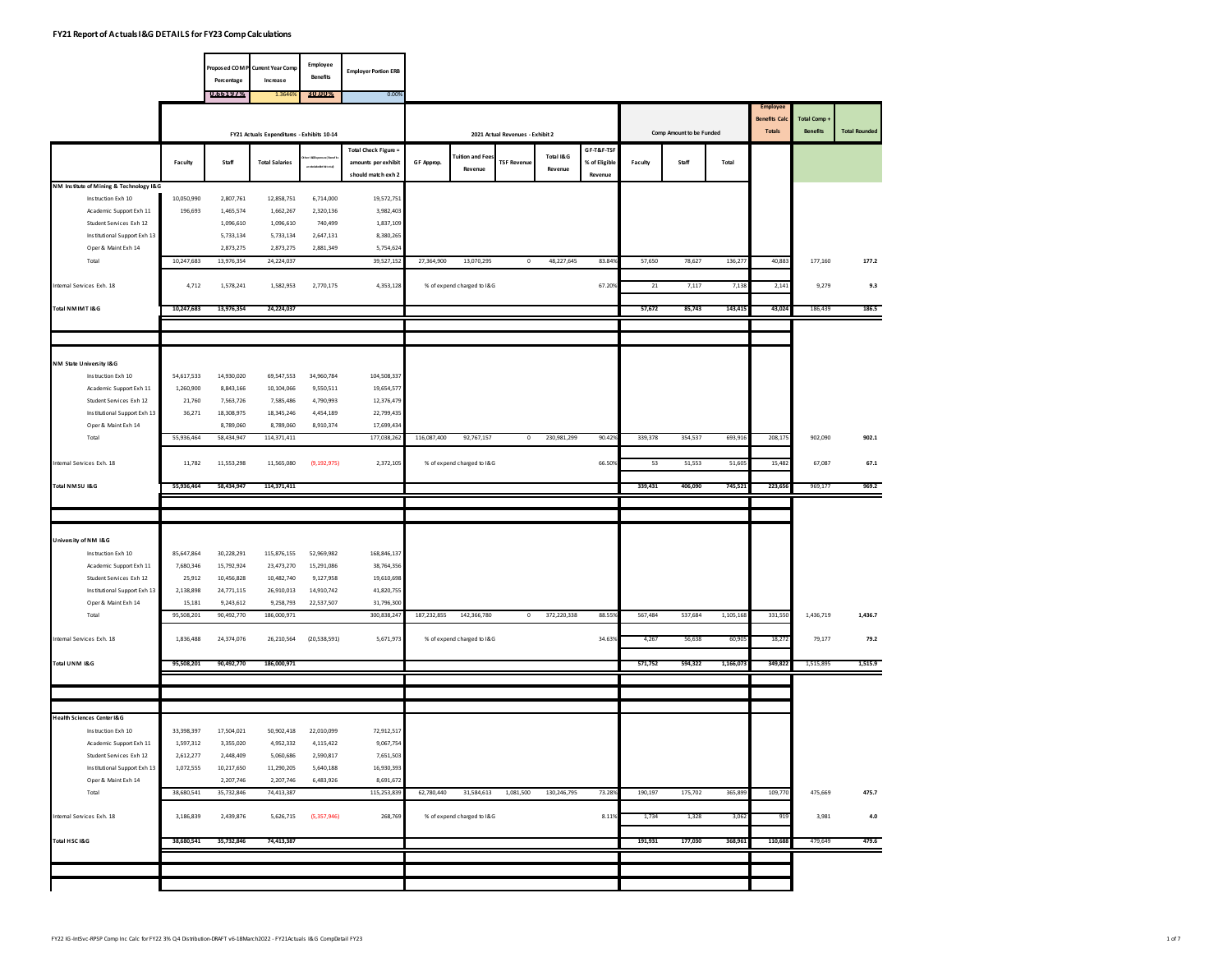|                                                             |            |                        | Proposed COMP Current Year Comp            | Employee             |                                           |             |                            |                                  |             |                          |         |                          |           |                                      |                                 |                      |
|-------------------------------------------------------------|------------|------------------------|--------------------------------------------|----------------------|-------------------------------------------|-------------|----------------------------|----------------------------------|-------------|--------------------------|---------|--------------------------|-----------|--------------------------------------|---------------------------------|----------------------|
|                                                             |            | Percentage             | Increase                                   | <b>Benefits</b>      | <b>Employer Portion ERB</b>               |             |                            |                                  |             |                          |         |                          |           |                                      |                                 |                      |
|                                                             |            | 0.66197%               | 1.3646                                     | 30.00%               | 0.00%                                     |             |                            |                                  |             |                          |         |                          |           |                                      |                                 |                      |
|                                                             |            |                        |                                            |                      |                                           |             |                            |                                  |             |                          |         |                          |           | <b>Employee</b>                      |                                 |                      |
|                                                             |            |                        |                                            |                      |                                           |             |                            |                                  |             |                          |         |                          |           | <b>Benefits Cal</b><br><b>Totals</b> | Total Comp +<br><b>Benefits</b> | <b>Total Rounded</b> |
|                                                             |            |                        | FY21 Actuals Expenditures - Exhibits 10-14 |                      |                                           |             |                            | 2021 Actual Revenues - Exhibit 2 |             |                          |         | Comp Amount to be Funded |           |                                      |                                 |                      |
|                                                             |            |                        |                                            |                      | Total Check Figure =                      |             | <b>Tuition and Fee:</b>    |                                  | Total I&G   | GF-T&F-TSF               |         |                          |           |                                      |                                 |                      |
|                                                             | Faculty    | Staff                  | <b>Total Salaries</b>                      | reicidedichiteta     | amounts per exhibit<br>should match exh 2 | GF Approp.  | Revenue                    | <b>TSF Revenue</b>               | Revenue     | % of Eligible<br>Revenue | Faculty | Staff                    | Total     |                                      |                                 |                      |
| NM Institute of Mining & Technology I&G                     |            |                        |                                            |                      |                                           |             |                            |                                  |             |                          |         |                          |           |                                      |                                 |                      |
| Instruction Exh 10                                          | 10,050,990 | 2,807,761              | 12,858,751                                 | 6,714,000            | 19,572,751                                |             |                            |                                  |             |                          |         |                          |           |                                      |                                 |                      |
| Academic Support Exh 11                                     | 196,693    | 1,465,574              | 1,662,267                                  | 2,320,136            | 3,982,403                                 |             |                            |                                  |             |                          |         |                          |           |                                      |                                 |                      |
| Student Services Exh 12<br>Institutional Support Exh 13     |            | 1,096,610<br>5,733,134 | 1,096,610<br>5,733,134                     | 740,499<br>2,647,131 | 1,837,109<br>8,380,265                    |             |                            |                                  |             |                          |         |                          |           |                                      |                                 |                      |
| Oper & Maint Exh 14                                         |            | 2,873,275              | 2,873,275                                  | 2.881.349            | 5,754,624                                 |             |                            |                                  |             |                          |         |                          |           |                                      |                                 |                      |
| Total                                                       | 10,247,683 | 13,976,354             | 24,224,037                                 |                      | 39,527,152                                | 27,364,900  | 13,070,295                 | $\,$ 0                           | 48,227,645  | 83.849                   | 57,650  | 78,627                   | 136,277   | 40,883                               | 177,160                         | 177.2                |
|                                                             |            |                        |                                            |                      |                                           |             |                            |                                  |             |                          |         |                          |           |                                      |                                 |                      |
| Internal Services Exh. 18                                   | 4,712      | 1,578,241              | 1,582,953                                  | 2,770,175            | 4,353,128                                 |             | % of expend charged to I&G |                                  |             | 67.209                   | 21      | 7,117                    | 7,138     | 2,141                                | 9,279                           | 9.3                  |
| Total NMIMT I&G                                             | 10,247,683 | 13,976,354             | 24,224,037                                 |                      |                                           |             |                            |                                  |             |                          | 57,672  | 85,743                   | 143,41    | 43,024                               | 186,439                         | 186.5                |
|                                                             |            |                        |                                            |                      |                                           |             |                            |                                  |             |                          |         |                          |           |                                      |                                 |                      |
|                                                             |            |                        |                                            |                      |                                           |             |                            |                                  |             |                          |         |                          |           |                                      |                                 |                      |
| NM State University I&G                                     |            |                        |                                            |                      |                                           |             |                            |                                  |             |                          |         |                          |           |                                      |                                 |                      |
| Instruction Exh 10                                          | 54,617,533 | 14,930,020             | 69,547,553                                 | 34,960,784           | 104,508,337                               |             |                            |                                  |             |                          |         |                          |           |                                      |                                 |                      |
| Academic Support Exh 11                                     | 1,260,900  | 8,843,166              | 10,104,066                                 | 9,550,511            | 19,654,577                                |             |                            |                                  |             |                          |         |                          |           |                                      |                                 |                      |
| Student Services Exh 12                                     | 21,760     | 7,563,726              | 7,585,486                                  | 4,790,993            | 12,376,479                                |             |                            |                                  |             |                          |         |                          |           |                                      |                                 |                      |
| Institutional Support Exh 13                                | 36,271     | 18,308,975             | 18,345,246                                 | 4,454,189            | 22,799,435                                |             |                            |                                  |             |                          |         |                          |           |                                      |                                 |                      |
| Oper & Maint Exh 14                                         |            | 8,789,060              | 8,789,060                                  | 8,910,374            | 17,699,434                                |             |                            |                                  |             |                          |         |                          |           |                                      |                                 |                      |
| Total                                                       | 55,936,464 | 58,434,947             | 114,371,411                                |                      | 177,038,262                               | 116,087,400 | 92,767,157                 | $\mathbf 0$                      | 230,981,299 | 90.429                   | 339,378 | 354,537                  | 693,916   | 208,179                              | 902,090                         | 902.1                |
| Internal Services Exh. 18                                   | 11,782     | 11,553,298             | 11,565,080                                 | (9, 192, 975)        | 2,372,105                                 |             | % of expend charged to I&G |                                  |             | 66.509                   | 53      | 51,553                   | 51,609    | 15,482                               | 67,087                          | 67.1                 |
| Total NMSU I&G                                              | 55,936,464 | 58,434,947             | 114,371,411                                |                      |                                           |             |                            |                                  |             |                          | 339,431 | 406,090                  | 745,52    | 223,65                               | 969,177                         | 969.2                |
|                                                             |            |                        |                                            |                      |                                           |             |                            |                                  |             |                          |         |                          |           |                                      |                                 |                      |
|                                                             |            |                        |                                            |                      |                                           |             |                            |                                  |             |                          |         |                          |           |                                      |                                 |                      |
|                                                             |            |                        |                                            |                      |                                           |             |                            |                                  |             |                          |         |                          |           |                                      |                                 |                      |
| University of NM I&G<br>Instruction Exh 10                  | 85,647,864 | 30,228,291             | 115,876,155                                | 52,969,982           | 168,846,137                               |             |                            |                                  |             |                          |         |                          |           |                                      |                                 |                      |
| Academic Support Exh 11                                     | 7,680,346  | 15,792,924             | 23,473,270                                 | 15,291,086           | 38,764,356                                |             |                            |                                  |             |                          |         |                          |           |                                      |                                 |                      |
| Student Services Exh 12                                     | 25,912     | 10,456,828             | 10,482,740                                 | 9,127,958            | 19,610,698                                |             |                            |                                  |             |                          |         |                          |           |                                      |                                 |                      |
| Institutional Support Exh 13                                | 2,138,898  | 24,771,115             | 26,910,013                                 | 14,910,742           | 41,820,755                                |             |                            |                                  |             |                          |         |                          |           |                                      |                                 |                      |
| Oper & Maint Exh 14                                         | 15.181     | 9,243,612              | 9,258,793                                  | 22,537,507           | 31,796,300                                |             |                            |                                  |             |                          |         |                          |           |                                      |                                 |                      |
| Total                                                       | 95,508,201 | 90,492,770             | 186,000,971                                |                      | 300,838,247                               | 187,232,855 | 142,366,780                | $\circ$                          | 372,220,338 | 88.559                   | 567,484 | 537,684                  | 1,105,168 | 331,550                              | 1,436,719                       | 1,436.7              |
| ntemal Services Exh. 18                                     | 1,836,488  | 24,374,076             | 26,210,564                                 | (20, 538, 591)       | 5,671,973                                 |             | % of expend charged to I&G |                                  |             | 34.639                   | 4,267   | 56,638                   | 60,90     | 18,272                               | 79,177                          | 79.2                 |
| Total UNM 1&G                                               | 95,508,201 | 90,492,770             | 186,000,971                                |                      |                                           |             |                            |                                  |             |                          | 571,752 | 594,322                  | 1,166,073 | 349,822                              | 1,515,895                       | 1,515.9              |
|                                                             |            |                        |                                            |                      |                                           |             |                            |                                  |             |                          |         |                          |           |                                      |                                 |                      |
|                                                             |            |                        |                                            |                      |                                           |             |                            |                                  |             |                          |         |                          |           |                                      |                                 |                      |
|                                                             |            |                        |                                            |                      |                                           |             |                            |                                  |             |                          |         |                          |           |                                      |                                 |                      |
| <b>Health Sciences Center I&amp;G</b><br>Instruction Exh 10 | 33,398,397 | 17,504,021             | 50,902,418                                 | 22,010,099           | 72,912,517                                |             |                            |                                  |             |                          |         |                          |           |                                      |                                 |                      |
| Academic Support Exh 11                                     | 1,597,312  | 3,355,020              | 4,952,332                                  | 4,115,422            | 9,067,754                                 |             |                            |                                  |             |                          |         |                          |           |                                      |                                 |                      |
| Student Services Exh 12                                     | 2,612,277  | 2,448,409              | 5,060,686                                  | 2,590,817            | 7,651,503                                 |             |                            |                                  |             |                          |         |                          |           |                                      |                                 |                      |
| Institutional Support Exh 13                                | 1,072,555  | 10,217,650             | 11,290,205                                 | 5,640,188            | 16,930,393                                |             |                            |                                  |             |                          |         |                          |           |                                      |                                 |                      |
| Oper & Maint Exh 14                                         |            | 2,207,746              | 2,207,746                                  | 6,483,926            | 8,691,672                                 |             |                            |                                  |             |                          |         |                          |           |                                      |                                 |                      |
| Total                                                       | 38,680,541 | 35,732,846             | 74,413,387                                 |                      | 115,253,839                               | 62,780,440  | 31,584,613                 | 1,081,500                        | 130,246,795 | 73.289                   | 190,197 | 175,702                  | 365,899   | 109,770                              | 475,669                         | 475.7                |
| Internal Services Exh. 18                                   | 3,186,839  | 2,439,876              | 5,626,715                                  | (5,357,946)          | 268,769                                   |             | % of expend charged to I&G |                                  |             | 8.119                    | 1,734   | 1,328                    | 3,06      | 919                                  | 3,981                           | $4.0\,$              |
|                                                             |            |                        |                                            |                      |                                           |             |                            |                                  |             |                          |         |                          |           |                                      |                                 |                      |
| Total HSC I&G                                               | 38,680,541 | 35,732,846             | 74,413,387                                 |                      |                                           |             |                            |                                  |             |                          | 191,931 | 177,030                  | 368,96    | 110,688                              | 479,649                         | 479.6                |
|                                                             |            |                        |                                            |                      |                                           |             |                            |                                  |             |                          |         |                          |           |                                      |                                 |                      |
|                                                             |            |                        |                                            |                      |                                           |             |                            |                                  |             |                          |         |                          |           |                                      |                                 |                      |
|                                                             |            |                        |                                            |                      |                                           |             |                            |                                  |             |                          |         |                          |           |                                      |                                 |                      |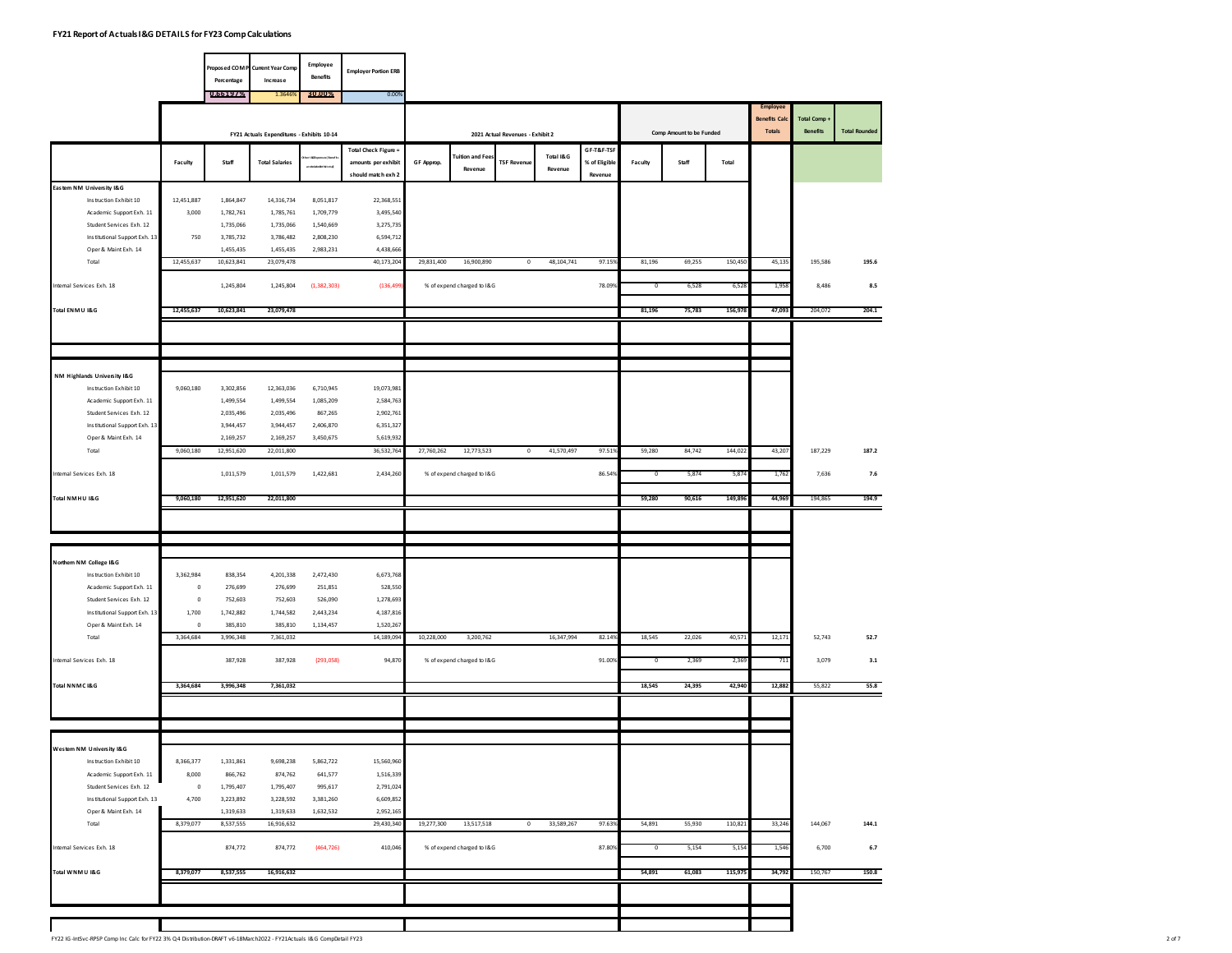|                                                      |                      |                        | Proposed COM P Current Year Comp           | Employee               | <b>Employer Portion ERB</b> |            |                            |                                  |            |               |                         |                          |         |                                         |                 |                      |
|------------------------------------------------------|----------------------|------------------------|--------------------------------------------|------------------------|-----------------------------|------------|----------------------------|----------------------------------|------------|---------------|-------------------------|--------------------------|---------|-----------------------------------------|-----------------|----------------------|
|                                                      |                      | Percentage             | Increase                                   | <b>Benefits</b>        |                             |            |                            |                                  |            |               |                         |                          |         |                                         |                 |                      |
|                                                      |                      | 0.66197%               | 1.364                                      | 30.00%                 | 0.00%                       |            |                            |                                  |            |               |                         |                          |         |                                         |                 |                      |
|                                                      |                      |                        |                                            |                        |                             |            |                            |                                  |            |               |                         |                          |         | <b>Employee</b><br><b>Benefits Calc</b> | Total Comp .    |                      |
|                                                      |                      |                        | FY21 Actuals Expenditures - Exhibits 10-14 |                        |                             |            |                            | 2021 Actual Revenues - Exhibit 2 |            |               |                         | Comp Amount to be Funded |         | <b>Totals</b>                           | <b>Benefits</b> | <b>Total Rounded</b> |
|                                                      |                      |                        |                                            |                        | Total Check Figure =        |            |                            |                                  |            | GF-T&F-TSF    |                         |                          |         |                                         |                 |                      |
|                                                      | Faculty              | Staff                  | <b>Total Salaries</b>                      | reiksädellistota       | amounts per exhibit         | GF Approp. | <b>Tuition and Fee</b>     | <b>TSF Revenue</b>               | Total I&G  | % of Eligible | Faculty                 | Staff                    | Total   |                                         |                 |                      |
|                                                      |                      |                        |                                            |                        | should match exh 2          |            | Revenue                    |                                  | Revenue    | Revenue       |                         |                          |         |                                         |                 |                      |
| Eastem NM University I&G                             |                      |                        |                                            |                        |                             |            |                            |                                  |            |               |                         |                          |         |                                         |                 |                      |
| Instruction Exhibit 10                               | 12,451,887<br>3,000  | 1,864,847              | 14,316,734                                 | 8,051,817              | 22,368,551<br>3,495,540     |            |                            |                                  |            |               |                         |                          |         |                                         |                 |                      |
| Academic Support Exh. 11<br>Student Services Exh. 12 |                      | 1,782,761<br>1,735,066 | 1,785,761<br>1,735,066                     | 1,709,779<br>1,540,669 | 3,275,735                   |            |                            |                                  |            |               |                         |                          |         |                                         |                 |                      |
| Institutional Support Exh. 13                        | 750                  | 3,785,732              | 3,786,482                                  | 2,808,230              | 6,594,712                   |            |                            |                                  |            |               |                         |                          |         |                                         |                 |                      |
| Oper & Maint Exh. 14                                 |                      | 1,455,435              | 1,455,435                                  | 2,983,231              | 4,438,666                   |            |                            |                                  |            |               |                         |                          |         |                                         |                 |                      |
| Total                                                | 12,455,637           | 10,623,841             | 23,079,478                                 |                        | 40,173,204                  | 29,831,400 | 16,900,890                 | $\mathbb O$                      | 48,104,741 | 97.159        | 81,196                  | 69,255                   | 150,450 | 45,135                                  | 195,586         | 195.6                |
|                                                      |                      |                        |                                            |                        |                             |            |                            |                                  |            |               |                         |                          |         |                                         |                 |                      |
| ntemal Services Exh. 18                              |                      | 1,245,804              | 1,245,804                                  | (1, 382, 303)          | (136, 499)                  |            | % of expend charged to I&G |                                  |            | 78.099        | 0                       | 6,528                    | 6,52    | 1,95                                    | 8,486           | $\bf 8.5$            |
| Total ENMU I&G                                       | 12,455,637           | 10,623,841             | 23,079,478                                 |                        |                             |            |                            |                                  |            |               | 81,196                  | 75,783                   | 156,978 | 47,093                                  | 204,072         | 204.1                |
|                                                      |                      |                        |                                            |                        |                             |            |                            |                                  |            |               |                         |                          |         |                                         |                 |                      |
|                                                      |                      |                        |                                            |                        |                             |            |                            |                                  |            |               |                         |                          |         |                                         |                 |                      |
|                                                      |                      |                        |                                            |                        |                             |            |                            |                                  |            |               |                         |                          |         |                                         |                 |                      |
|                                                      |                      |                        |                                            |                        |                             |            |                            |                                  |            |               |                         |                          |         |                                         |                 |                      |
| NM Highlands University I&G                          |                      |                        |                                            |                        |                             |            |                            |                                  |            |               |                         |                          |         |                                         |                 |                      |
| Instruction Exhibit 10<br>Academic Support Exh. 11   | 9,060,180            | 3,302,856<br>1,499,554 | 12,363,036<br>1,499,554                    | 6,710,945<br>1,085,209 | 19,073,981<br>2,584,763     |            |                            |                                  |            |               |                         |                          |         |                                         |                 |                      |
| Student Services Exh. 12                             |                      | 2,035,496              | 2,035,496                                  | 867,265                | 2,902,761                   |            |                            |                                  |            |               |                         |                          |         |                                         |                 |                      |
| Institutional Support Exh. 13                        |                      | 3,944,457              | 3,944,457                                  | 2,406,870              | 6,351,327                   |            |                            |                                  |            |               |                         |                          |         |                                         |                 |                      |
| Oper & Maint Exh. 14                                 |                      | 2,169,257              | 2,169,257                                  | 3,450,675              | 5,619,932                   |            |                            |                                  |            |               |                         |                          |         |                                         |                 |                      |
| Total                                                | 9,060,180            | 12,951,620             | 22,011,800                                 |                        | 36,532,764                  | 27,760,262 | 12,773,523                 | $\circ$                          | 41,570,497 | 97.519        | 59,280                  | 84,742                   | 144,022 | 43,207                                  | 187,229         | 187.2                |
| Internal Services Exh. 18                            |                      | 1,011,579              | 1,011,579                                  | 1,422,681              | 2,434,260                   |            | % of expend charged to I&G |                                  |            | 86.549        | $\overline{0}$          | 5,874                    |         |                                         | 7,636           | 7.6                  |
|                                                      |                      |                        |                                            |                        |                             |            |                            |                                  |            |               |                         |                          | 5,874   | 1,762                                   |                 |                      |
| Total NMHU I&G                                       | 9,060,180            | 12,951,620             | 22.011.800                                 |                        |                             |            |                            |                                  |            |               | 59,280                  | 90,616                   | 149,896 | 44,969                                  | 194,865         | 194.9                |
|                                                      |                      |                        |                                            |                        |                             |            |                            |                                  |            |               |                         |                          |         |                                         |                 |                      |
|                                                      |                      |                        |                                            |                        |                             |            |                            |                                  |            |               |                         |                          |         |                                         |                 |                      |
|                                                      |                      |                        |                                            |                        |                             |            |                            |                                  |            |               |                         |                          |         |                                         |                 |                      |
| Northem NM College I&G                               |                      |                        |                                            |                        |                             |            |                            |                                  |            |               |                         |                          |         |                                         |                 |                      |
| Instruction Exhibit 10                               | 3,362,984            | 838,354                | 4,201,338                                  | 2,472,430              | 6,673,768                   |            |                            |                                  |            |               |                         |                          |         |                                         |                 |                      |
| Academic Support Exh. 11                             | $\overline{0}$       | 276,699                | 276,699                                    | 251,851                | 528,550                     |            |                            |                                  |            |               |                         |                          |         |                                         |                 |                      |
| Student Services Exh. 12                             | $\circ$              | 752,603                | 752,603                                    | 526,090                | 1,278,693                   |            |                            |                                  |            |               |                         |                          |         |                                         |                 |                      |
| Institutional Support Exh. 13                        | 1,700                | 1,742,882              | 1,744,582                                  | 2,443,234              | 4,187,816                   |            |                            |                                  |            |               |                         |                          |         |                                         |                 |                      |
| Oper & Maint Exh. 14<br>Total                        | $\circ$<br>3,364,684 | 385,810<br>3,996,348   | 385,810<br>7,361,032                       | 1,134,457              | 1,520,267<br>14,189,094     | 10,228,000 | 3,200,762                  |                                  | 16,347,994 | 82.149        | 18,545                  | 22,026                   | 40,57   | 12,171                                  | 52,743          | 52.7                 |
|                                                      |                      |                        |                                            |                        |                             |            |                            |                                  |            |               |                         |                          |         |                                         |                 |                      |
| Internal Services Exh. 18                            |                      | 387,928                | 387,928                                    | (293, 058)             | 94,870                      |            | % of expend charged to I&G |                                  |            | 91.009        | $\overline{\mathbf{0}}$ | 2,369                    | 2,36    | 711                                     | 3,079           | 3.1                  |
|                                                      |                      |                        |                                            |                        |                             |            |                            |                                  |            |               |                         |                          |         |                                         |                 |                      |
| Total NNMC I&G                                       | 3,364,684            | 3,996,348              | 7,361,032                                  |                        |                             |            |                            |                                  |            |               | 18,545                  | 24,395                   | 42,940  | 12,882                                  | 55,822          | 55.8                 |
|                                                      |                      |                        |                                            |                        |                             |            |                            |                                  |            |               |                         |                          |         |                                         |                 |                      |
|                                                      |                      |                        |                                            |                        |                             |            |                            |                                  |            |               |                         |                          |         |                                         |                 |                      |
|                                                      |                      |                        |                                            |                        |                             |            |                            |                                  |            |               |                         |                          |         |                                         |                 |                      |
| Westem NM University I&G                             |                      |                        |                                            |                        |                             |            |                            |                                  |            |               |                         |                          |         |                                         |                 |                      |
| Instruction Exhibit 10                               | 8,366,377            | 1,331,861              | 9,698,238                                  | 5,862,722              | 15,560,960                  |            |                            |                                  |            |               |                         |                          |         |                                         |                 |                      |
| Academic Support Exh. 11<br>Student Services Exh. 12 | 8,000<br>$\,0\,$     | 866,762                | 874,762<br>1,795,407                       | 641,577<br>995,617     | 1,516,339<br>2,791,024      |            |                            |                                  |            |               |                         |                          |         |                                         |                 |                      |
| Institutional Support Exh. 13                        | 4,700                | 1,795,407<br>3,223,892 | 3,228,592                                  | 3,381,260              | 6,609,852                   |            |                            |                                  |            |               |                         |                          |         |                                         |                 |                      |
| Oper & Maint Exh. 14                                 |                      | 1,319,633              | 1,319,633                                  | 1,632,532              | 2,952,165                   |            |                            |                                  |            |               |                         |                          |         |                                         |                 |                      |
| Total                                                | 8,379,077            | 8,537,555              | 16,916,632                                 |                        | 29,430,340                  | 19,277,300 | 13,517,518                 | $\circ$                          | 33,589,267 | 97.639        | 54,891                  | 55,930                   | 110,821 | 33,246                                  | 144,067         | 144.1                |
|                                                      |                      |                        |                                            |                        |                             |            |                            |                                  |            |               |                         |                          |         |                                         |                 |                      |
| Internal Services Exh. 18                            |                      | 874,772                | 874,772                                    | (464, 726)             | 410,046                     |            | % of expend charged to I&G |                                  |            | 87.809        | $\overline{0}$          | 5,154                    | 5,154   | 1,546                                   | 6,700           | $6.7$                |
| Total WNMU I&G                                       | 8,379,077            | 8,537,555              | 16,916,632                                 |                        |                             |            |                            |                                  |            |               | 54,891                  | 61,083                   | 115,975 | 34,792                                  | 150,767         | 150.8                |
|                                                      |                      |                        |                                            |                        |                             |            |                            |                                  |            |               |                         |                          |         |                                         |                 |                      |
|                                                      |                      |                        |                                            |                        |                             |            |                            |                                  |            |               |                         |                          |         |                                         |                 |                      |
|                                                      |                      |                        |                                            |                        |                             |            |                            |                                  |            |               |                         |                          |         |                                         |                 |                      |
|                                                      |                      |                        |                                            |                        |                             |            |                            |                                  |            |               |                         |                          |         |                                         |                 |                      |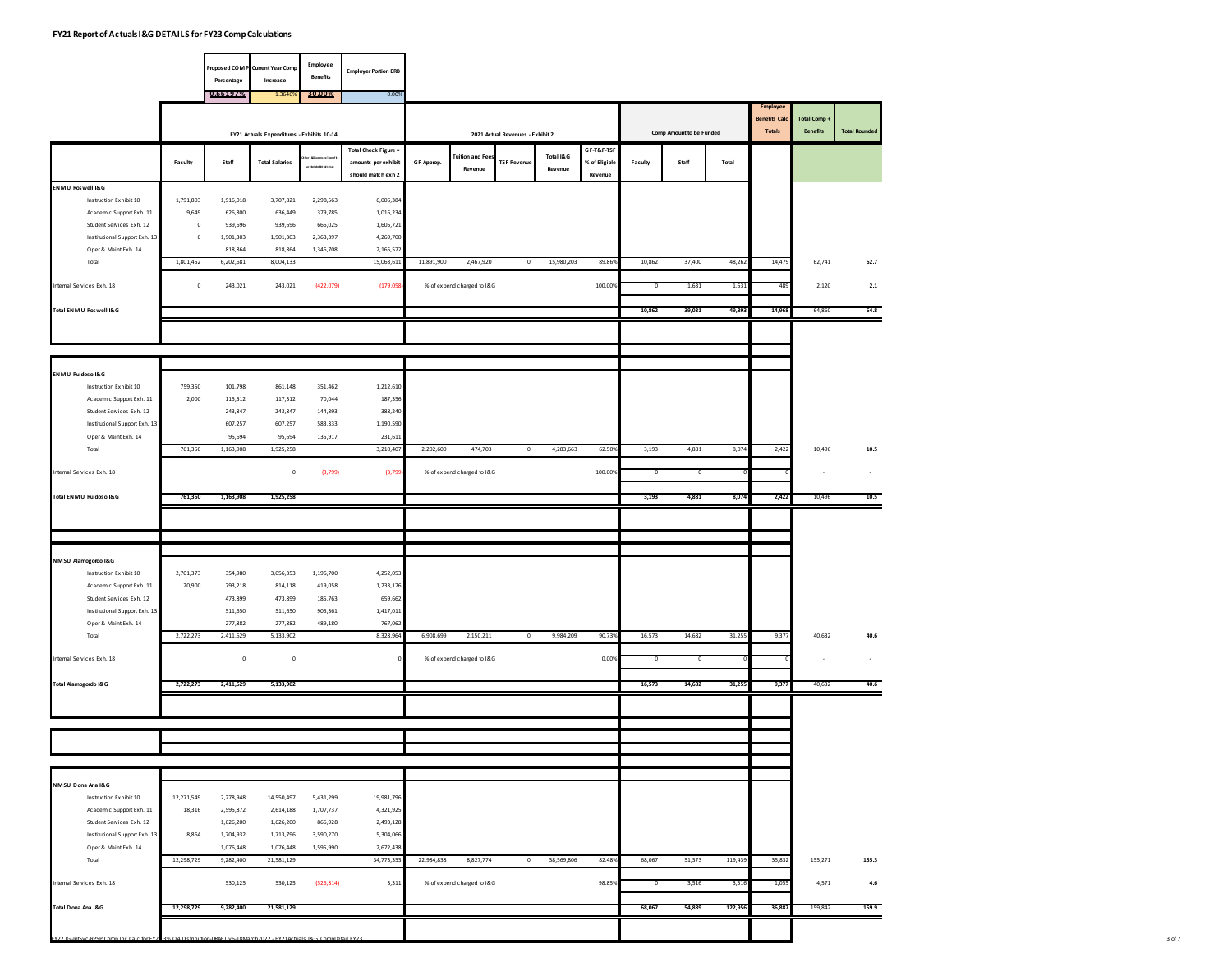|                                                      |                  | Percentage             | Proposed COM P Current Year Comp<br>Increase | Employee<br><b>Benefits</b> | <b>Employer Portion ERB</b> |            |                                   |                                  |                      |               |         |                          |         |                                                   |                          |                          |
|------------------------------------------------------|------------------|------------------------|----------------------------------------------|-----------------------------|-----------------------------|------------|-----------------------------------|----------------------------------|----------------------|---------------|---------|--------------------------|---------|---------------------------------------------------|--------------------------|--------------------------|
|                                                      |                  | 0.66197%               | 1.3646                                       | 30.00%                      | 0.00%                       |            |                                   |                                  |                      |               |         |                          |         |                                                   |                          |                          |
|                                                      |                  |                        | FY21 Actuals Expenditures - Exhibits 10-14   |                             |                             |            |                                   | 2021 Actual Revenues - Exhibit 2 |                      |               |         | Comp Amount to be Funded |         | Employee<br><b>Benefits Cald</b><br><b>Totals</b> | Total Comp .<br>Benefits | <b>Total Rounded</b>     |
|                                                      |                  |                        |                                              |                             | Total Check Figure =        |            |                                   |                                  |                      | GF-T&F-TSF    |         |                          |         |                                                   |                          |                          |
|                                                      | Faculty          | Staff                  | <b>Total Salaries</b>                        | ereikcildedikt hit ot       | amounts per exhibit         | GF Approp. | <b>Tuition and Fee</b><br>Revenue | <b>TSF Revenue</b>               | Total I&G<br>Revenue | % of Eligible | Faculty | Staff                    | Total   |                                                   |                          |                          |
| ENMU Roswell I&G                                     |                  |                        |                                              |                             | should match exh 2          |            |                                   |                                  |                      | Revenue       |         |                          |         |                                                   |                          |                          |
| Instruction Exhibit 10                               | 1,791,803        | 1,916,018              | 3,707,821                                    | 2,298,563                   | 6,006,384                   |            |                                   |                                  |                      |               |         |                          |         |                                                   |                          |                          |
| Academic Support Exh. 11                             | 9,649            | 626,800                | 636,449                                      | 379,785                     | 1,016,234                   |            |                                   |                                  |                      |               |         |                          |         |                                                   |                          |                          |
| Student Services Exh. 12                             | $\pmb{0}$        | 939,696                | 939,696                                      | 666,025                     | 1,605,721                   |            |                                   |                                  |                      |               |         |                          |         |                                                   |                          |                          |
| Institutional Support Exh. 13                        | $\mathbf 0$      | 1,901,303              | 1,901,303                                    | 2,368,397                   | 4,269,700                   |            |                                   |                                  |                      |               |         |                          |         |                                                   |                          |                          |
| Oper & Maint Exh. 14                                 |                  | 818,864                | 818,864                                      | 1,346,708                   | 2,165,572                   |            |                                   |                                  |                      |               |         |                          |         |                                                   |                          |                          |
| Total                                                | 1,801,452        | 6,202,681              | 8,004,133                                    |                             | 15,063,611                  | 11,891,900 | 2,467,920                         | $\mathbf 0$                      | 15,980,203           | 89.869        | 10,862  | 37,400                   | 48,262  | 14,479                                            | 62,741                   | 62.7                     |
| ntemal Services Exh. 18                              | $\mathbf 0$      | 243,021                | 243,021                                      | (422, 079)                  | (179,058                    |            | % of expend charged to I&G        |                                  |                      | 100.00%       | o       | 1,631                    | 1,63    | 489                                               | 2,120                    | $\mathbf{2.1}$           |
| Total ENMU Roswell I&G                               |                  |                        |                                              |                             |                             |            |                                   |                                  |                      |               | 10,862  | 39,031                   | 49,893  | 14,968                                            | 64,860                   | 64.8                     |
|                                                      |                  |                        |                                              |                             |                             |            |                                   |                                  |                      |               |         |                          |         |                                                   |                          |                          |
|                                                      |                  |                        |                                              |                             |                             |            |                                   |                                  |                      |               |         |                          |         |                                                   |                          |                          |
|                                                      |                  |                        |                                              |                             |                             |            |                                   |                                  |                      |               |         |                          |         |                                                   |                          |                          |
| ENMU Ruidos o I&G                                    |                  |                        |                                              |                             |                             |            |                                   |                                  |                      |               |         |                          |         |                                                   |                          |                          |
| Instruction Exhibit 10<br>Academic Support Exh. 11   | 759,350<br>2,000 | 101,798<br>115,312     | 861,148<br>117,312                           | 351,462<br>70,044           | 1,212,610<br>187,356        |            |                                   |                                  |                      |               |         |                          |         |                                                   |                          |                          |
| Student Services Exh. 12                             |                  | 243,847                | 243,847                                      | 144,393                     | 388,240                     |            |                                   |                                  |                      |               |         |                          |         |                                                   |                          |                          |
| Institutional Support Exh. 13                        |                  | 607,257                | 607,257                                      | 583,333                     | 1,190,590                   |            |                                   |                                  |                      |               |         |                          |         |                                                   |                          |                          |
| Oper & Maint Exh. 14                                 |                  | 95,694                 | 95,694                                       | 135,917                     | 231,611                     |            |                                   |                                  |                      |               |         |                          |         |                                                   |                          |                          |
| Total                                                | 761,350          | 1,163,908              | 1,925,258                                    |                             | 3,210,407                   | 2,202,600  | 474,703                           | $\mathbf 0$                      | 4,283,663            | 62.50%        | 3,193   | 4,881                    | 8,074   | 2,422                                             | 10,496                   | $10.5\,$                 |
| ntemal Services Exh. 18                              |                  |                        | $\mathbf 0$                                  | (3,799)                     | (3,799)                     |            | % of expend charged to I&G        |                                  |                      | 100.009       | 0       | 0                        |         |                                                   | ÷.                       | $\overline{\phantom{a}}$ |
| Total ENMU Ruidos o I&G                              | 761,350          | 1,163,908              | 1,925,258                                    |                             |                             |            |                                   |                                  |                      |               | 3,193   | 4,881                    | 8,074   | 2,422                                             | 10,496                   | 10.5                     |
|                                                      |                  |                        |                                              |                             |                             |            |                                   |                                  |                      |               |         |                          |         |                                                   |                          |                          |
|                                                      |                  |                        |                                              |                             |                             |            |                                   |                                  |                      |               |         |                          |         |                                                   |                          |                          |
|                                                      |                  |                        |                                              |                             |                             |            |                                   |                                  |                      |               |         |                          |         |                                                   |                          |                          |
| NMSU Alamogordo I&G                                  |                  |                        |                                              |                             |                             |            |                                   |                                  |                      |               |         |                          |         |                                                   |                          |                          |
| Instruction Exhibit 10                               | 2,701,373        | 354,980                | 3,056,353                                    | 1,195,700                   | 4,252,053                   |            |                                   |                                  |                      |               |         |                          |         |                                                   |                          |                          |
| Academic Support Exh. 11<br>Student Services Exh. 12 | 20,900           | 793,218<br>473,899     | 814,118<br>473,899                           | 419,058<br>185,763          | 1,233,176<br>659,662        |            |                                   |                                  |                      |               |         |                          |         |                                                   |                          |                          |
| Institutional Support Exh. 13                        |                  | 511,650                | 511,650                                      | 905,361                     | 1,417,011                   |            |                                   |                                  |                      |               |         |                          |         |                                                   |                          |                          |
| Oper & Maint Exh. 14                                 |                  | 277,882                | 277.882                                      | 489,180                     | 767,062                     |            |                                   |                                  |                      |               |         |                          |         |                                                   |                          |                          |
| Total                                                | 2,722,273        | 2,411,629              | 5,133,902                                    |                             | 8,328,964                   | 6,908,699  | 2,150,211                         | $\mathbf 0$                      | 9,984,209            | 90.73%        | 16,573  | 14,682                   | 31,259  | 9,377                                             | 40,632                   | 40.6                     |
| ntemal Services Exh. 18                              |                  | $\mathbf 0$            | $\pmb{0}$                                    |                             |                             |            | % of expend charged to I&G        |                                  |                      | 0.00%         | 0       | 0                        |         |                                                   | $\overline{\phantom{a}}$ |                          |
|                                                      |                  |                        |                                              |                             |                             |            |                                   |                                  |                      |               |         |                          |         |                                                   |                          |                          |
| Total Alamogordo I&G                                 | 2,722,273        | 2,411,629              | 5,133,902                                    |                             |                             |            |                                   |                                  |                      |               | 16,573  | 14,682                   | 31,255  | 9,377                                             | 40,632                   | 40.6                     |
|                                                      |                  |                        |                                              |                             |                             |            |                                   |                                  |                      |               |         |                          |         |                                                   |                          |                          |
|                                                      |                  |                        |                                              |                             |                             |            |                                   |                                  |                      |               |         |                          |         |                                                   |                          |                          |
|                                                      |                  |                        |                                              |                             |                             |            |                                   |                                  |                      |               |         |                          |         |                                                   |                          |                          |
|                                                      |                  |                        |                                              |                             |                             |            |                                   |                                  |                      |               |         |                          |         |                                                   |                          |                          |
| NMSU Dona Ana I&G                                    |                  |                        |                                              |                             |                             |            |                                   |                                  |                      |               |         |                          |         |                                                   |                          |                          |
| Instruction Exhibit 10                               | 12,271,549       | 2,278,948              | 14,550,497                                   | 5,431,299                   | 19,981,796                  |            |                                   |                                  |                      |               |         |                          |         |                                                   |                          |                          |
| Academic Support Exh. 11<br>Student Services Exh. 12 | 18,316           | 2,595,872<br>1,626,200 | 2,614,188<br>1,626,200                       | 1,707,737<br>866,928        | 4,321,925<br>2,493,128      |            |                                   |                                  |                      |               |         |                          |         |                                                   |                          |                          |
| Institutional Support Exh. 13                        | 8,864            | 1,704,932              | 1,713,796                                    | 3,590,270                   | 5,304,066                   |            |                                   |                                  |                      |               |         |                          |         |                                                   |                          |                          |
| Oper & Maint Exh. 14                                 |                  | 1,076,448              | 1,076,448                                    | 1,595,990                   | 2,672,438                   |            |                                   |                                  |                      |               |         |                          |         |                                                   |                          |                          |
| Total                                                | 12,298,729       | 9,282,400              | 21,581,129                                   |                             | 34,773,353                  | 22,984,838 | 8,827,774                         | $\mathbf 0$                      | 38,569,806           | 82.48%        | 68,067  | 51,373                   | 119,439 | 35,832                                            | 155,271                  | 155.3                    |
|                                                      |                  |                        |                                              |                             |                             |            |                                   |                                  |                      |               |         |                          |         |                                                   |                          |                          |
| Internal Services Exh. 18                            |                  | 530,125                | 530,125                                      | (526, 814)                  | 3,311                       |            | % of expend charged to I&G        |                                  |                      | 98.859        | $\circ$ | 3,516                    | 3,51    | 1,05                                              | 4,571                    | $4.6\,$                  |
| Total Dona Ana I&G                                   | 12,298,729       | 9,282,400              | 21,581,129                                   |                             |                             |            |                                   |                                  |                      |               | 68,067  | 54,889                   | 122,956 | 36,887                                            | 159,842                  | 159.9                    |
|                                                      |                  |                        |                                              |                             |                             |            |                                   |                                  |                      |               |         |                          |         |                                                   |                          |                          |
|                                                      |                  |                        |                                              |                             |                             |            |                                   |                                  |                      |               |         |                          |         |                                                   |                          |                          |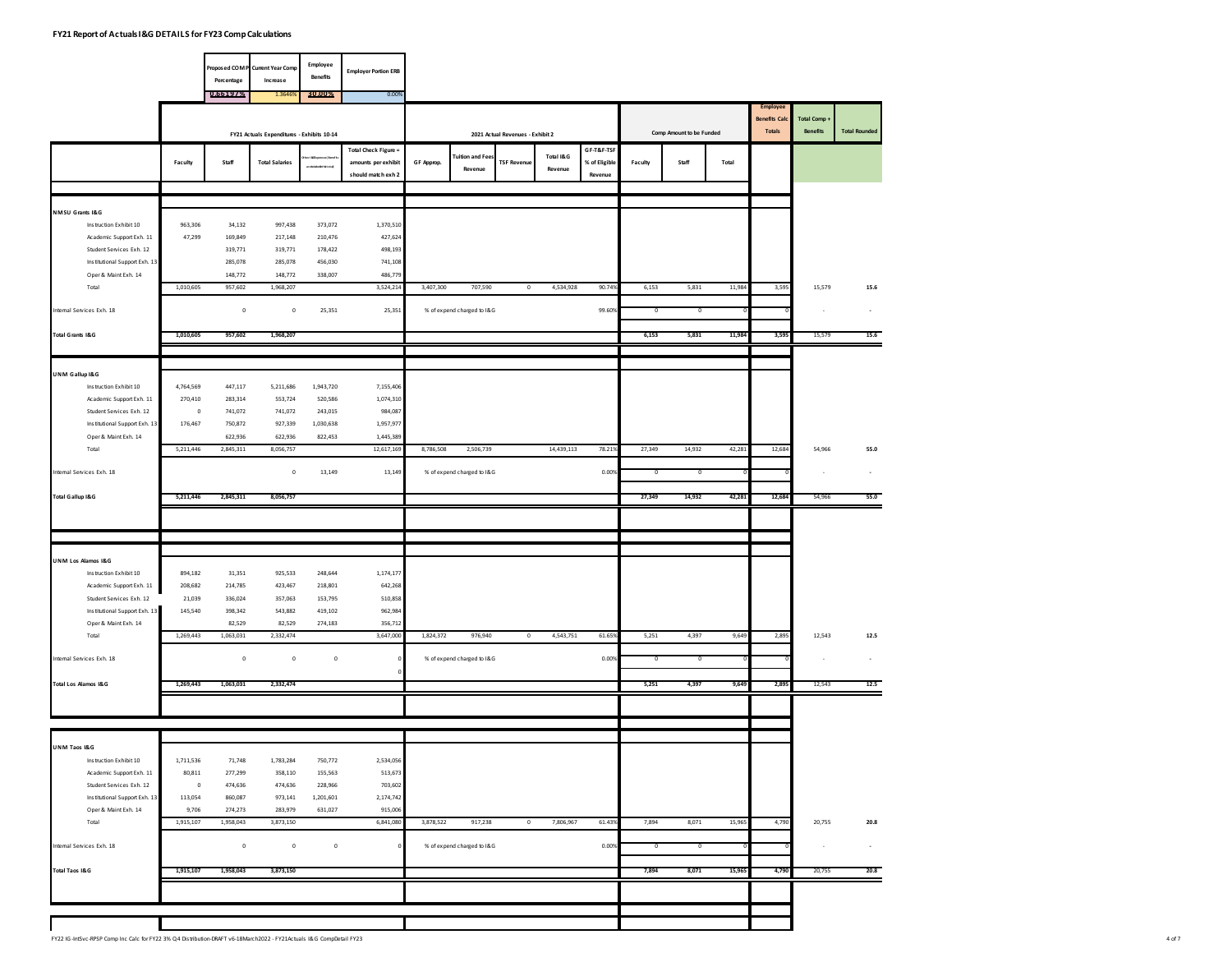| 0.66197%<br>1.3646<br>30.00%<br>0.00%<br>Comp Amount to be Funded<br>FY21 Actuals Expenditures - Exhibits 10-14<br>2021 Actual Revenues - Exhibit 2<br><b>Total Check Figure =</b><br>GF-T&F-TSF<br>Total I&G<br><b>Fuition and Fee:</b><br>% of Eligible<br>Faculty<br>Staff<br><b>Total Salaries</b><br>amounts per exhibit<br>GF Approp.<br><b>TSF Revenue</b><br>Faculty<br>Staff<br>Total<br>areackdedictites<br>Revenue<br>Revenue<br>should match exh 2<br>Revenue<br>NMSU Grants I&G<br>1,370,510<br>Instruction Exhibit 10<br>963,306<br>34,132<br>997,438<br>373,072<br>Academic Support Exh. 11<br>427,624<br>47,299<br>169,849<br>217,148<br>210,476<br>Student Services Exh. 12<br>319,771<br>319,771<br>178,422<br>498,193<br>Institutional Support Exh. 13<br>285,078<br>285,078<br>456,030<br>741,108<br>Oper & Maint Exh. 14<br>148,772<br>148,772<br>338,007<br>486,779<br>Total<br>1,010,605<br>957,602<br>1,968,207<br>3,524,214<br>3,407,300<br>707,590<br>4,534,928<br>90.74%<br>6,153<br>5,831<br>11,984<br>$\mathbb O$<br>Internal Services Exh. 18<br>$\mathbb O$<br>$\mathbf 0$<br>25,351<br>25,351<br>% of expend charged to I&G<br>99.60<br>$\overline{\phantom{a}}$<br>$^{\circ}$<br>Total Grants I&G<br>1,010,605<br>957,602<br>1,968,207<br>6,153<br>5,831<br>11,984 | <b>Employee</b><br><b>Benefits Calc</b><br><b>Totals</b><br>3,595 |  | Total Comp +<br><b>Benefits</b> |    | <b>Total Rounded</b> |
|-----------------------------------------------------------------------------------------------------------------------------------------------------------------------------------------------------------------------------------------------------------------------------------------------------------------------------------------------------------------------------------------------------------------------------------------------------------------------------------------------------------------------------------------------------------------------------------------------------------------------------------------------------------------------------------------------------------------------------------------------------------------------------------------------------------------------------------------------------------------------------------------------------------------------------------------------------------------------------------------------------------------------------------------------------------------------------------------------------------------------------------------------------------------------------------------------------------------------------------------------------------------------------------------------------|-------------------------------------------------------------------|--|---------------------------------|----|----------------------|
|                                                                                                                                                                                                                                                                                                                                                                                                                                                                                                                                                                                                                                                                                                                                                                                                                                                                                                                                                                                                                                                                                                                                                                                                                                                                                                     |                                                                   |  |                                 |    |                      |
|                                                                                                                                                                                                                                                                                                                                                                                                                                                                                                                                                                                                                                                                                                                                                                                                                                                                                                                                                                                                                                                                                                                                                                                                                                                                                                     |                                                                   |  |                                 |    |                      |
|                                                                                                                                                                                                                                                                                                                                                                                                                                                                                                                                                                                                                                                                                                                                                                                                                                                                                                                                                                                                                                                                                                                                                                                                                                                                                                     |                                                                   |  |                                 |    |                      |
|                                                                                                                                                                                                                                                                                                                                                                                                                                                                                                                                                                                                                                                                                                                                                                                                                                                                                                                                                                                                                                                                                                                                                                                                                                                                                                     |                                                                   |  |                                 |    |                      |
|                                                                                                                                                                                                                                                                                                                                                                                                                                                                                                                                                                                                                                                                                                                                                                                                                                                                                                                                                                                                                                                                                                                                                                                                                                                                                                     |                                                                   |  |                                 |    |                      |
|                                                                                                                                                                                                                                                                                                                                                                                                                                                                                                                                                                                                                                                                                                                                                                                                                                                                                                                                                                                                                                                                                                                                                                                                                                                                                                     |                                                                   |  |                                 |    |                      |
|                                                                                                                                                                                                                                                                                                                                                                                                                                                                                                                                                                                                                                                                                                                                                                                                                                                                                                                                                                                                                                                                                                                                                                                                                                                                                                     |                                                                   |  |                                 |    |                      |
|                                                                                                                                                                                                                                                                                                                                                                                                                                                                                                                                                                                                                                                                                                                                                                                                                                                                                                                                                                                                                                                                                                                                                                                                                                                                                                     |                                                                   |  |                                 |    |                      |
|                                                                                                                                                                                                                                                                                                                                                                                                                                                                                                                                                                                                                                                                                                                                                                                                                                                                                                                                                                                                                                                                                                                                                                                                                                                                                                     |                                                                   |  | 15,579                          |    | 15.6                 |
|                                                                                                                                                                                                                                                                                                                                                                                                                                                                                                                                                                                                                                                                                                                                                                                                                                                                                                                                                                                                                                                                                                                                                                                                                                                                                                     |                                                                   |  |                                 |    |                      |
|                                                                                                                                                                                                                                                                                                                                                                                                                                                                                                                                                                                                                                                                                                                                                                                                                                                                                                                                                                                                                                                                                                                                                                                                                                                                                                     | 3,595                                                             |  | 15,579                          |    | 15.6                 |
|                                                                                                                                                                                                                                                                                                                                                                                                                                                                                                                                                                                                                                                                                                                                                                                                                                                                                                                                                                                                                                                                                                                                                                                                                                                                                                     |                                                                   |  |                                 |    |                      |
| UNM Gallup I&G                                                                                                                                                                                                                                                                                                                                                                                                                                                                                                                                                                                                                                                                                                                                                                                                                                                                                                                                                                                                                                                                                                                                                                                                                                                                                      |                                                                   |  |                                 |    |                      |
| Instruction Exhibit 10<br>4,764,569<br>447,117<br>5,211,686<br>1,943,720<br>7,155,406                                                                                                                                                                                                                                                                                                                                                                                                                                                                                                                                                                                                                                                                                                                                                                                                                                                                                                                                                                                                                                                                                                                                                                                                               |                                                                   |  |                                 |    |                      |
| Academic Support Exh. 11<br>270,410<br>283,314<br>553,724<br>520,586<br>1,074,310                                                                                                                                                                                                                                                                                                                                                                                                                                                                                                                                                                                                                                                                                                                                                                                                                                                                                                                                                                                                                                                                                                                                                                                                                   |                                                                   |  |                                 |    |                      |
| Student Services Exh. 12<br>741,072<br>741,072<br>243,015<br>984,087<br>$\mathbf 0$                                                                                                                                                                                                                                                                                                                                                                                                                                                                                                                                                                                                                                                                                                                                                                                                                                                                                                                                                                                                                                                                                                                                                                                                                 |                                                                   |  |                                 |    |                      |
| Institutional Support Exh. 13<br>176,467<br>750,872<br>927,339<br>1,030,638<br>1,957,977<br>Oper & Maint Exh. 14<br>622,936<br>622,936<br>822,453<br>1,445,389                                                                                                                                                                                                                                                                                                                                                                                                                                                                                                                                                                                                                                                                                                                                                                                                                                                                                                                                                                                                                                                                                                                                      |                                                                   |  |                                 |    |                      |
| 5,211,446<br>2,845,311<br>8,056,757<br>12,617,169<br>14,439,113<br>78.219<br>27,349<br>14,932<br>Total<br>8,786,508<br>2,506,739<br>42,281                                                                                                                                                                                                                                                                                                                                                                                                                                                                                                                                                                                                                                                                                                                                                                                                                                                                                                                                                                                                                                                                                                                                                          | 12,684                                                            |  | 54,966                          |    | 55.0                 |
|                                                                                                                                                                                                                                                                                                                                                                                                                                                                                                                                                                                                                                                                                                                                                                                                                                                                                                                                                                                                                                                                                                                                                                                                                                                                                                     |                                                                   |  |                                 |    |                      |
| Internal Services Exh. 18<br>13,149<br>13,149<br>% of expend charged to I&G<br>0.00%<br>$\bf{0}$<br>0<br>ο                                                                                                                                                                                                                                                                                                                                                                                                                                                                                                                                                                                                                                                                                                                                                                                                                                                                                                                                                                                                                                                                                                                                                                                          |                                                                   |  |                                 | ÷, | $\sim$               |
| Total Gallup I&G<br>5,211,446<br>2,845,311<br>8,056,757<br>27,349<br>14,932<br>42,281                                                                                                                                                                                                                                                                                                                                                                                                                                                                                                                                                                                                                                                                                                                                                                                                                                                                                                                                                                                                                                                                                                                                                                                                               | 12,684                                                            |  | 54,966                          |    | 55.0                 |
|                                                                                                                                                                                                                                                                                                                                                                                                                                                                                                                                                                                                                                                                                                                                                                                                                                                                                                                                                                                                                                                                                                                                                                                                                                                                                                     |                                                                   |  |                                 |    |                      |
|                                                                                                                                                                                                                                                                                                                                                                                                                                                                                                                                                                                                                                                                                                                                                                                                                                                                                                                                                                                                                                                                                                                                                                                                                                                                                                     |                                                                   |  |                                 |    |                      |
| UNM Los Alamos I&G                                                                                                                                                                                                                                                                                                                                                                                                                                                                                                                                                                                                                                                                                                                                                                                                                                                                                                                                                                                                                                                                                                                                                                                                                                                                                  |                                                                   |  |                                 |    |                      |
| Instruction Exhibit 10<br>894,182<br>31,351<br>925,533<br>248,644<br>1,174,177                                                                                                                                                                                                                                                                                                                                                                                                                                                                                                                                                                                                                                                                                                                                                                                                                                                                                                                                                                                                                                                                                                                                                                                                                      |                                                                   |  |                                 |    |                      |
| Academic Support Exh. 11<br>208,682<br>214,785<br>423,467<br>218,801<br>642,268                                                                                                                                                                                                                                                                                                                                                                                                                                                                                                                                                                                                                                                                                                                                                                                                                                                                                                                                                                                                                                                                                                                                                                                                                     |                                                                   |  |                                 |    |                      |
| 510,858<br>Student Services Exh. 12<br>21,039<br>336,024<br>357,063<br>153,795                                                                                                                                                                                                                                                                                                                                                                                                                                                                                                                                                                                                                                                                                                                                                                                                                                                                                                                                                                                                                                                                                                                                                                                                                      |                                                                   |  |                                 |    |                      |
| Institutional Support Exh. 13<br>962,984<br>145,540<br>398,342<br>543,882<br>419,102<br>Oper & Maint Exh. 14<br>82,529<br>82,529<br>274,183<br>356,712                                                                                                                                                                                                                                                                                                                                                                                                                                                                                                                                                                                                                                                                                                                                                                                                                                                                                                                                                                                                                                                                                                                                              |                                                                   |  |                                 |    |                      |
| 1,269,443<br>1,063,031<br>2,332,474<br>3,647,000<br>1,824,372<br>976,940<br>4,543,751<br>61.659<br>5,251<br>4,397<br>9,649<br>Total<br>$\circ$                                                                                                                                                                                                                                                                                                                                                                                                                                                                                                                                                                                                                                                                                                                                                                                                                                                                                                                                                                                                                                                                                                                                                      | 2,895                                                             |  | 12,543                          |    | 12.5                 |
| Internal Services Exh. 18                                                                                                                                                                                                                                                                                                                                                                                                                                                                                                                                                                                                                                                                                                                                                                                                                                                                                                                                                                                                                                                                                                                                                                                                                                                                           |                                                                   |  |                                 |    |                      |
| 0<br>$^{\circ}$                                                                                                                                                                                                                                                                                                                                                                                                                                                                                                                                                                                                                                                                                                                                                                                                                                                                                                                                                                                                                                                                                                                                                                                                                                                                                     |                                                                   |  |                                 | ÷, |                      |
| $\mathbb O$<br>% of expend charged to I&G<br>0.00%<br>$\bf{0}$<br>$\mathbf 0$                                                                                                                                                                                                                                                                                                                                                                                                                                                                                                                                                                                                                                                                                                                                                                                                                                                                                                                                                                                                                                                                                                                                                                                                                       |                                                                   |  |                                 |    | $\sim$               |
| Total Los Alamos I&G<br>1,269,443<br>1,063,031<br>2,332,474<br>5,251<br>4,397<br>9,649                                                                                                                                                                                                                                                                                                                                                                                                                                                                                                                                                                                                                                                                                                                                                                                                                                                                                                                                                                                                                                                                                                                                                                                                              | 2,895                                                             |  | 12,543                          |    | 12.5                 |
|                                                                                                                                                                                                                                                                                                                                                                                                                                                                                                                                                                                                                                                                                                                                                                                                                                                                                                                                                                                                                                                                                                                                                                                                                                                                                                     |                                                                   |  |                                 |    |                      |
|                                                                                                                                                                                                                                                                                                                                                                                                                                                                                                                                                                                                                                                                                                                                                                                                                                                                                                                                                                                                                                                                                                                                                                                                                                                                                                     |                                                                   |  |                                 |    |                      |
| UNM Taos I&G                                                                                                                                                                                                                                                                                                                                                                                                                                                                                                                                                                                                                                                                                                                                                                                                                                                                                                                                                                                                                                                                                                                                                                                                                                                                                        |                                                                   |  |                                 |    |                      |
| 2,534,056<br>Instruction Exhibit 10<br>1,711,536<br>71,748<br>1,783,284<br>750,772                                                                                                                                                                                                                                                                                                                                                                                                                                                                                                                                                                                                                                                                                                                                                                                                                                                                                                                                                                                                                                                                                                                                                                                                                  |                                                                   |  |                                 |    |                      |
| Academic Support Exh. 11<br>80,811<br>155,563<br>513,673<br>277,299<br>358,110                                                                                                                                                                                                                                                                                                                                                                                                                                                                                                                                                                                                                                                                                                                                                                                                                                                                                                                                                                                                                                                                                                                                                                                                                      |                                                                   |  |                                 |    |                      |
| 703,602<br>Student Services Exh. 12<br>474,636<br>474,636<br>228,966<br>$\,$ 0                                                                                                                                                                                                                                                                                                                                                                                                                                                                                                                                                                                                                                                                                                                                                                                                                                                                                                                                                                                                                                                                                                                                                                                                                      |                                                                   |  |                                 |    |                      |
| Institutional Support Exh. 13<br>2,174,742<br>113,054<br>860,087<br>973,141<br>1,201,601                                                                                                                                                                                                                                                                                                                                                                                                                                                                                                                                                                                                                                                                                                                                                                                                                                                                                                                                                                                                                                                                                                                                                                                                            |                                                                   |  |                                 |    |                      |
| Oper & Maint Exh. 14<br>9,706<br>274,273<br>283,979<br>631,027<br>915,006<br>1,915,107<br>1,958,043<br>6,841,080<br>3,878,522<br>917,238<br>7,806,967<br>61.43%<br>7,894<br>8,071<br>15,965<br>Total<br>3,873,150<br>$\circ$                                                                                                                                                                                                                                                                                                                                                                                                                                                                                                                                                                                                                                                                                                                                                                                                                                                                                                                                                                                                                                                                        | 4,790                                                             |  | 20,755                          |    | 20.8                 |
|                                                                                                                                                                                                                                                                                                                                                                                                                                                                                                                                                                                                                                                                                                                                                                                                                                                                                                                                                                                                                                                                                                                                                                                                                                                                                                     |                                                                   |  |                                 |    |                      |
| 0.00%<br>Internal Services Exh. 18<br>$\mathbb O$<br>$\mathbf 0$<br>$\mathbf 0$<br>% of expend charged to I&G<br>0<br>$^{\circ}$                                                                                                                                                                                                                                                                                                                                                                                                                                                                                                                                                                                                                                                                                                                                                                                                                                                                                                                                                                                                                                                                                                                                                                    |                                                                   |  |                                 | ٠  | $\sim$               |
| <b>Total Taos I&amp;G</b><br>1,915,107<br>1,958,043<br>3,873,150<br>8,071<br>7,894<br>15,965                                                                                                                                                                                                                                                                                                                                                                                                                                                                                                                                                                                                                                                                                                                                                                                                                                                                                                                                                                                                                                                                                                                                                                                                        | 4,790                                                             |  | 20,755                          |    | 20.8                 |
|                                                                                                                                                                                                                                                                                                                                                                                                                                                                                                                                                                                                                                                                                                                                                                                                                                                                                                                                                                                                                                                                                                                                                                                                                                                                                                     |                                                                   |  |                                 |    |                      |
|                                                                                                                                                                                                                                                                                                                                                                                                                                                                                                                                                                                                                                                                                                                                                                                                                                                                                                                                                                                                                                                                                                                                                                                                                                                                                                     |                                                                   |  |                                 |    |                      |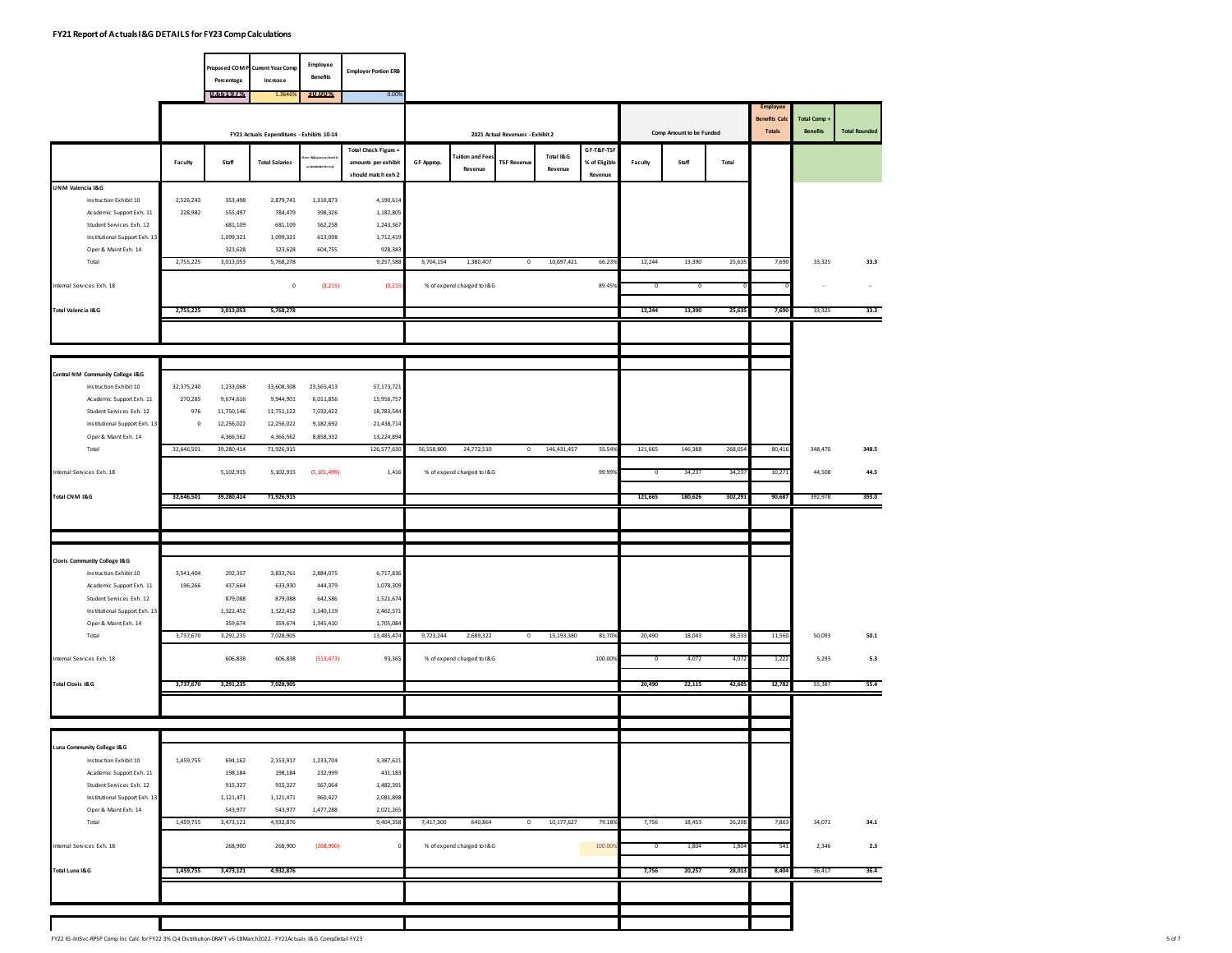|                                                       |                | Percentage              | Proposed COM P Current Year Comp<br>Increase | Employee<br>Benefits   | <b>Employer Portion ERB</b> |            |                                   |                                  |                      |               |            |                          |         |                                       |                                 |                      |
|-------------------------------------------------------|----------------|-------------------------|----------------------------------------------|------------------------|-----------------------------|------------|-----------------------------------|----------------------------------|----------------------|---------------|------------|--------------------------|---------|---------------------------------------|---------------------------------|----------------------|
|                                                       |                | 0.661972                | 1.364                                        | 30.00%                 | 0.00%                       |            |                                   |                                  |                      |               |            |                          |         | <b>Employee</b>                       |                                 |                      |
|                                                       |                |                         |                                              |                        |                             |            |                                   |                                  |                      |               |            | Comp Amount to be Funded |         | <b>Benefits Cald</b><br><b>Totals</b> | Total Comp +<br><b>Benefits</b> | <b>Total Rounded</b> |
|                                                       |                |                         | FY21 Actuals Expenditures - Exhibits 10-14   |                        | Total Check Figure =        |            |                                   | 2021 Actual Revenues - Exhibit 2 |                      | GF-T&F-TSF    |            |                          |         |                                       |                                 |                      |
|                                                       | Faculty        | Staff                   | <b>Total Salaries</b>                        | areacadedichiteta)     | amounts per exhibit         | GF Approp. | <b>Tuition and Fee</b><br>Revenue | <b>TSF Revenue</b>               | Total I&G<br>Revenue | % of Eligible | Faculty    | Staff                    | Total   |                                       |                                 |                      |
| UNM Valencia I&G                                      |                |                         |                                              |                        | should match exh 2          |            |                                   |                                  |                      | Revenue       |            |                          |         |                                       |                                 |                      |
| Instruction Exhibit 10                                | 2,526,243      | 353,498                 | 2,879,741                                    | 1,310,873              | 4,190,614                   |            |                                   |                                  |                      |               |            |                          |         |                                       |                                 |                      |
| Academic Support Exh. 11                              | 228,982        | 555,497                 | 784,479                                      | 398,326                | 1,182,805                   |            |                                   |                                  |                      |               |            |                          |         |                                       |                                 |                      |
| Student Services Exh. 12                              |                | 681,109                 | 681,109                                      | 562,258                | 1,243,367                   |            |                                   |                                  |                      |               |            |                          |         |                                       |                                 |                      |
| Institutional Support Exh. 13<br>Oper & Maint Exh. 14 |                | 1,099,321<br>323,628    | 1,099,321<br>323,628                         | 613,098<br>604,755     | 1,712,419<br>928,383        |            |                                   |                                  |                      |               |            |                          |         |                                       |                                 |                      |
| Total                                                 | 2,755,225      | 3,013,053               | 5,768,278                                    |                        | 9,257,588                   | 5,704,154  | 1,380,407                         | $\circ$                          | 10,697,421           | 66.239        | 12,244     | 13,390                   | 25,635  | 7,690                                 | 33,325                          | 33.3                 |
|                                                       |                |                         |                                              |                        |                             |            |                                   |                                  |                      |               |            |                          |         |                                       |                                 |                      |
| Internal Services Exh. 18                             |                |                         | $\mathbf 0$                                  | (3, 215)               | (3,215)                     |            | % of expend charged to I&G        |                                  |                      | 89.459        | $^{\circ}$ | ο                        |         |                                       |                                 |                      |
| Total Valencia I&G                                    | 2,755,225      | 3,013,053               | 5,768,278                                    |                        |                             |            |                                   |                                  |                      |               | 12,244     | 13,390                   | 25,63   | 7,690                                 | 33,325                          | 33.3                 |
|                                                       |                |                         |                                              |                        |                             |            |                                   |                                  |                      |               |            |                          |         |                                       |                                 |                      |
|                                                       |                |                         |                                              |                        |                             |            |                                   |                                  |                      |               |            |                          |         |                                       |                                 |                      |
| Central NM Community College I&G                      |                |                         |                                              |                        |                             |            |                                   |                                  |                      |               |            |                          |         |                                       |                                 |                      |
| Instruction Exhibit 10                                | 32,375,240     | 1,233,068               | 33,608,308                                   | 23,565,413             | 57,173,721                  |            |                                   |                                  |                      |               |            |                          |         |                                       |                                 |                      |
| Academic Support Exh. 11<br>Student Services Exh. 12  | 270,285<br>976 | 9,674,616<br>11,750,146 | 9,944,901<br>11,751,122                      | 6,011,856<br>7,032,422 | 15,956,757<br>18,783,544    |            |                                   |                                  |                      |               |            |                          |         |                                       |                                 |                      |
| Institutional Support Exh. 13                         | $\,$ 0         | 12,256,022              | 12,256,022                                   | 9,182,692              | 21,438,714                  |            |                                   |                                  |                      |               |            |                          |         |                                       |                                 |                      |
| Oper & Maint Exh. 14                                  |                | 4,366,562               | 4,366,562                                    | 8,858,332              | 13,224,894                  |            |                                   |                                  |                      |               |            |                          |         |                                       |                                 |                      |
| Total                                                 | 32,646,501     | 39,280,414              | 71,926,915                                   |                        | 126,577,630                 | 56,558,800 | 24,772,510                        | $\circ$                          | 146,431,457          | 55.549        | 121,665    | 146,388                  | 268,054 | 80,416                                | 348,470                         | 348.5                |
| Internal Services Exh. 18                             |                | 5,102,915               | 5,102,915                                    | (5, 101, 499)          | 1,416                       |            | % of expend charged to I&G        |                                  |                      | 99.999        | $^{\circ}$ | 34,237                   | 34,23   | 10,271                                | 44,508                          | 44.5                 |
| Total CNM I&G                                         | 32,646,501     | 39,280,414              | 71,926,915                                   |                        |                             |            |                                   |                                  |                      |               | 121,665    | 180,626                  | 302,293 | 90,687                                | 392,978                         | 393.0                |
|                                                       |                |                         |                                              |                        |                             |            |                                   |                                  |                      |               |            |                          |         |                                       |                                 |                      |
|                                                       |                |                         |                                              |                        |                             |            |                                   |                                  |                      |               |            |                          |         |                                       |                                 |                      |
| <b>Clovis Community College I&amp;G</b>               |                |                         |                                              |                        |                             |            |                                   |                                  |                      |               |            |                          |         |                                       |                                 |                      |
| Instruction Exhibit 10                                | 3,541,404      | 292,357                 | 3,833,761                                    | 2,884,075              | 6,717,836                   |            |                                   |                                  |                      |               |            |                          |         |                                       |                                 |                      |
| Academic Support Exh. 11                              | 196,266        | 437,664                 | 633,930                                      | 444,379                | 1,078,309                   |            |                                   |                                  |                      |               |            |                          |         |                                       |                                 |                      |
| Student Services Exh. 12                              |                | 879,088                 | 879,088                                      | 642,586                | 1,521,674                   |            |                                   |                                  |                      |               |            |                          |         |                                       |                                 |                      |
| Institutional Support Exh. 13                         |                | 1,322,452               | 1,322,452                                    | 1,140,119              | 2,462,571                   |            |                                   |                                  |                      |               |            |                          |         |                                       |                                 |                      |
| Oper & Maint Exh. 14                                  |                | 359,674                 | 359,674                                      | 1,345,410              | 1,705,084<br>13,485,474     |            |                                   | $\circ$                          | 15,193,380           | 81.70         | 20,490     |                          |         |                                       |                                 |                      |
| Total                                                 | 3,737,670      | 3,291,235               | 7,028,905                                    |                        |                             | 9,723,244  | 2,689,322                         |                                  |                      |               |            | 18,043                   | 38,533  | 11,560                                | 50,093                          | 50.1                 |
| Internal Services Exh. 18                             |                | 606,838                 | 606,838                                      | (513, 473)             | 93,365                      |            | % of expend charged to I&G        |                                  |                      | 100.009       | $^{\circ}$ | 4,072                    | 4,07    | 1,222                                 | 5,293                           | 5.3                  |
| <b>Total Clovis I&amp;G</b>                           | 3,737,670      | 3,291,235               | 7,028,905                                    |                        |                             |            |                                   |                                  |                      |               | 20,490     | 22,115                   | 42,605  | 12,782                                | 55,387                          | 55.4                 |
|                                                       |                |                         |                                              |                        |                             |            |                                   |                                  |                      |               |            |                          |         |                                       |                                 |                      |
|                                                       |                |                         |                                              |                        |                             |            |                                   |                                  |                      |               |            |                          |         |                                       |                                 |                      |
| Luna Community College I&G                            |                |                         |                                              |                        |                             |            |                                   |                                  |                      |               |            |                          |         |                                       |                                 |                      |
| Instruction Exhibit 10<br>Academic Support Exh. 11    | 1,459,755      | 694,162<br>198,184      | 2,153,917<br>198,184                         | 1,233,704<br>232,999   | 3,387,621<br>431,183        |            |                                   |                                  |                      |               |            |                          |         |                                       |                                 |                      |
| Student Services Exh. 12                              |                | 915,327                 | 915,327                                      | 567,064                | 1,482,391                   |            |                                   |                                  |                      |               |            |                          |         |                                       |                                 |                      |
| Institutional Support Exh. 13                         |                | 1,121,471               | 1,121,471                                    | 960,427                | 2,081,898                   |            |                                   |                                  |                      |               |            |                          |         |                                       |                                 |                      |
| Oper & Maint Exh. 14                                  |                | 543,977                 | 543,977                                      | 1,477,288              | 2,021,265                   |            |                                   |                                  |                      |               |            |                          |         |                                       |                                 |                      |
| Total                                                 | 1,459,755      | 3,473,121               | 4,932,876                                    |                        | 9,404,358                   | 7,417,300  | 640,864                           | $\overline{0}$                   | 10,177,627           | 79.189        | 7,756      | 18,453                   | 26,208  | 7,863                                 | 34,071                          | 34.1                 |
| Internal Services Exh. 18                             |                | 268,900                 | 268,900                                      | (268,900)              |                             |            | % of expend charged to I&G        |                                  |                      | 100.009       | $^{\circ}$ | 1,804                    | 1,80    | 541                                   | 2,346                           | 2.3                  |
| Total Luna I&G                                        | 1,459,755      | 3,473,121               | 4,932,876                                    |                        |                             |            |                                   |                                  |                      |               | 7,756      | 20,257                   | 28,013  | 8,404                                 | 36,417                          | 36.4                 |
|                                                       |                |                         |                                              |                        |                             |            |                                   |                                  |                      |               |            |                          |         |                                       |                                 |                      |
|                                                       |                |                         |                                              |                        |                             |            |                                   |                                  |                      |               |            |                          |         |                                       |                                 |                      |
|                                                       |                |                         |                                              |                        |                             |            |                                   |                                  |                      |               |            |                          |         |                                       |                                 |                      |
|                                                       |                |                         |                                              |                        |                             |            |                                   |                                  |                      |               |            |                          |         |                                       |                                 |                      |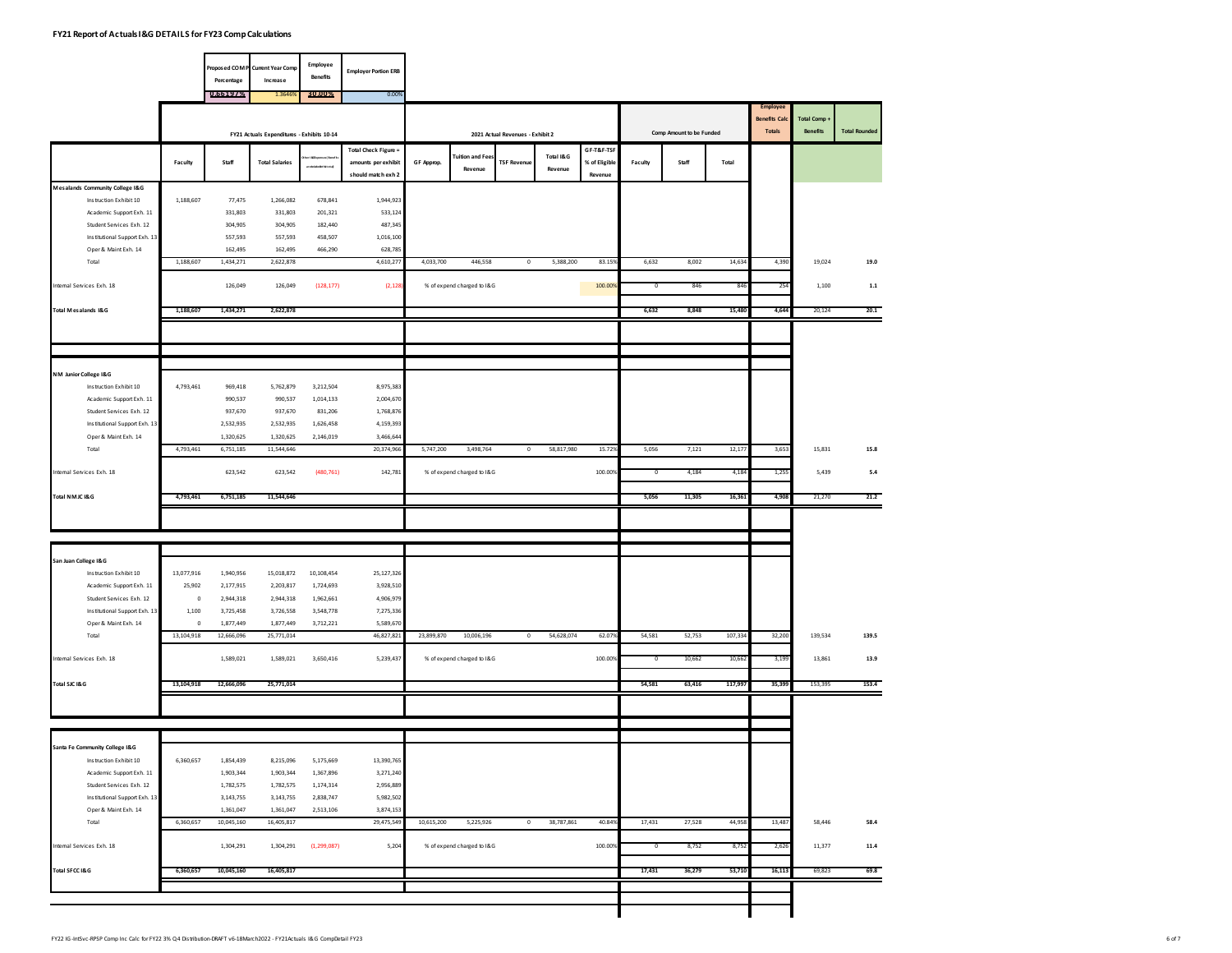|                                                       |                      |                         | Proposed COM P Current Year Comp           | Employee<br><b>Benefits</b> | <b>Employer Portion ERB</b>                                       |            |                            |                                  |                      |                                        |         |                          |         |                                                          |                                 |                      |
|-------------------------------------------------------|----------------------|-------------------------|--------------------------------------------|-----------------------------|-------------------------------------------------------------------|------------|----------------------------|----------------------------------|----------------------|----------------------------------------|---------|--------------------------|---------|----------------------------------------------------------|---------------------------------|----------------------|
|                                                       |                      | Percentage<br>0.66197%  | Increase<br>1.364                          | 30.00%                      | 0.00%                                                             |            |                            |                                  |                      |                                        |         |                          |         |                                                          |                                 |                      |
|                                                       |                      |                         |                                            |                             |                                                                   |            |                            |                                  |                      |                                        |         |                          |         | <b>Employee</b><br><b>Benefits Calc</b><br><b>Totals</b> | Total Comp .<br><b>Benefits</b> | <b>Total Rounded</b> |
|                                                       |                      |                         | FY21 Actuals Expenditures - Exhibits 10-14 |                             |                                                                   |            |                            | 2021 Actual Revenues - Exhibit 2 |                      |                                        |         | Comp Amount to be Funded |         |                                                          |                                 |                      |
|                                                       | Faculty              | Staff                   | <b>Total Salaries</b>                      |                             | Total Check Figure =<br>amounts per exhibit<br>should match exh 2 | GF Approp. | Tuition and Fee<br>Revenue | <b>TSF Revenue</b>               | Total I&G<br>Revenue | GF-T&F-TSF<br>% of Eligible<br>Revenue | Faculty | Staff                    | Total   |                                                          |                                 |                      |
| Mesalands Community College I&G                       |                      |                         |                                            |                             |                                                                   |            |                            |                                  |                      |                                        |         |                          |         |                                                          |                                 |                      |
| Instruction Exhibit 10                                | 1,188,607            | 77.475                  | 1,266,082                                  | 678,841                     | 1,944,923                                                         |            |                            |                                  |                      |                                        |         |                          |         |                                                          |                                 |                      |
| Academic Support Exh. 11                              |                      | 331,803                 | 331,803                                    | 201,321                     | 533,124                                                           |            |                            |                                  |                      |                                        |         |                          |         |                                                          |                                 |                      |
| Student Services Exh. 12                              |                      | 304,905                 | 304,905                                    | 182,440                     | 487,345                                                           |            |                            |                                  |                      |                                        |         |                          |         |                                                          |                                 |                      |
| Institutional Support Exh. 13<br>Oper & Maint Exh. 14 |                      | 557,593<br>162,495      | 557,593<br>162,495                         | 458,507<br>466,290          | 1,016,100<br>628,785                                              |            |                            |                                  |                      |                                        |         |                          |         |                                                          |                                 |                      |
| Total                                                 | 1,188,607            | 1,434,271               | 2,622,878                                  |                             | 4,610,277                                                         | 4,033,700  | 446,558                    | $\mathbb O$                      | 5,388,200            | 83.159                                 | 6,632   | 8,002                    | 14,634  | 4,390                                                    | 19,024                          | 19.0                 |
| ntemal Services Exh. 18                               |                      | 126,049                 | 126,049                                    | (128, 177)                  | (2, 128)                                                          |            | % of expend charged to I&G |                                  |                      | 100.00%                                | 0       | 846                      | 84      | 25                                                       | 1,100                           | $\mathbf{1.1}$       |
|                                                       |                      |                         |                                            |                             |                                                                   |            |                            |                                  |                      |                                        |         |                          |         |                                                          |                                 |                      |
| Total Mesalands I&G                                   | 1,188,607            | 1,434,271               | 2,622,878                                  |                             |                                                                   |            |                            |                                  |                      |                                        | 6,632   | 8,848                    | 15,480  | 4,644                                                    | 20,124                          | 20.1                 |
|                                                       |                      |                         |                                            |                             |                                                                   |            |                            |                                  |                      |                                        |         |                          |         |                                                          |                                 |                      |
| NM Junior College I&G                                 |                      |                         |                                            |                             |                                                                   |            |                            |                                  |                      |                                        |         |                          |         |                                                          |                                 |                      |
| Instruction Exhibit 10                                | 4,793,461            | 969,418                 | 5,762,879                                  | 3,212,504                   | 8,975,383                                                         |            |                            |                                  |                      |                                        |         |                          |         |                                                          |                                 |                      |
| Academic Support Exh. 11                              |                      | 990,537                 | 990,537                                    | 1,014,133                   | 2,004,670                                                         |            |                            |                                  |                      |                                        |         |                          |         |                                                          |                                 |                      |
| Student Services Exh. 12                              |                      | 937,670                 | 937,670                                    | 831,206                     | 1,768,876                                                         |            |                            |                                  |                      |                                        |         |                          |         |                                                          |                                 |                      |
| Institutional Support Exh. 13<br>Oper & Maint Exh. 14 |                      | 2,532,935<br>1,320,625  | 2,532,935<br>1,320,625                     | 1,626,458<br>2,146,019      | 4,159,393<br>3,466,644                                            |            |                            |                                  |                      |                                        |         |                          |         |                                                          |                                 |                      |
| Total                                                 | 4,793,461            | 6,751,185               | 11,544,646                                 |                             | 20,374,966                                                        | 5,747,200  | 3,498,764                  | $\mathbb O$                      | 58,817,980           | 15.729                                 | 5,056   | 7,121                    | 12,177  | 3,653                                                    | 15,831                          | 15.8                 |
| ntemal Services Exh. 18                               |                      | 623,542                 | 623,542                                    | (480, 761)                  | 142,781                                                           |            | % of expend charged to I&G |                                  |                      | 100.00%                                | 0       | 4,184                    | 4,18    | 1,25                                                     | 5,439                           | $5.4\,$              |
| Total NMJC I&G                                        | 4,793,461            | 6,751,185               | 11,544,646                                 |                             |                                                                   |            |                            |                                  |                      |                                        | 5,056   | 11,305                   | 16,361  | 4,908                                                    | 21,270                          | 21.2                 |
|                                                       |                      |                         |                                            |                             |                                                                   |            |                            |                                  |                      |                                        |         |                          |         |                                                          |                                 |                      |
|                                                       |                      |                         |                                            |                             |                                                                   |            |                            |                                  |                      |                                        |         |                          |         |                                                          |                                 |                      |
| San Juan College I&G                                  |                      |                         |                                            |                             |                                                                   |            |                            |                                  |                      |                                        |         |                          |         |                                                          |                                 |                      |
| Instruction Exhibit 10                                | 13,077,916           | 1,940,956               | 15,018,872                                 | 10,108,454                  | 25,127,326                                                        |            |                            |                                  |                      |                                        |         |                          |         |                                                          |                                 |                      |
| Academic Support Exh. 11                              | 25,902               | 2,177,915               | 2,203,817                                  | 1,724,693                   | 3,928,510                                                         |            |                            |                                  |                      |                                        |         |                          |         |                                                          |                                 |                      |
| Student Services Exh. 12                              | $\pmb{0}$            | 2,944,318               | 2,944,318                                  | 1,962,661                   | 4,906,979                                                         |            |                            |                                  |                      |                                        |         |                          |         |                                                          |                                 |                      |
| Institutional Support Exh. 13                         | 1,100                | 3,725,458               | 3,726,558                                  | 3,548,778                   | 7,275,336                                                         |            |                            |                                  |                      |                                        |         |                          |         |                                                          |                                 |                      |
| Oper & Maint Exh. 14<br>Total                         | $\,$ 0<br>13,104,918 | 1,877,449<br>12,666,096 | 1,877,449<br>25,771,014                    | 3,712,221                   | 5,589,670<br>46,827,821                                           | 23,899,870 | 10,006,196                 | $\,0\,$                          | 54,628,074           | 62.079                                 | 54,581  | 52,753                   | 107,334 | 32,200                                                   | 139,534                         | 139.5                |
| ntemal Services Exh. 18                               |                      | 1,589,021               | 1,589,021                                  | 3,650,416                   | 5,239,437                                                         |            | % of expend charged to I&G |                                  |                      | 100.00%                                | 0       | 10,662                   | 10,66   | 3,19                                                     | 13,861                          | 13.9                 |
| Total SJC I&G                                         | 13,104,918           | 12,666,096              | 25,771,014                                 |                             |                                                                   |            |                            |                                  |                      |                                        | 54,581  | 63,416                   | 117,997 | 35,399                                                   | 153,395                         | 153.4                |
|                                                       |                      |                         |                                            |                             |                                                                   |            |                            |                                  |                      |                                        |         |                          |         |                                                          |                                 |                      |
|                                                       |                      |                         |                                            |                             |                                                                   |            |                            |                                  |                      |                                        |         |                          |         |                                                          |                                 |                      |
| Santa Fe Community College I&G                        |                      |                         |                                            |                             |                                                                   |            |                            |                                  |                      |                                        |         |                          |         |                                                          |                                 |                      |
| Instruction Exhibit 10                                | 6,360,657            | 1,854,439               | 8,215,096                                  | 5,175,669                   | 13,390,765                                                        |            |                            |                                  |                      |                                        |         |                          |         |                                                          |                                 |                      |
| Academic Support Exh. 11                              |                      | 1,903,344               | 1,903,344                                  | 1,367,896                   | 3,271,240                                                         |            |                            |                                  |                      |                                        |         |                          |         |                                                          |                                 |                      |
| Student Services Exh. 12                              |                      | 1,782,575               | 1,782,575                                  | 1,174,314                   | 2,956,889                                                         |            |                            |                                  |                      |                                        |         |                          |         |                                                          |                                 |                      |
| Institutional Support Exh. 13                         |                      | 3,143,755               | 3,143,755                                  | 2,838,747                   | 5,982,502                                                         |            |                            |                                  |                      |                                        |         |                          |         |                                                          |                                 |                      |
| Oper & Maint Exh. 14<br>Total                         | 6,360,657            | 1,361,047<br>10,045,160 | 1,361,047<br>16,405,817                    | 2,513,106                   | 3,874,153<br>29,475,549                                           | 10,615,200 | 5,225,926                  | $\,0\,$                          | 38,787,861           | 40.849                                 | 17,431  | 27,528                   | 44,958  | 13,487                                                   | 58,446                          | 58.4                 |
| Internal Services Exh. 18                             |                      | 1,304,291               | 1,304,291                                  | (1, 299, 087)               | 5,204                                                             |            | % of expend charged to I&G |                                  |                      | 100.00%                                | 0       | 8,752                    | 8,75    | 2,62                                                     | 11,377                          | $\bf 11.4$           |
|                                                       |                      |                         |                                            |                             |                                                                   |            |                            |                                  |                      |                                        |         |                          |         |                                                          |                                 |                      |
| Total SFCC I&G                                        | 6,360,657            | 10,045,160              | 16,405,817                                 |                             |                                                                   |            |                            |                                  |                      |                                        | 17,431  | 36,279                   | 53,710  | 16,113                                                   | 69,823                          | 69.8                 |
|                                                       |                      |                         |                                            |                             |                                                                   |            |                            |                                  |                      |                                        |         |                          |         |                                                          |                                 |                      |
|                                                       |                      |                         |                                            |                             |                                                                   |            |                            |                                  |                      |                                        |         |                          |         |                                                          |                                 |                      |
|                                                       |                      |                         |                                            |                             |                                                                   |            |                            |                                  |                      |                                        |         |                          |         |                                                          |                                 |                      |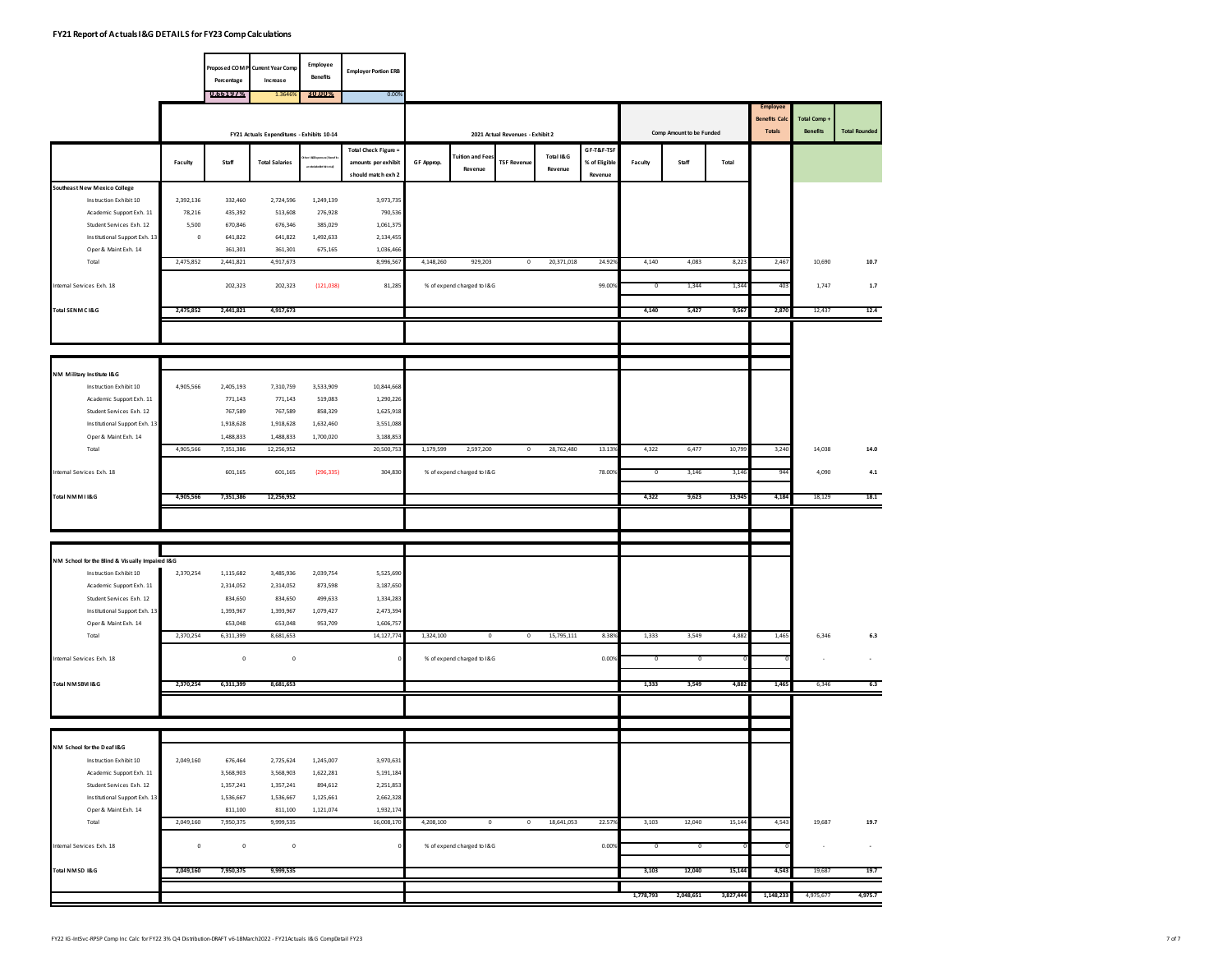|                                                       |           |                    | Proposed COM P Current Year Comp           | Employee                  | <b>Employer Portion ERB</b> |            |                            |                                  |            |               |           |                          |           |                                  |              |                      |
|-------------------------------------------------------|-----------|--------------------|--------------------------------------------|---------------------------|-----------------------------|------------|----------------------------|----------------------------------|------------|---------------|-----------|--------------------------|-----------|----------------------------------|--------------|----------------------|
|                                                       |           | Percentage         | Increase                                   | <b>Benefits</b>           |                             |            |                            |                                  |            |               |           |                          |           |                                  |              |                      |
|                                                       |           | 0.66197%           | 1.364                                      | 30.00%                    | 0.00%                       |            |                            |                                  |            |               |           |                          |           |                                  |              |                      |
|                                                       |           |                    |                                            |                           |                             |            |                            |                                  |            |               |           |                          |           | Employee<br><b>Benefits Calc</b> | Total Comp . |                      |
|                                                       |           |                    | FY21 Actuals Expenditures - Exhibits 10-14 |                           |                             |            |                            | 2021 Actual Revenues - Exhibit 2 |            |               |           | Comp Amount to be Funded |           | <b>Totals</b>                    | Benefits     | <b>Total Rounded</b> |
|                                                       |           |                    |                                            |                           | Total Check Figure =        |            |                            |                                  |            | GF-T&F-TSF    |           |                          |           |                                  |              |                      |
|                                                       | Faculty   | Staff              | <b>Total Salaries</b>                      |                           | amounts per exhibit         | GF Approp. | <b>Tuition and Fee:</b>    | <b>TSF Revenue</b>               | Total I&G  | % of Eligible | Faculty   | Staff                    | Total     |                                  |              |                      |
|                                                       |           |                    |                                            | <b>CHACLONGE MIT OT A</b> | should match exh 2          |            | Revenue                    |                                  | Revenue    | Revenue       |           |                          |           |                                  |              |                      |
| Southeast New Mexico College                          |           |                    |                                            |                           |                             |            |                            |                                  |            |               |           |                          |           |                                  |              |                      |
| Instruction Exhibit 10                                | 2,392,136 | 332,460            | 2,724,596                                  | 1,249,139                 | 3,973,735                   |            |                            |                                  |            |               |           |                          |           |                                  |              |                      |
| Academic Support Exh. 11                              | 78,216    | 435,392            | 513,608                                    | 276,928                   | 790,536                     |            |                            |                                  |            |               |           |                          |           |                                  |              |                      |
| Student Services Exh. 12                              | 5,500     | 670,846            | 676,346                                    | 385,029                   | 1,061,375                   |            |                            |                                  |            |               |           |                          |           |                                  |              |                      |
| Institutional Support Exh. 13<br>Oper & Maint Exh. 14 | $\circ$   | 641,822<br>361,301 | 641,822<br>361,301                         | 1,492,633                 | 2,134,455<br>1,036,466      |            |                            |                                  |            |               |           |                          |           |                                  |              |                      |
| Total                                                 | 2,475,852 | 2,441,821          | 4,917,673                                  | 675,165                   | 8,996,567                   | 4,148,260  | 929,203                    | $\mathbb O$                      | 20,371,018 | 24.929        | 4,140     | 4,083                    | 8,223     | 2,467                            | 10,690       | 10.7                 |
|                                                       |           |                    |                                            |                           |                             |            |                            |                                  |            |               |           |                          |           |                                  |              |                      |
| ntemal Services Exh. 18                               |           | 202,323            | 202,323                                    | (121, 038)                | 81,285                      |            | % of expend charged to I&G |                                  |            | 99.00%        | o         | 1,344                    | 1,34      | 40                               | 1,747        | $1.7\,$              |
|                                                       |           |                    |                                            |                           |                             |            |                            |                                  |            |               |           |                          |           |                                  |              |                      |
| Total SENMC I&G                                       | 2,475,852 | 2,441,821          | 4,917,673                                  |                           |                             |            |                            |                                  |            |               | 4,140     | 5,427                    | 9,567     | 2,870                            | 12,437       | 12.4                 |
|                                                       |           |                    |                                            |                           |                             |            |                            |                                  |            |               |           |                          |           |                                  |              |                      |
|                                                       |           |                    |                                            |                           |                             |            |                            |                                  |            |               |           |                          |           |                                  |              |                      |
|                                                       |           |                    |                                            |                           |                             |            |                            |                                  |            |               |           |                          |           |                                  |              |                      |
| NM Military Institute I&G                             |           |                    |                                            |                           |                             |            |                            |                                  |            |               |           |                          |           |                                  |              |                      |
| Instruction Exhibit 10                                | 4,905,566 | 2,405,193          | 7,310,759                                  | 3,533,909                 | 10,844,668                  |            |                            |                                  |            |               |           |                          |           |                                  |              |                      |
| Academic Support Exh. 11                              |           | 771,143            | 771,143                                    | 519,083                   | 1,290,226                   |            |                            |                                  |            |               |           |                          |           |                                  |              |                      |
| Student Services Exh. 12                              |           | 767,589            | 767,589                                    | 858,329                   | 1,625,918                   |            |                            |                                  |            |               |           |                          |           |                                  |              |                      |
| Institutional Support Exh. 13                         |           | 1,918,628          | 1,918,628                                  | 1,632,460                 | 3,551,088                   |            |                            |                                  |            |               |           |                          |           |                                  |              |                      |
| Oper & Maint Exh. 14                                  |           | 1,488,833          | 1,488,833                                  | 1,700,020                 | 3,188,853                   |            |                            |                                  |            |               |           |                          |           |                                  |              |                      |
| Total                                                 | 4,905,566 | 7,351,386          | 12,256,952                                 |                           | 20,500,753                  | 1,179,599  | 2,597,200                  | $\mathbb O$                      | 28,762,480 | 13.139        | 4,322     | 6,477                    | 10,799    | 3,240                            | 14,038       | 14.0                 |
| ntemal Services Exh. 18                               |           | 601,165            | 601,165                                    | (296, 335)                | 304,830                     |            | % of expend charged to I&G |                                  |            | 78.00%        | o         | 3,146                    | 3,14      |                                  | 4,090        | $\bf 4.1$            |
|                                                       |           |                    |                                            |                           |                             |            |                            |                                  |            |               |           |                          |           |                                  |              |                      |
| Total NMMI I&G                                        | 4,905,566 | 7,351,386          | 12,256,952                                 |                           |                             |            |                            |                                  |            |               | 4,322     | 9,623                    | 13,945    | 4,184                            | 18,129       | 18.1                 |
|                                                       |           |                    |                                            |                           |                             |            |                            |                                  |            |               |           |                          |           |                                  |              |                      |
|                                                       |           |                    |                                            |                           |                             |            |                            |                                  |            |               |           |                          |           |                                  |              |                      |
|                                                       |           |                    |                                            |                           |                             |            |                            |                                  |            |               |           |                          |           |                                  |              |                      |
| NM School for the Blind & Visually Impaired I&G       |           |                    |                                            |                           |                             |            |                            |                                  |            |               |           |                          |           |                                  |              |                      |
| Instruction Exhibit 10                                | 2,370,254 | 1,115,682          | 3,485,936                                  | 2,039,754                 | 5,525,690                   |            |                            |                                  |            |               |           |                          |           |                                  |              |                      |
| Academic Support Exh. 11                              |           | 2,314,052          | 2,314,052                                  | 873,598                   | 3,187,650                   |            |                            |                                  |            |               |           |                          |           |                                  |              |                      |
| Student Services Exh. 12                              |           | 834,650            | 834,650                                    | 499,633                   | 1,334,283                   |            |                            |                                  |            |               |           |                          |           |                                  |              |                      |
| Institutional Support Exh. 13                         |           | 1,393,967          | 1,393,967                                  | 1,079,427                 | 2,473,394                   |            |                            |                                  |            |               |           |                          |           |                                  |              |                      |
| Oper & Maint Exh. 14                                  |           | 653,048            | 653,048                                    | 953,709                   | 1,606,757                   |            |                            |                                  |            |               |           |                          |           |                                  |              |                      |
| Total                                                 | 2,370,254 | 6,311,399          | 8,681,653                                  |                           | 14,127,774                  | 1,324,100  | $\mathbf 0$                | $\mathbb O$                      | 15,795,111 | 8.389         | 1,333     | 3,549                    | 4,882     | 1,465                            | 6,346        | $6.3\,$              |
| ntemal Services Exh. 18                               |           | $\,0\,$            | $\mathbf 0$                                |                           |                             |            | % of expend charged to I&G |                                  |            | 0.00%         | o         | 0                        |           |                                  | $\sim$       |                      |
|                                                       |           |                    |                                            |                           |                             |            |                            |                                  |            |               |           |                          |           |                                  |              |                      |
| Total NMSBVI I&G                                      | 2,370,254 | 6,311,399          | 8,681,653                                  |                           |                             |            |                            |                                  |            |               | 1,333     | 3,549                    | 4,882     | 1,465                            | 6,346        | 6.3                  |
|                                                       |           |                    |                                            |                           |                             |            |                            |                                  |            |               |           |                          |           |                                  |              |                      |
|                                                       |           |                    |                                            |                           |                             |            |                            |                                  |            |               |           |                          |           |                                  |              |                      |
|                                                       |           |                    |                                            |                           |                             |            |                            |                                  |            |               |           |                          |           |                                  |              |                      |
| NM School for the Deaf I&G                            |           |                    |                                            |                           |                             |            |                            |                                  |            |               |           |                          |           |                                  |              |                      |
| Instruction Exhibit 10                                | 2,049,160 | 676,464            | 2,725,624                                  | 1,245,007                 | 3,970,631                   |            |                            |                                  |            |               |           |                          |           |                                  |              |                      |
| Academic Support Exh. 11                              |           | 3,568,903          | 3,568,903                                  | 1,622,281                 | 5,191,184                   |            |                            |                                  |            |               |           |                          |           |                                  |              |                      |
| Student Services Exh. 12                              |           | 1,357,241          | 1,357,241                                  | 894,612                   | 2,251,853                   |            |                            |                                  |            |               |           |                          |           |                                  |              |                      |
| Institutional Support Exh. 13                         |           | 1,536,667          | 1,536,667                                  | 1,125,661                 | 2,662,328                   |            |                            |                                  |            |               |           |                          |           |                                  |              |                      |
| Oper & Maint Exh. 14                                  |           | 811,100            | 811,100                                    | 1,121,074                 | 1,932,174                   |            |                            |                                  |            |               |           |                          |           |                                  |              |                      |
| Total                                                 | 2,049,160 | 7,950,375          | 9,999,535                                  |                           | 16,008,170                  | 4,208,100  | $\mathbf 0$                | $\mathbb O$                      | 18,641,053 | 22.579        | 3,103     | 12,040                   | 15,144    | 4,543                            | 19,687       | 19.7                 |
|                                                       |           |                    |                                            |                           |                             |            |                            |                                  |            |               |           |                          |           |                                  |              |                      |
| Internal Services Exh. 18                             | $\,0\,$   | $\mathbf 0$        | $\mathbf 0$                                |                           |                             |            | % of expend charged to I&G |                                  |            | 0.009         | 0         | O                        |           |                                  | $\sim$       | $\bullet$            |
| Total NMSD I&G                                        | 2,049,160 | 7,950,375          | 9,999,535                                  |                           |                             |            |                            |                                  |            |               | 3,103     | 12,040                   | 15,144    | 4,543                            | 19,687       | 19.7                 |
|                                                       |           |                    |                                            |                           |                             |            |                            |                                  |            |               |           |                          |           |                                  |              |                      |
|                                                       |           |                    |                                            |                           |                             |            |                            |                                  |            |               | 1,778,793 | 2,048,651                | 3,827,444 | 1,148,233                        | 4,975,677    | 4,975.7              |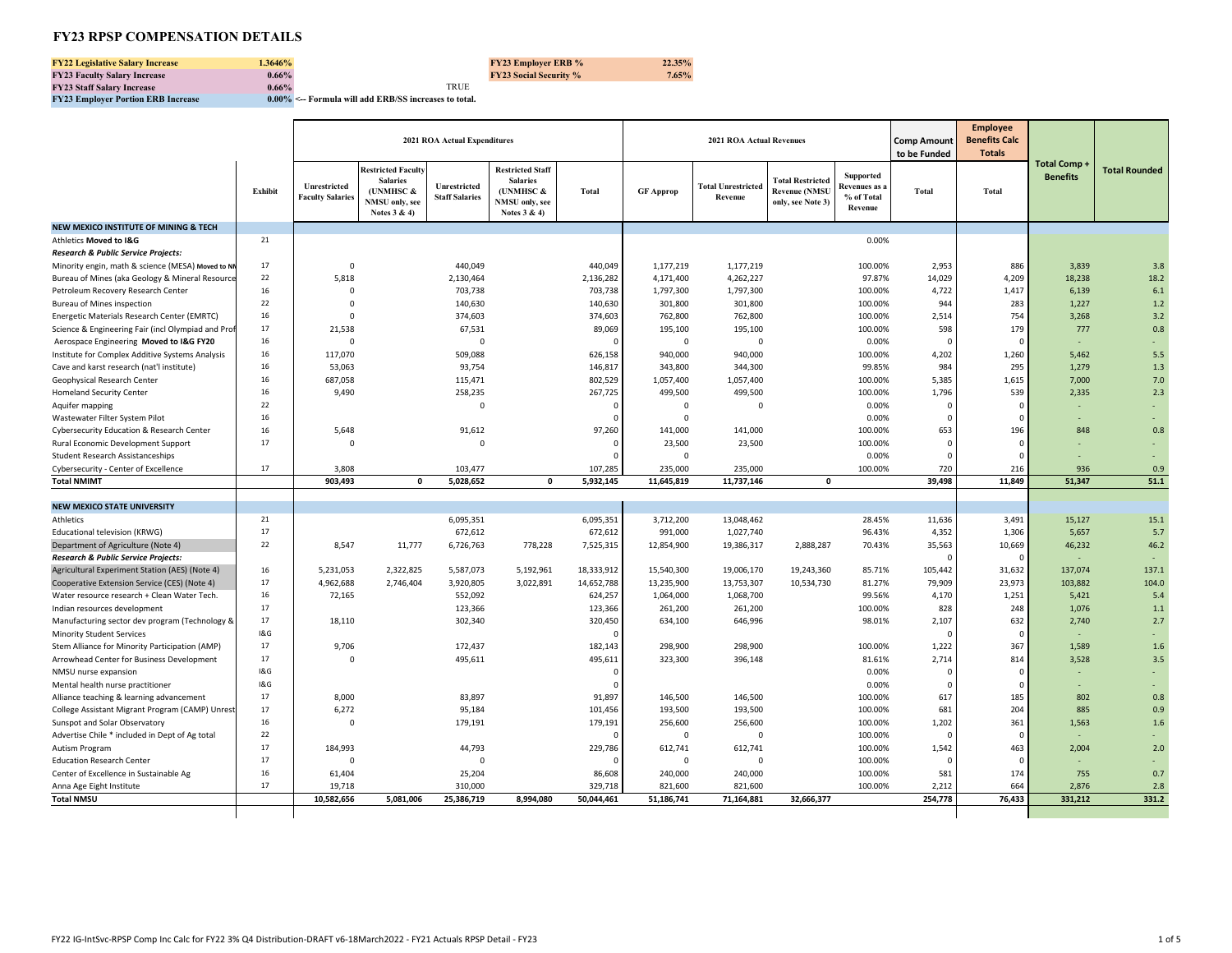## **FY23 RPSP COMPENSATION DETAILS**

| <b>FY22 Legislative Salary Increase</b> | .3646%   |             | <b>FY23 Employer ERB %</b>    | 22.35% |
|-----------------------------------------|----------|-------------|-------------------------------|--------|
| <b>FY23 Faculty Salary Increase</b>     | $0.66\%$ |             | <b>FY23 Social Security %</b> | 7.65%  |
| <b>FY23 Staff Salary Increase</b>       | $0.66\%$ | <b>TRUE</b> |                               |        |

**FY23 Employer Portion ERB Increase 0.00% <-- Formula will add ERB/SS increases to total.** 

|                                                    |                |                                         |                                                                                             | 2021 ROA Actual Expenditures          |                                                                                            |              |                  | <b>2021 ROA Actual Revenues</b>      |                                                                      |                                                            | <b>Comp Amount</b><br>to be Funded | <b>Employee</b><br><b>Benefits Calc</b><br><b>Totals</b> |                                 |                      |
|----------------------------------------------------|----------------|-----------------------------------------|---------------------------------------------------------------------------------------------|---------------------------------------|--------------------------------------------------------------------------------------------|--------------|------------------|--------------------------------------|----------------------------------------------------------------------|------------------------------------------------------------|------------------------------------|----------------------------------------------------------|---------------------------------|----------------------|
|                                                    | Exhibit        | Unrestricted<br><b>Faculty Salaries</b> | <b>Restricted Faculty</b><br><b>Salaries</b><br>(UNMHSC &<br>NMSU only, see<br>Notes 3 & 4) | Unrestricted<br><b>Staff Salaries</b> | <b>Restricted Staff</b><br><b>Salaries</b><br>(UNMHSC &<br>NMSU only, see<br>Notes $3 & 4$ | <b>Total</b> | <b>GF Approp</b> | <b>Total Unrestricted</b><br>Revenue | <b>Total Restricted</b><br><b>Revenue (NMSU</b><br>only, see Note 3) | <b>Supported</b><br>Revenues as :<br>% of Total<br>Revenue | <b>Total</b>                       | <b>Total</b>                                             | Total Comp -<br><b>Benefits</b> | <b>Total Rounded</b> |
| <b>NEW MEXICO INSTITUTE OF MINING &amp; TECH</b>   |                |                                         |                                                                                             |                                       |                                                                                            |              |                  |                                      |                                                                      |                                                            |                                    |                                                          |                                 |                      |
| Athletics Moved to I&G                             | 21             |                                         |                                                                                             |                                       |                                                                                            |              |                  |                                      |                                                                      | 0.00%                                                      |                                    |                                                          |                                 |                      |
| Research & Public Service Projects:                |                |                                         |                                                                                             |                                       |                                                                                            |              |                  |                                      |                                                                      |                                                            |                                    |                                                          |                                 |                      |
| Minority engin, math & science (MESA) Moved to NN  | 17             | $\mathbf 0$                             |                                                                                             | 440,049                               |                                                                                            | 440,049      | 1,177,219        | 1,177,219                            |                                                                      | 100.00%                                                    | 2,953                              | 886                                                      | 3,839                           | 3.8                  |
| Bureau of Mines (aka Geology & Mineral Resource    | 22             | 5,818                                   |                                                                                             | 2,130,464                             |                                                                                            | 2,136,282    | 4,171,400        | 4,262,227                            |                                                                      | 97.87%                                                     | 14,029                             | 4,209                                                    | 18,238                          | 18.2                 |
| Petroleum Recovery Research Center                 | 16             | $\mathbf 0$                             |                                                                                             | 703,738                               |                                                                                            | 703,738      | 1,797,300        | 1,797,300                            |                                                                      | 100.00%                                                    | 4,722                              | 1,417                                                    | 6,139                           | 6.1                  |
| <b>Bureau of Mines inspection</b>                  | 22             | $\mathbf 0$                             |                                                                                             | 140,630                               |                                                                                            | 140,630      | 301,800          | 301,800                              |                                                                      | 100.00%                                                    | 944                                | 283                                                      | 1,227                           | 1.2                  |
| Energetic Materials Research Center (EMRTC)        | 16             | $\mathbf 0$                             |                                                                                             | 374,603                               |                                                                                            | 374,603      | 762,800          | 762,800                              |                                                                      | 100.00%                                                    | 2,514                              | 754                                                      | 3,268                           | 3.2                  |
| Science & Engineering Fair (incl Olympiad and Prof | 17             | 21,538                                  |                                                                                             | 67,531                                |                                                                                            | 89,069       | 195,100          | 195,100                              |                                                                      | 100.00%                                                    | 598                                | 179                                                      | 777                             | 0.8                  |
| Aerospace Engineering Moved to I&G FY20            | 16             | $\mathbf 0$                             |                                                                                             | $\Omega$                              |                                                                                            | $\Omega$     | 0                | $\mathbf 0$                          |                                                                      | 0.00%                                                      | $\Omega$                           |                                                          |                                 |                      |
| Institute for Complex Additive Systems Analysis    | 16             | 117.070                                 |                                                                                             | 509.088                               |                                                                                            | 626,158      | 940,000          | 940.000                              |                                                                      | 100.00%                                                    | 4,202                              | 1,260                                                    | 5.462                           | 5.5                  |
| Cave and karst research (nat'l institute)          | 16             | 53,063                                  |                                                                                             | 93,754                                |                                                                                            | 146,817      | 343,800          | 344,300                              |                                                                      | 99.85%                                                     | 984                                | 295                                                      | 1,279                           | 1.3                  |
| Geophysical Research Center                        | 16             | 687,058                                 |                                                                                             | 115,471                               |                                                                                            | 802,529      | 1,057,400        | 1,057,400                            |                                                                      | 100.00%                                                    | 5,385                              | 1,615                                                    | 7,000                           | 7.0                  |
| <b>Homeland Security Center</b>                    | 16             | 9,490                                   |                                                                                             | 258,235                               |                                                                                            | 267,725      | 499,500          | 499,500                              |                                                                      | 100.00%                                                    | 1,796                              | 539                                                      | 2,335                           | 2.3                  |
| Aquifer mapping                                    | 22             |                                         |                                                                                             | $\Omega$                              |                                                                                            | $\Omega$     | $\overline{0}$   | $\Omega$                             |                                                                      | 0.00%                                                      | $\Omega$                           |                                                          |                                 |                      |
| Wastewater Filter System Pilot                     | 16             |                                         |                                                                                             |                                       |                                                                                            | $\Omega$     | $\mathbf 0$      |                                      |                                                                      | 0.00%                                                      | $\Omega$                           | $\Omega$                                                 |                                 |                      |
| Cybersecurity Education & Research Center          | 16             | 5,648                                   |                                                                                             | 91,612                                |                                                                                            | 97,260       | 141,000          | 141,000                              |                                                                      | 100.00%                                                    | 653                                | 196                                                      | 848                             | 0.8                  |
| Rural Economic Development Support                 | 17             | $\Omega$                                |                                                                                             | $\Omega$                              |                                                                                            | $\Omega$     | 23,500           | 23,500                               |                                                                      | 100.00%                                                    | $\overline{0}$                     | $\Omega$                                                 |                                 |                      |
| <b>Student Research Assistanceships</b>            |                |                                         |                                                                                             |                                       |                                                                                            | $\Omega$     | $\mathbf 0$      |                                      |                                                                      | 0.00%                                                      | $\mathbf 0$                        | $\Omega$                                                 |                                 |                      |
| Cybersecurity - Center of Excellence               | 17             | 3,808                                   |                                                                                             | 103,477                               |                                                                                            | 107,285      | 235,000          | 235,000                              |                                                                      | 100.00%                                                    | 720                                | 216                                                      | 936                             | 0.9                  |
| <b>Total NMIMT</b>                                 |                | 903,493                                 | $\mathbf{o}$                                                                                | 5,028,652                             | $\Omega$                                                                                   | 5,932,145    | 11,645,819       | 11,737,146                           | $\mathbf{0}$                                                         |                                                            | 39,498                             | 11,849                                                   | 51,347                          | 51.1                 |
|                                                    |                |                                         |                                                                                             |                                       |                                                                                            |              |                  |                                      |                                                                      |                                                            |                                    |                                                          |                                 |                      |
| <b>NEW MEXICO STATE UNIVERSITY</b>                 |                |                                         |                                                                                             |                                       |                                                                                            |              |                  |                                      |                                                                      |                                                            |                                    |                                                          |                                 |                      |
| Athletics                                          | 21             |                                         |                                                                                             | 6,095,351                             |                                                                                            | 6,095,351    | 3,712,200        | 13,048,462                           |                                                                      | 28.45%                                                     | 11,636                             | 3,491                                                    | 15,127                          | 15.1                 |
| Educational television (KRWG)                      | 17             |                                         |                                                                                             | 672,612                               |                                                                                            | 672,612      | 991,000          | 1,027,740                            |                                                                      | 96.43%                                                     | 4,352                              | 1,306                                                    | 5,657                           | 5.7                  |
| Department of Agriculture (Note 4)                 | 22             | 8,547                                   | 11,777                                                                                      | 6,726,763                             | 778,228                                                                                    | 7,525,315    | 12,854,900       | 19,386,317                           | 2,888,287                                                            | 70.43%                                                     | 35,563                             | 10,669                                                   | 46,232                          | 46.2                 |
| Research & Public Service Projects:                |                |                                         |                                                                                             |                                       |                                                                                            |              |                  |                                      |                                                                      |                                                            | $\Omega$                           | $\Omega$                                                 |                                 |                      |
| Agricultural Experiment Station (AES) (Note 4)     | 16             | 5,231,053                               | 2,322,825                                                                                   | 5,587,073                             | 5,192,961                                                                                  | 18,333,912   | 15,540,300       | 19,006,170                           | 19,243,360                                                           | 85.71%                                                     | 105,442                            | 31,632                                                   | 137,074                         | 137.1                |
| Cooperative Extension Service (CES) (Note 4)       | 17             | 4,962,688                               | 2,746,404                                                                                   | 3,920,805                             | 3,022,891                                                                                  | 14,652,788   | 13,235,900       | 13,753,307                           | 10,534,730                                                           | 81.27%                                                     | 79.909                             | 23.973                                                   | 103.882                         | 104.0                |
| Water resource research + Clean Water Tech.        | 16             | 72,165                                  |                                                                                             | 552,092                               |                                                                                            | 624,257      | 1,064,000        | 1,068,700                            |                                                                      | 99.56%                                                     | 4,170                              | 1,251                                                    | 5,421                           | 5.4                  |
| Indian resources development                       | 17             |                                         |                                                                                             | 123,366                               |                                                                                            | 123,366      | 261,200          | 261,200                              |                                                                      | 100.00%                                                    | 828                                | 248                                                      | 1.076                           | 1.1                  |
| Manufacturing sector dev program (Technology &     | 17             | 18,110                                  |                                                                                             | 302,340                               |                                                                                            | 320,450      | 634,100          | 646,996                              |                                                                      | 98.01%                                                     | 2,107                              | 632                                                      | 2,740                           | 2.7                  |
| <b>Minority Student Services</b>                   | <b>1&amp;G</b> |                                         |                                                                                             |                                       |                                                                                            | $\Omega$     |                  |                                      |                                                                      |                                                            | $\Omega$                           |                                                          |                                 |                      |
| Stem Alliance for Minority Participation (AMP)     | 17             | 9,706                                   |                                                                                             | 172,437                               |                                                                                            | 182,143      | 298,900          | 298,900                              |                                                                      | 100.00%                                                    | 1,222                              | 367                                                      | 1,589                           | 1.6                  |
| Arrowhead Center for Business Development          | 17             | $\mathbf 0$                             |                                                                                             | 495,611                               |                                                                                            | 495,611      | 323,300          | 396,148                              |                                                                      | 81.61%                                                     | 2,714                              | 814                                                      | 3,528                           | 3.5                  |
| NMSU nurse expansion                               | <b>1&amp;G</b> |                                         |                                                                                             |                                       |                                                                                            | $\Omega$     |                  |                                      |                                                                      | 0.00%                                                      | $\Omega$                           | $\Omega$                                                 |                                 |                      |
| Mental health nurse practitioner                   | 18G            |                                         |                                                                                             |                                       |                                                                                            | $\Omega$     |                  |                                      |                                                                      | 0.00%                                                      | $\Omega$                           | $\Omega$                                                 |                                 |                      |
| Alliance teaching & learning advancement           | 17             | 8,000                                   |                                                                                             | 83,897                                |                                                                                            | 91,897       | 146,500          | 146,500                              |                                                                      | 100.00%                                                    | 617                                | 185                                                      | 802                             | 0.8                  |
| College Assistant Migrant Program (CAMP) Unrest    | 17             | 6,272                                   |                                                                                             | 95,184                                |                                                                                            | 101,456      | 193,500          | 193,500                              |                                                                      | 100.00%                                                    | 681                                | 204                                                      | 885                             | 0.9                  |
| Sunspot and Solar Observatory                      | 16             | $\mathbf 0$                             |                                                                                             | 179,191                               |                                                                                            | 179,191      | 256,600          | 256,600                              |                                                                      | 100.00%                                                    | 1,202                              | 361                                                      | 1,563                           | 1.6                  |
| Advertise Chile * included in Dept of Ag total     | 22             |                                         |                                                                                             |                                       |                                                                                            | n            | $\overline{0}$   | $\Omega$                             |                                                                      | 100.00%                                                    |                                    |                                                          |                                 |                      |
| Autism Program                                     | 17             | 184,993                                 |                                                                                             | 44,793                                |                                                                                            | 229,786      | 612,741          | 612,741                              |                                                                      | 100.00%                                                    | 1,542                              | 463                                                      | 2,004                           | 2.0                  |
| <b>Education Research Center</b>                   | 17             | $\mathbf 0$                             |                                                                                             | $\Omega$                              |                                                                                            | $\Omega$     | $\mathbf 0$      | $\Omega$                             |                                                                      | 100.00%                                                    | $\Omega$                           | $\Omega$                                                 |                                 |                      |
| Center of Excellence in Sustainable Ag             | 16             | 61,404                                  |                                                                                             | 25,204                                |                                                                                            | 86,608       | 240,000          | 240,000                              |                                                                      | 100.00%                                                    | 581                                | 174                                                      | 755                             | 0.7                  |
| Anna Age Eight Institute                           | 17             | 19,718                                  |                                                                                             | 310,000                               |                                                                                            | 329,718      | 821,600          | 821,600                              |                                                                      | 100.00%                                                    | 2,212                              | 664                                                      | 2,876                           | 2.8                  |
| <b>Total NMSU</b>                                  |                | 10,582,656                              | 5,081,006                                                                                   | 25,386,719                            | 8,994,080                                                                                  | 50,044,461   | 51,186,741       | 71,164,881                           | 32,666,377                                                           |                                                            | 254,778                            | 76,433                                                   | 331,212                         | 331.2                |
|                                                    |                |                                         |                                                                                             |                                       |                                                                                            |              |                  |                                      |                                                                      |                                                            |                                    |                                                          |                                 |                      |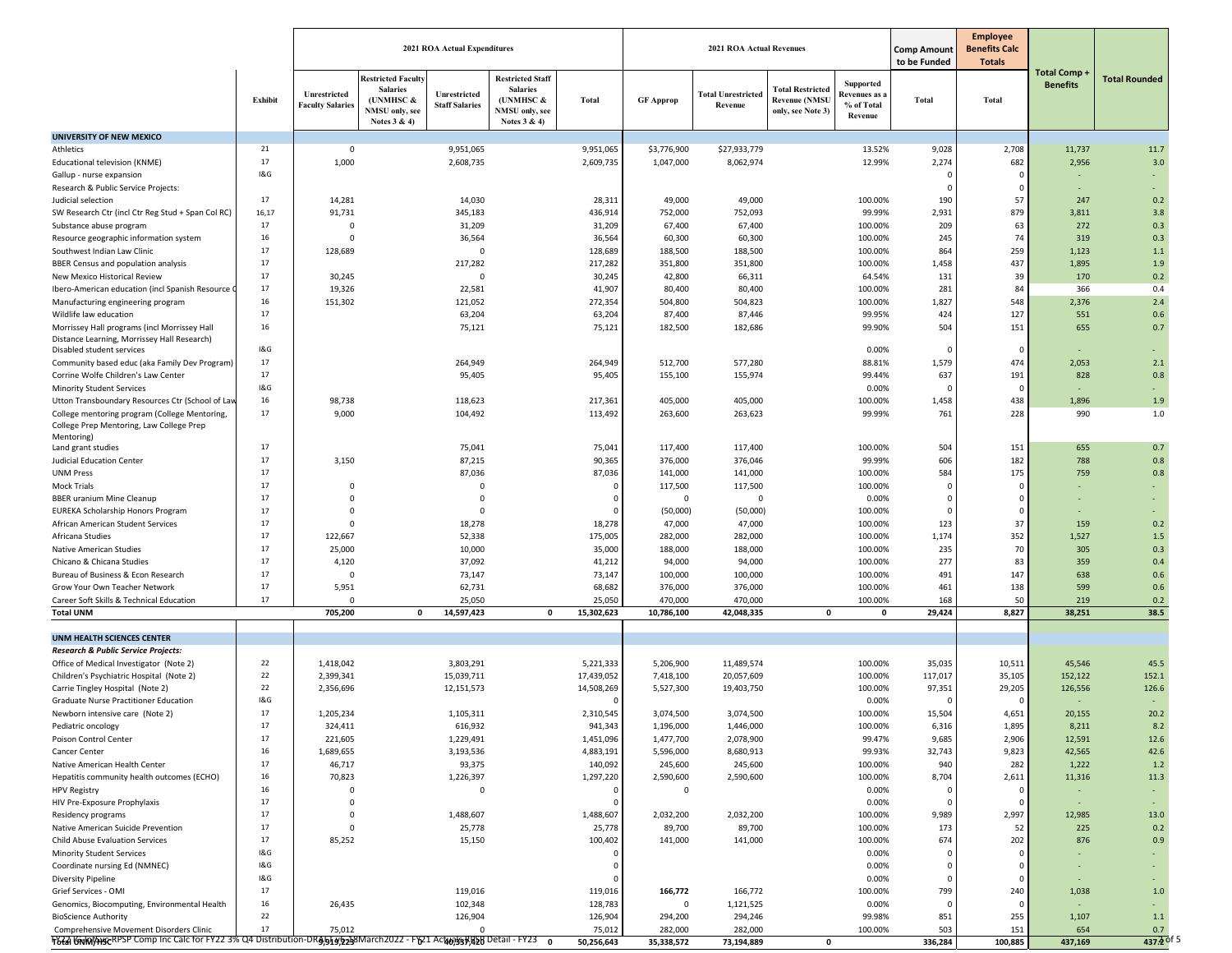|                                                                                                                |          |                                         | 2021 ROA Actual Expenditures                                                                                                         |                                                                                           |                    |                    | <b>2021 ROA Actual Revenues</b>      |                                                                      |                                                     | <b>Comp Amount</b><br>to be Funded | <b>Employee</b><br><b>Benefits Calc</b><br><b>Totals</b> |                                       |                       |
|----------------------------------------------------------------------------------------------------------------|----------|-----------------------------------------|--------------------------------------------------------------------------------------------------------------------------------------|-------------------------------------------------------------------------------------------|--------------------|--------------------|--------------------------------------|----------------------------------------------------------------------|-----------------------------------------------------|------------------------------------|----------------------------------------------------------|---------------------------------------|-----------------------|
|                                                                                                                | Exhibit  | Unrestricted<br><b>Faculty Salaries</b> | <b>Restricted Faculty</b><br><b>Salaries</b><br>Unrestricted<br>(UNMHSC &<br><b>Staff Salaries</b><br>NMSU only, see<br>Notes 3 & 4) | <b>Restricted Staff</b><br><b>Salaries</b><br>(UNMHSC &<br>NMSU only, see<br>Notes 3 & 4) | Total              | <b>GF Approp</b>   | <b>Total Unrestricted</b><br>Revenue | <b>Total Restricted</b><br><b>Revenue (NMSU</b><br>only, see Note 3) | Supported<br>Revenues as :<br>% of Total<br>Revenue | <b>Total</b>                       | <b>Total</b>                                             | <b>Total Comp+</b><br><b>Benefits</b> | <b>Total Rounded</b>  |
| <b>UNIVERSITY OF NEW MEXICO</b>                                                                                |          |                                         |                                                                                                                                      |                                                                                           |                    |                    |                                      |                                                                      |                                                     |                                    |                                                          |                                       |                       |
| Athletics                                                                                                      | 21       | $\Omega$                                | 9,951,065                                                                                                                            |                                                                                           | 9,951,065          | \$3,776,900        | \$27,933,779                         |                                                                      | 13.52%                                              | 9,028                              | 2,708                                                    | 11,737                                | 11.7                  |
| Educational television (KNME)                                                                                  | 17       | 1,000                                   | 2,608,735                                                                                                                            |                                                                                           | 2,609,735          | 1,047,000          | 8,062,974                            |                                                                      | 12.99%                                              | 2,274                              | 682                                                      | 2,956                                 | 3.0                   |
| Gallup - nurse expansion                                                                                       | 1&G      |                                         |                                                                                                                                      |                                                                                           |                    |                    |                                      |                                                                      |                                                     | $\Omega$                           | $\Omega$                                                 |                                       |                       |
| Research & Public Service Projects:                                                                            |          |                                         |                                                                                                                                      |                                                                                           |                    |                    |                                      |                                                                      |                                                     | $\Omega$                           | $\Omega$                                                 |                                       |                       |
| Judicial selection                                                                                             | 17       | 14,281                                  |                                                                                                                                      | 14,030                                                                                    | 28,311             | 49,000             | 49,000                               |                                                                      | 100.00%                                             | 190                                | 57                                                       | 247                                   | 0.2                   |
| SW Research Ctr (incl Ctr Reg Stud + Span Col RC)                                                              | 16,17    | 91,731                                  | 345,183                                                                                                                              |                                                                                           | 436,914            | 752,000            | 752,093                              |                                                                      | 99.99%                                              | 2,931                              | 879                                                      | 3,811                                 | 3.8                   |
| Substance abuse program                                                                                        | 17       | $\mathbf 0$                             |                                                                                                                                      | 31,209                                                                                    | 31,209             | 67,400             | 67,400                               |                                                                      | 100.00%                                             | 209                                | 63                                                       | 272                                   | 0.3                   |
| Resource geographic information system                                                                         | 16<br>17 | $\Omega$                                |                                                                                                                                      | 36,564                                                                                    | 36,564             | 60,300             | 60,300                               |                                                                      | 100.00%                                             | 245                                | 74                                                       | 319                                   | 0.3                   |
| Southwest Indian Law Clinic                                                                                    | 17       | 128,689                                 |                                                                                                                                      | $\overline{0}$                                                                            | 128,689            | 188,500            | 188,500                              |                                                                      | 100.00%                                             | 864<br>1,458                       | 259<br>437                                               | 1,123                                 | 1.1                   |
| BBER Census and population analysis                                                                            | 17       | 30,245                                  | 217,282                                                                                                                              | $\overline{0}$                                                                            | 217,282<br>30,245  | 351,800<br>42,800  | 351,800<br>66,311                    |                                                                      | 100.00%<br>64.54%                                   | 131                                | 39                                                       | 1,895<br>170                          | 1.9<br>0.2            |
| New Mexico Historical Review<br>Ibero-American education (incl Spanish Resource O                              | 17       | 19,326                                  |                                                                                                                                      | 22,581                                                                                    | 41,907             | 80,400             | 80,400                               |                                                                      | 100.00%                                             | 281                                | 84                                                       | 366                                   | 0.4                   |
| Manufacturing engineering program                                                                              | 16       | 151,302                                 | 121,052                                                                                                                              |                                                                                           | 272,354            | 504,800            | 504,823                              |                                                                      | 100.00%                                             | 1,827                              | 548                                                      | 2,376                                 | 2.4                   |
| Wildlife law education                                                                                         | 17       |                                         |                                                                                                                                      | 63,204                                                                                    | 63,204             | 87,400             | 87,446                               |                                                                      | 99.95%                                              | 424                                | 127                                                      | 551                                   | 0.6                   |
| Morrissey Hall programs (incl Morrissey Hall                                                                   | 16       |                                         |                                                                                                                                      | 75,121                                                                                    | 75,121             | 182,500            | 182,686                              |                                                                      | 99.90%                                              | 504                                | 151                                                      | 655                                   | 0.7                   |
| Distance Learning, Morrissey Hall Research)                                                                    |          |                                         |                                                                                                                                      |                                                                                           |                    |                    |                                      |                                                                      |                                                     |                                    |                                                          |                                       |                       |
| Disabled student services                                                                                      | 1&G      |                                         |                                                                                                                                      |                                                                                           |                    |                    |                                      |                                                                      | 0.00%                                               | $\Omega$                           | $\Omega$                                                 | ٠                                     |                       |
| Community based educ (aka Family Dev Program)                                                                  | 17       |                                         | 264,949                                                                                                                              |                                                                                           | 264,949            | 512,700            | 577,280                              |                                                                      | 88.81%                                              | 1,579                              | 474                                                      | 2,053                                 | 2.1                   |
| Corrine Wolfe Children's Law Center                                                                            | 17       |                                         |                                                                                                                                      | 95,405                                                                                    | 95,405             | 155,100            | 155,974                              |                                                                      | 99.44%                                              | 637                                | 191                                                      | 828                                   | 0.8                   |
| <b>Minority Student Services</b>                                                                               | 1&G      |                                         |                                                                                                                                      |                                                                                           |                    |                    |                                      |                                                                      | 0.00%                                               | $\epsilon$                         | $\Omega$                                                 |                                       | $\sim$                |
| Utton Transboundary Resources Ctr (School of Lav                                                               | 16       | 98,738                                  | 118,623                                                                                                                              |                                                                                           | 217,361            | 405,000            | 405,000                              |                                                                      | 100.00%                                             | 1,458                              | 438                                                      | 1,896                                 | 1.9                   |
| College mentoring program (College Mentoring,<br>College Prep Mentoring, Law College Prep                      | 17       | 9,000                                   | 104,492                                                                                                                              |                                                                                           | 113,492            | 263,600            | 263,623                              |                                                                      | 99.99%                                              | 761                                | 228                                                      | 990                                   | 1.0                   |
| Mentoring)                                                                                                     |          |                                         |                                                                                                                                      |                                                                                           |                    |                    |                                      |                                                                      |                                                     |                                    |                                                          |                                       |                       |
| Land grant studies                                                                                             | 17       |                                         |                                                                                                                                      | 75,041                                                                                    | 75,041             | 117,400            | 117,400                              |                                                                      | 100.00%                                             | 504                                | 151                                                      | 655                                   | 0.7                   |
| <b>Judicial Education Center</b>                                                                               | 17       | 3,150                                   |                                                                                                                                      | 87,215                                                                                    | 90,365             | 376,000            | 376,046                              |                                                                      | 99.99%                                              | 606                                | 182                                                      | 788                                   | 0.8                   |
| <b>UNM Press</b>                                                                                               | 17<br>17 |                                         |                                                                                                                                      | 87,036                                                                                    | 87,036             | 141,000            | 141,000                              |                                                                      | 100.00%                                             | 584                                | 175                                                      | 759                                   | 0.8                   |
| Mock Trials                                                                                                    | 17       | $\Omega$                                |                                                                                                                                      | $\overline{\mathbf{0}}$                                                                   | $\mathbf 0$        | 117,500            | 117,500                              |                                                                      | 100.00%                                             | $\Omega$<br>$\Omega$               | $\Omega$                                                 |                                       |                       |
| <b>BBER uranium Mine Cleanup</b>                                                                               | 17       | $\Omega$<br>$\Omega$                    |                                                                                                                                      | $\overline{0}$<br>$\overline{0}$                                                          | 0<br>0             | $\mathbf{0}$       | 0                                    |                                                                      | 0.00%<br>100.00%                                    | $\Omega$                           | $\Omega$                                                 |                                       |                       |
| <b>EUREKA Scholarship Honors Program</b><br>African American Student Services                                  | 17       | $\Omega$                                |                                                                                                                                      | 18,278                                                                                    | 18,278             | (50,000)<br>47,000 | (50,000)<br>47,000                   |                                                                      | 100.00%                                             | 123                                | 37                                                       | 159                                   | 0.2                   |
| Africana Studies                                                                                               | 17       | 122,667                                 |                                                                                                                                      | 52,338                                                                                    | 175,005            | 282,000            | 282,000                              |                                                                      | 100.00%                                             | 1,174                              | 352                                                      | 1,527                                 | 1.5                   |
| Native American Studies                                                                                        | 17       | 25,000                                  |                                                                                                                                      | 10,000                                                                                    | 35,000             | 188,000            | 188,000                              |                                                                      | 100.00%                                             | 235                                | 70                                                       | 305                                   | 0.3                   |
| Chicano & Chicana Studies                                                                                      | 17       | 4,120                                   |                                                                                                                                      | 37,092                                                                                    | 41,212             | 94,000             | 94,000                               |                                                                      | 100.00%                                             | 277                                | 83                                                       | 359                                   | 0.4                   |
| Bureau of Business & Econ Research                                                                             | 17       | $\Omega$                                |                                                                                                                                      | 73,147                                                                                    | 73,147             | 100,000            | 100,000                              |                                                                      | 100.00%                                             | 491                                | 147                                                      | 638                                   | 0.6                   |
| Grow Your Own Teacher Network                                                                                  | 17       | 5,951                                   |                                                                                                                                      | 62,731                                                                                    | 68,682             | 376,000            | 376,000                              |                                                                      | 100.00%                                             | 461                                | 138                                                      | 599                                   | 0.6                   |
| Career Soft Skills & Technical Education                                                                       | 17       | $\mathbf 0$                             |                                                                                                                                      | 25,050                                                                                    | 25,050             | 470,000            | 470,000                              |                                                                      | 100.00%                                             | 168                                | 50                                                       | 219                                   | 0.2                   |
| <b>Total UNM</b>                                                                                               |          | 705,200                                 | 14,597,423<br>0                                                                                                                      | $\mathbf 0$                                                                               | 15,302,623         | 10,786,100         | 42,048,335                           | 0                                                                    | 0                                                   | 29,424                             | 8,827                                                    | 38,251                                | 38.5                  |
| UNM HEALTH SCIENCES CENTER                                                                                     |          |                                         |                                                                                                                                      |                                                                                           |                    |                    |                                      |                                                                      |                                                     |                                    |                                                          |                                       |                       |
| Research & Public Service Projects:                                                                            |          |                                         |                                                                                                                                      |                                                                                           |                    |                    |                                      |                                                                      |                                                     |                                    |                                                          |                                       |                       |
| Office of Medical Investigator (Note 2)                                                                        | 22       | 1,418,042                               | 3,803,291                                                                                                                            |                                                                                           | 5,221,333          | 5,206,900          | 11,489,574                           |                                                                      | 100.00%                                             | 35,035                             | 10,511                                                   | 45,546                                | 45.5                  |
| Children's Psychiatric Hospital (Note 2)                                                                       | 22       | 2,399,341                               | 15,039,711                                                                                                                           |                                                                                           | 17,439,052         | 7,418,100          | 20,057,609                           |                                                                      | 100.00%                                             | 117,017                            | 35,105                                                   | 152,122                               | 152.1                 |
| Carrie Tingley Hospital (Note 2)                                                                               | 22       | 2,356,696                               | 12,151,573                                                                                                                           |                                                                                           | 14,508,269         | 5,527,300          | 19,403,750                           |                                                                      | 100.00%                                             | 97,351                             | 29,205                                                   | 126,556                               | 126.6                 |
| Graduate Nurse Practitioner Education                                                                          | 1&G      |                                         |                                                                                                                                      |                                                                                           | $\Omega$           |                    |                                      |                                                                      | 0.00%                                               |                                    |                                                          |                                       |                       |
| Newborn intensive care (Note 2)                                                                                | 17       | 1,205,234                               | 1,105,311                                                                                                                            |                                                                                           | 2,310,545          | 3,074,500          | 3,074,500                            |                                                                      | 100.00%                                             | 15,504                             | 4,651                                                    | 20,155                                | 20.2                  |
| Pediatric oncology                                                                                             |          | 324,411                                 | 616,932                                                                                                                              |                                                                                           | 941,343            | 1,196,000          | 1,446,000                            |                                                                      | 100.00%                                             | 6,316                              | 1,895                                                    | 8,211                                 | 8.2                   |
| Poison Control Center                                                                                          | 17       | 221,605                                 | 1,229,491                                                                                                                            |                                                                                           | 1,451,096          | 1,477,700          | 2,078,900                            |                                                                      | 99.47%                                              | 9,685                              | 2,906                                                    | 12,591                                | 12.6                  |
| Cancer Center                                                                                                  | 16       | 1,689,655                               | 3,193,536                                                                                                                            |                                                                                           | 4,883,191          | 5,596,000          | 8,680,913                            |                                                                      | 99.93%                                              | 32,743                             | 9,823                                                    | 42,565                                | 42.6                  |
| Native American Health Center                                                                                  | 17       | 46,717                                  |                                                                                                                                      | 93,375                                                                                    | 140,092            | 245,600            | 245,600                              |                                                                      | 100.00%                                             | 940                                | 282                                                      | 1,222                                 | 1.2                   |
| Hepatitis community health outcomes (ECHO)                                                                     | 16       | 70,823                                  | 1,226,397                                                                                                                            |                                                                                           | 1,297,220          | 2,590,600          | 2,590,600                            |                                                                      | 100.00%                                             | 8,704                              | 2,611                                                    | 11,316                                | 11.3                  |
| <b>HPV Registry</b>                                                                                            | 16       | $\Omega$                                |                                                                                                                                      | 0                                                                                         | $\mathbf 0$        | $\overline{0}$     |                                      |                                                                      | 0.00%                                               | $\Omega$                           | $\Omega$                                                 |                                       |                       |
| HIV Pre-Exposure Prophylaxis                                                                                   | 17       | $\Omega$                                |                                                                                                                                      |                                                                                           | 0                  |                    |                                      |                                                                      | 0.00%                                               |                                    |                                                          |                                       |                       |
| Residency programs                                                                                             | 17       | $\mathbf 0$                             | 1,488,607                                                                                                                            |                                                                                           | 1,488,607          | 2,032,200          | 2,032,200                            |                                                                      | 100.00%                                             | 9,989                              | 2,997                                                    | 12,985                                | 13.0                  |
| Native American Suicide Prevention                                                                             | 17       | 0                                       |                                                                                                                                      | 25,778                                                                                    | 25,778             | 89,700             | 89,700                               |                                                                      | 100.00%                                             | 173                                | 52                                                       | 225                                   | 0.2                   |
| Child Abuse Evaluation Services                                                                                | 17       | 85,252                                  |                                                                                                                                      | 15,150                                                                                    | 100,402            | 141,000            | 141,000                              |                                                                      | 100.00%                                             | 674                                | 202                                                      | 876                                   | 0.9                   |
| <b>Minority Student Services</b>                                                                               | 1&G      |                                         |                                                                                                                                      |                                                                                           | $\Omega$           |                    |                                      |                                                                      | 0.00%                                               |                                    |                                                          |                                       |                       |
| Coordinate nursing Ed (NMNEC)                                                                                  | 1&G      |                                         |                                                                                                                                      |                                                                                           | 0                  |                    |                                      |                                                                      | 0.00%                                               | $\Omega$                           |                                                          |                                       |                       |
| <b>Diversity Pipeline</b>                                                                                      | 1&G      |                                         |                                                                                                                                      |                                                                                           | 0                  |                    |                                      |                                                                      | 0.00%                                               | 0                                  |                                                          |                                       |                       |
| Grief Services - OMI                                                                                           | 17<br>16 |                                         | 119,016                                                                                                                              |                                                                                           | 119,016            | 166,772            | 166,772                              |                                                                      | 100.00%                                             | 799                                | 240                                                      | 1,038                                 | 1.0                   |
| Genomics, Biocomputing, Environmental Health<br><b>BioScience Authority</b>                                    | 22       | 26,435                                  | 102,348<br>126,904                                                                                                                   |                                                                                           | 128,783<br>126,904 | 0<br>294,200       | 1,121,525<br>294,246                 |                                                                      | 0.00%<br>99.98%                                     | $\Omega$<br>851                    | $\Omega$<br>255                                          | 1,107                                 | 1.1                   |
| Comprehensive Movement Disorders Clinic                                                                        | 17       | 75,012                                  |                                                                                                                                      | $\Omega$                                                                                  | 75,012             | 282,000            | 282,000                              |                                                                      | 100.00%                                             | 503                                | 151                                                      | 654                                   | 0.7                   |
| F827 GnMAKGRPSP Comp Inc Calc for FY22 3% Q4 Distribution-DRA5146253March2022 - F621 Act40357458 Detail - FY23 |          |                                         |                                                                                                                                      | $\mathbf{0}$                                                                              | 50,256,643         | 35,338,572         | 73,194,889                           | 0                                                                    |                                                     | 336,284                            | 100,885                                                  | 437,169                               | 437.2 <sup>ot 5</sup> |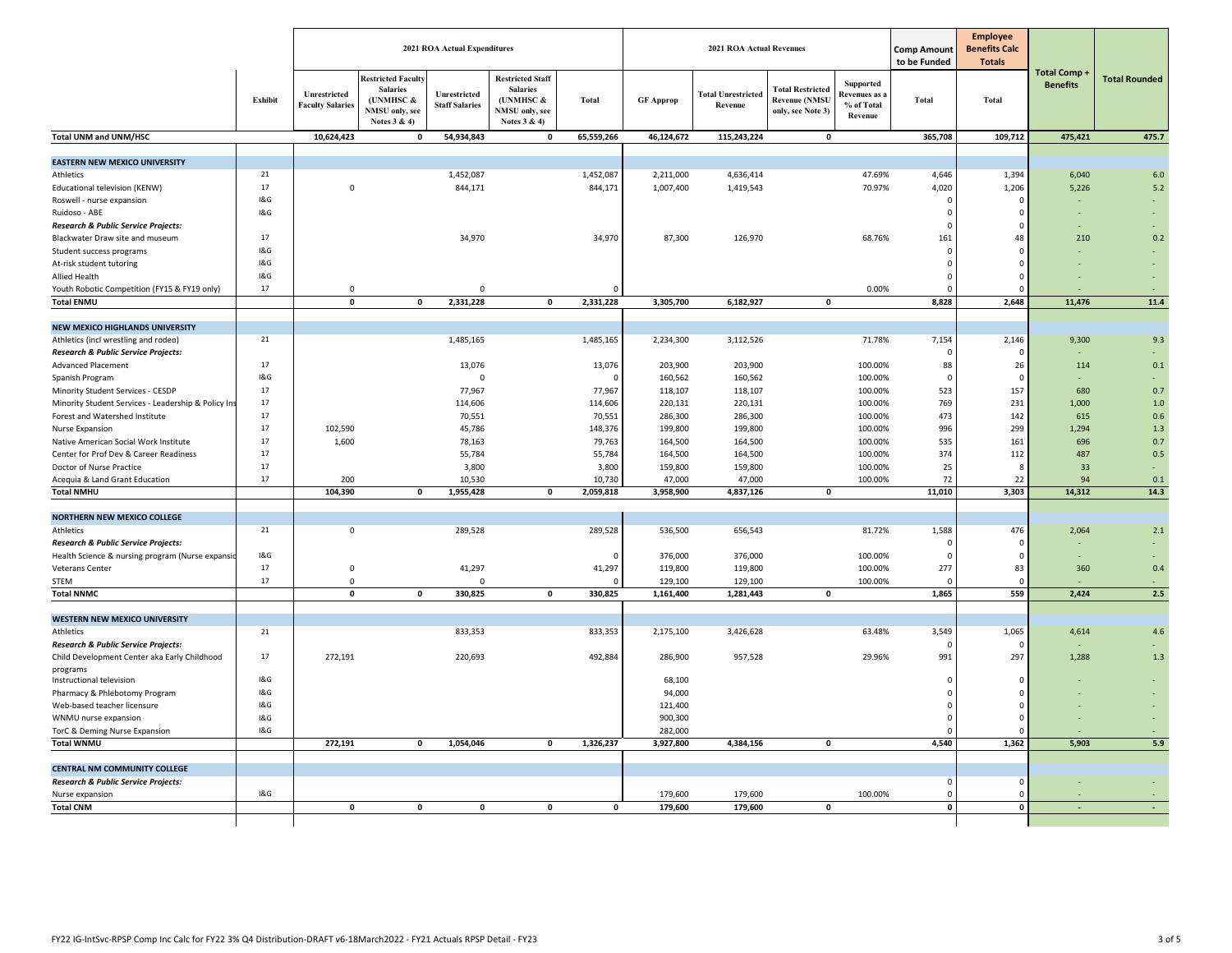|                                                                     |                |                                         |                                                                                             | 2021 ROA Actual Expenditures          |                                                                                           |              |                  | <b>2021 ROA Actual Revenues</b>      |                                                                      | <b>Comp Amount</b><br>to be Funded                        | <b>Employee</b><br><b>Benefits Calc</b><br><b>Totals</b> |                 |                                      |                      |
|---------------------------------------------------------------------|----------------|-----------------------------------------|---------------------------------------------------------------------------------------------|---------------------------------------|-------------------------------------------------------------------------------------------|--------------|------------------|--------------------------------------|----------------------------------------------------------------------|-----------------------------------------------------------|----------------------------------------------------------|-----------------|--------------------------------------|----------------------|
|                                                                     | Exhibit        | Unrestricted<br><b>Faculty Salaries</b> | <b>Restricted Faculty</b><br><b>Salaries</b><br>(UNMHSC &<br>NMSU only, see<br>Notes 3 & 4) | Unrestricted<br><b>Staff Salaries</b> | <b>Restricted Staff</b><br><b>Salaries</b><br>(UNMHSC &<br>NMSU only, see<br>Notes 3 & 4) | <b>Total</b> | <b>GF Approp</b> | <b>Total Unrestricted</b><br>Revenue | <b>Total Restricted</b><br><b>Revenue (NMSU</b><br>only, see Note 3) | Supported<br><b>Revenues</b> as:<br>% of Total<br>Revenue | <b>Total</b>                                             | Total           | <b>Total Comp</b><br><b>Benefits</b> | <b>Total Rounded</b> |
| Total UNM and UNM/HSC                                               |                | 10,624,423                              | $\mathbf{0}$                                                                                | 54,934,843                            | $\mathbf 0$                                                                               | 65,559,266   | 46,124,672       | 115,243,224                          | $\pmb{\mathsf{o}}$                                                   |                                                           | 365,708                                                  | 109,712         | 475,421                              | 475.7                |
|                                                                     |                |                                         |                                                                                             |                                       |                                                                                           |              |                  |                                      |                                                                      |                                                           |                                                          |                 |                                      |                      |
| <b>EASTERN NEW MEXICO UNIVERSITY</b><br>Athletics                   | 21             |                                         |                                                                                             | 1,452,087                             |                                                                                           | 1,452,087    | 2,211,000        | 4,636,414                            |                                                                      | 47.69%                                                    | 4,646                                                    | 1,394           | 6,040                                | $6.0\,$              |
| Educational television (KENW)                                       | 17             | $\mathsf 0$                             |                                                                                             | 844,171                               |                                                                                           | 844,171      | 1,007,400        | 1,419,543                            |                                                                      | 70.97%                                                    | 4,020                                                    | 1,206           | 5,226                                | 5.2                  |
| Roswell - nurse expansion                                           | <b>1&amp;G</b> |                                         |                                                                                             |                                       |                                                                                           |              |                  |                                      |                                                                      |                                                           | C                                                        | $\Omega$        |                                      |                      |
| Ruidoso - ABE                                                       | 1&G            |                                         |                                                                                             |                                       |                                                                                           |              |                  |                                      |                                                                      |                                                           | $\Omega$                                                 | 0               |                                      |                      |
| <b>Research &amp; Public Service Projects:</b>                      |                |                                         |                                                                                             |                                       |                                                                                           |              |                  |                                      |                                                                      |                                                           | $\mathcal{C}$                                            | $\Omega$        |                                      |                      |
| Blackwater Draw site and museum                                     | 17             |                                         |                                                                                             | 34,970                                |                                                                                           | 34,970       | 87,300           | 126,970                              |                                                                      | 68.76%                                                    | 161                                                      | 48              | 210                                  | 0.2                  |
| Student success programs                                            | <b>1&amp;G</b> |                                         |                                                                                             |                                       |                                                                                           |              |                  |                                      |                                                                      |                                                           | $\mathsf{C}$                                             | $\Omega$        |                                      |                      |
| At-risk student tutoring                                            | <b>1&amp;G</b> |                                         |                                                                                             |                                       |                                                                                           |              |                  |                                      |                                                                      |                                                           | $\mathsf{C}$                                             | 0               |                                      |                      |
| Allied Health                                                       | 18G            |                                         |                                                                                             |                                       |                                                                                           |              |                  |                                      |                                                                      |                                                           | C                                                        | $\mathbf 0$     |                                      |                      |
| Youth Robotic Competition (FY15 & FY19 only)                        | 17             | $\Omega$                                |                                                                                             | $\Omega$                              |                                                                                           |              |                  |                                      |                                                                      | 0.00%                                                     |                                                          | $\Omega$        |                                      |                      |
| <b>Total ENMU</b>                                                   |                | $\mathbf{0}$                            | $\mathbf 0$                                                                                 | 2,331,228                             | $\mathbf 0$                                                                               | 2,331,228    | 3,305,700        | 6,182,927                            | $\mathbf 0$                                                          |                                                           | 8,828                                                    | 2,648           | 11,476                               | 11.4                 |
|                                                                     |                |                                         |                                                                                             |                                       |                                                                                           |              |                  |                                      |                                                                      |                                                           |                                                          |                 |                                      |                      |
| <b>NEW MEXICO HIGHLANDS UNIVERSITY</b>                              |                |                                         |                                                                                             |                                       |                                                                                           |              |                  |                                      |                                                                      |                                                           |                                                          |                 |                                      |                      |
| Athletics (incl wrestling and rodeo)                                | 21             |                                         |                                                                                             | 1,485,165                             |                                                                                           | 1,485,165    | 2,234,300        | 3,112,526                            |                                                                      | 71.78%                                                    | 7,154                                                    | 2,146           | 9,300                                | 9.3                  |
| Research & Public Service Projects:                                 |                |                                         |                                                                                             |                                       |                                                                                           |              |                  |                                      |                                                                      |                                                           |                                                          | $\Omega$        |                                      |                      |
| <b>Advanced Placement</b>                                           | 17             |                                         |                                                                                             | 13,076                                |                                                                                           | 13,076       | 203,900          | 203,900                              |                                                                      | 100.00%                                                   | 88                                                       | 26              | 114                                  | 0.1                  |
| Spanish Program                                                     | 18G            |                                         |                                                                                             | 0                                     |                                                                                           | $\Omega$     | 160,562          | 160,562                              |                                                                      | 100.00%                                                   | - C                                                      | $\mathsf 0$     |                                      |                      |
| Minority Student Services - CESDP                                   | 17             |                                         |                                                                                             | 77,967                                |                                                                                           | 77,967       | 118,107          | 118,107                              |                                                                      | 100.00%                                                   | 523                                                      | 157             | 680                                  | 0.7                  |
| Minority Student Services - Leadership & Policy Ins                 | 17             |                                         |                                                                                             | 114,606                               |                                                                                           | 114,606      | 220,131          | 220,131                              |                                                                      | 100.00%                                                   | 769                                                      | 231             | 1.000                                | 1.0                  |
| Forest and Watershed Institute                                      | 17             |                                         |                                                                                             | 70,551                                |                                                                                           | 70,551       | 286,300          | 286,300                              |                                                                      | 100.00%                                                   | 473                                                      | 142             | 615                                  | 0.6                  |
| Nurse Expansion                                                     | 17             | 102,590                                 |                                                                                             | 45,786                                |                                                                                           | 148,376      | 199,800          | 199,800                              |                                                                      | 100.00%                                                   | 996                                                      | 299             | 1,294                                | $1.3$                |
| Native American Social Work Institute                               | 17             | 1,600                                   |                                                                                             | 78,163                                |                                                                                           | 79,763       | 164,500          | 164,500                              |                                                                      | 100.00%                                                   | 535                                                      | 161             | 696                                  | 0.7                  |
| Center for Prof Dev & Career Readiness                              | 17             |                                         |                                                                                             | 55,784                                |                                                                                           | 55,784       | 164,500          | 164,500                              |                                                                      | 100.00%                                                   | 374                                                      | 112             | 487                                  | 0.5                  |
| Doctor of Nurse Practice                                            | 17             |                                         |                                                                                             | 3,800                                 |                                                                                           | 3,800        | 159,800          | 159,800                              |                                                                      | 100.00%                                                   | 25                                                       | 8               | 33                                   |                      |
| Acequia & Land Grant Education                                      | 17             | 200                                     |                                                                                             | 10,530                                |                                                                                           | 10,730       | 47,000           | 47,000                               |                                                                      | 100.00%                                                   | 72                                                       | 22              | 94                                   | 0.1                  |
| <b>Total NMHU</b>                                                   |                | 104,390                                 | $\mathbf 0$                                                                                 | 1,955,428                             | $\pmb{0}$                                                                                 | 2,059,818    | 3,958,900        | 4,837,126                            | $\pmb{0}$                                                            |                                                           | 11,010                                                   | 3,303           | 14,312                               | 14.3                 |
|                                                                     |                |                                         |                                                                                             |                                       |                                                                                           |              |                  |                                      |                                                                      |                                                           |                                                          |                 |                                      |                      |
| <b>NORTHERN NEW MEXICO COLLEGE</b>                                  |                |                                         |                                                                                             |                                       |                                                                                           |              |                  |                                      |                                                                      |                                                           |                                                          |                 |                                      |                      |
| Athletics                                                           | 21             | $\mathsf 0$                             |                                                                                             | 289,528                               |                                                                                           | 289,528      | 536,500          | 656,543                              |                                                                      | 81.72%                                                    | 1,588                                                    | 476<br>$\Omega$ | 2,064                                | 2.1                  |
| Research & Public Service Projects:                                 | 18G            |                                         |                                                                                             |                                       |                                                                                           |              | 376,000          | 376,000                              |                                                                      | 100.00%                                                   | $\epsilon$                                               | $\Omega$        |                                      |                      |
| Health Science & nursing program (Nurse expansio<br>Veterans Center | 17             | $\mathsf 0$                             |                                                                                             | 41,297                                |                                                                                           |              | 119,800          | 119,800                              |                                                                      | 100.00%                                                   | 277                                                      | 83              | 360                                  | 0.4                  |
| <b>STEM</b>                                                         | 17             | $\mathbf 0$                             |                                                                                             | 0                                     |                                                                                           | 41,297       | 129,100          | 129,100                              |                                                                      | 100.00%                                                   |                                                          | $\Omega$        |                                      |                      |
| <b>Total NNMC</b>                                                   |                | $\overline{\mathbf{0}}$                 | $\mathbf 0$                                                                                 | 330,825                               | $\mathbf 0$                                                                               | 330,825      | 1,161,400        | 1,281,443                            | $\pmb{0}$                                                            |                                                           | 1,865                                                    | 559             | 2,424                                | 2.5                  |
|                                                                     |                |                                         |                                                                                             |                                       |                                                                                           |              |                  |                                      |                                                                      |                                                           |                                                          |                 |                                      |                      |
| <b>WESTERN NEW MEXICO UNIVERSITY</b>                                |                |                                         |                                                                                             |                                       |                                                                                           |              |                  |                                      |                                                                      |                                                           |                                                          |                 |                                      |                      |
| Athletics                                                           | 21             |                                         |                                                                                             | 833,353                               |                                                                                           | 833,353      | 2,175,100        | 3,426,628                            |                                                                      | 63.48%                                                    | 3,549                                                    | 1,065           | 4,614                                | 4.6                  |
| Research & Public Service Projects:                                 |                |                                         |                                                                                             |                                       |                                                                                           |              |                  |                                      |                                                                      |                                                           |                                                          | $\Omega$        |                                      |                      |
| Child Development Center aka Early Childhood                        | 17             | 272,191                                 |                                                                                             | 220,693                               |                                                                                           | 492,884      | 286,900          | 957,528                              |                                                                      | 29.96%                                                    | 991                                                      | 297             | 1,288                                | 1.3                  |
| programs                                                            |                |                                         |                                                                                             |                                       |                                                                                           |              |                  |                                      |                                                                      |                                                           |                                                          |                 |                                      |                      |
| Instructional television                                            | 1&G            |                                         |                                                                                             |                                       |                                                                                           |              | 68,100           |                                      |                                                                      |                                                           | C                                                        | 0               |                                      |                      |
| Pharmacy & Phlebotomy Program                                       | <b>1&amp;G</b> |                                         |                                                                                             |                                       |                                                                                           |              | 94,000           |                                      |                                                                      |                                                           | C                                                        | 0               |                                      |                      |
| Web-based teacher licensure                                         | <b>1&amp;G</b> |                                         |                                                                                             |                                       |                                                                                           |              | 121,400          |                                      |                                                                      |                                                           | C                                                        | $\mathbf 0$     |                                      |                      |
| WNMU nurse expansion                                                | 18G            |                                         |                                                                                             |                                       |                                                                                           |              | 900,300          |                                      |                                                                      |                                                           |                                                          | $\mathbf 0$     |                                      |                      |
| TorC & Deming Nurse Expansion                                       | 18G            |                                         |                                                                                             |                                       |                                                                                           |              | 282,000          |                                      |                                                                      |                                                           |                                                          |                 |                                      |                      |
| <b>Total WNMU</b>                                                   |                | 272,191                                 | 0                                                                                           | 1,054,046                             | 0                                                                                         | 1,326,237    | 3,927,800        | 4,384,156                            | $\pmb{0}$                                                            |                                                           | 4,540                                                    | 1,362           | 5,903                                | 5.9                  |
|                                                                     |                |                                         |                                                                                             |                                       |                                                                                           |              |                  |                                      |                                                                      |                                                           |                                                          |                 |                                      |                      |
| <b>CENTRAL NM COMMUNITY COLLEGE</b>                                 |                |                                         |                                                                                             |                                       |                                                                                           |              |                  |                                      |                                                                      |                                                           |                                                          |                 |                                      |                      |
| Research & Public Service Projects:                                 |                |                                         |                                                                                             |                                       |                                                                                           |              |                  |                                      |                                                                      |                                                           | $\mathsf{C}$                                             | $\Omega$        |                                      |                      |
| Nurse expansion                                                     | 18G            |                                         |                                                                                             |                                       |                                                                                           |              | 179,600          | 179,600                              |                                                                      | 100.00%                                                   | $\mathbf 0$                                              | $\Omega$        |                                      |                      |
| <b>Total CNM</b>                                                    |                | $\Omega$                                | $\mathbf{0}$                                                                                | $\mathbf{0}$                          | $\mathbf 0$                                                                               | $\mathbf 0$  | 179,600          | 179,600                              | $\mathbf 0$                                                          |                                                           | $\mathbf 0$                                              | 0               | $\blacksquare$                       | $\sim$               |
|                                                                     |                |                                         |                                                                                             |                                       |                                                                                           |              |                  |                                      |                                                                      |                                                           |                                                          |                 |                                      |                      |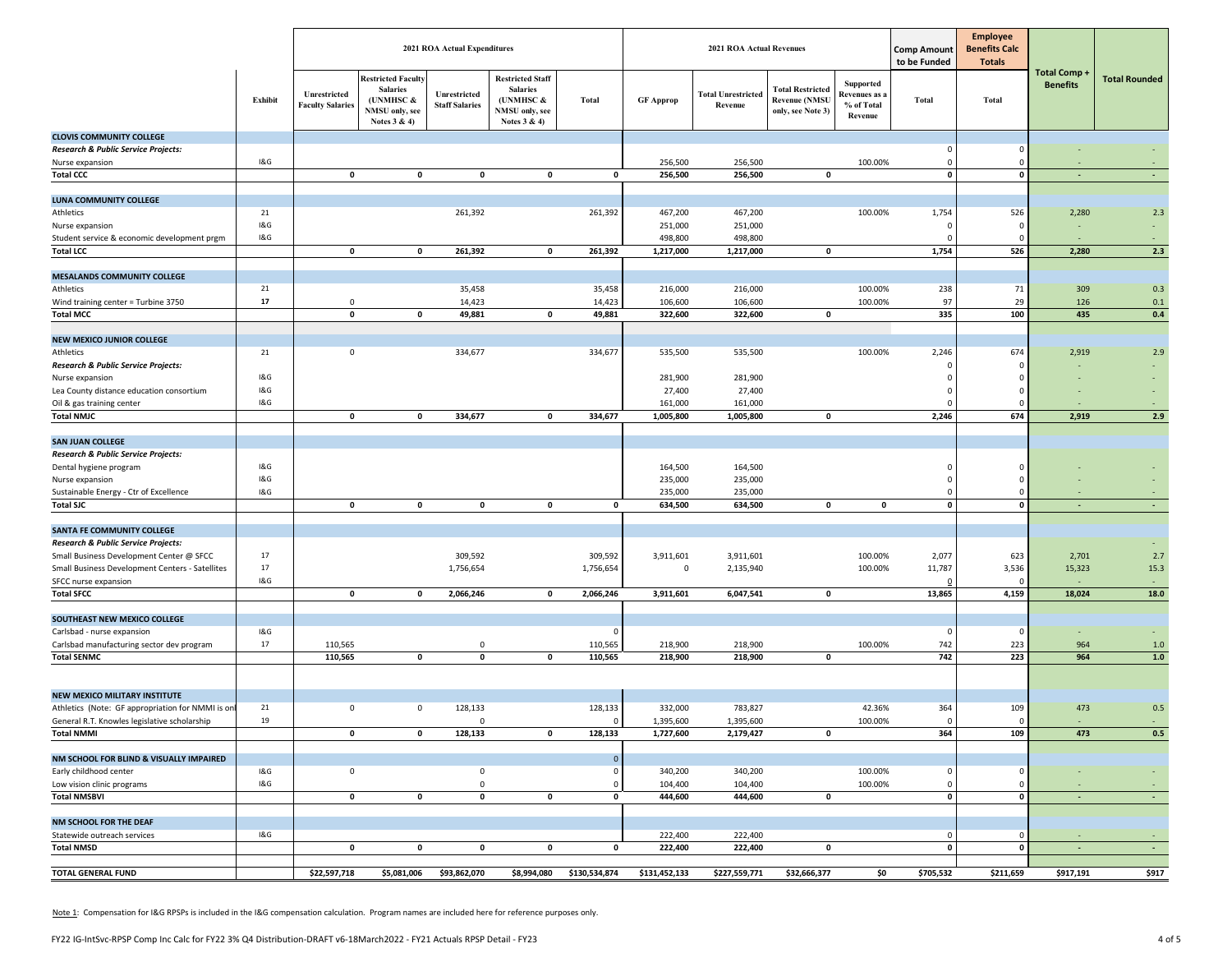| <b>Restricted Facult</b><br><b>Restricted Staff</b><br><b>Total Rounded</b><br><b>Supported</b><br><b>Benefits</b><br><b>Salaries</b><br><b>Total Restricted</b><br><b>Salaries</b><br>Unrestricted<br>Unrestricted<br><b>Total Unrestricted</b><br>Revenues as a<br>Exhibit<br>(UNMHSC &<br>Total<br><b>Revenue (NMSU</b><br><b>Total</b><br><b>Total</b><br>(UNMHSC &<br><b>GF Approp</b><br><b>Faculty Salaries</b><br><b>Staff Salaries</b><br>Revenue<br>% of Total<br>NMSU only, see<br>NMSU only, see<br>only, see Note 3)<br>Revenue<br>Notes $3 & 4$<br>Notes 3 & 4)<br><b>CLOVIS COMMUNITY COLLEGE</b><br>Research & Public Service Projects:<br>$\mathbf{0}$<br>1&G<br>256,500<br>256,500<br>100.00%<br>Nurse expansion<br>$\mathbf 0$<br>256,500<br>256,500<br>$\pmb{\mathsf{o}}$<br><b>Total CCC</b><br>$\pmb{0}$<br>$\pmb{0}$<br>$\mathbf 0$<br>$\mathbf{o}$<br>$\mathbf 0$<br>$\mathbf{o}$<br>0<br>$\sim$<br>$\sim$<br><b>LUNA COMMUNITY COLLEGE</b><br>467,200<br>Athletics<br>21<br>261,392<br>261,392<br>467,200<br>100.00%<br>1,754<br>526<br>2,280<br>2.3<br>1&G<br>251,000<br>251,000<br>Nurse expansion<br>$\Omega$<br>1&G<br>Student service & economic development prgm<br>498,800<br>498,800<br>1,754<br>2,280<br>2.3<br><b>Total LCC</b><br>$\pmb{0}$<br>$\mathbf 0$<br>261,392<br>$\mathbf 0$<br>261,392<br>1,217,000<br>1,217,000<br>$\mathbf 0$<br>526<br><b>MESALANDS COMMUNITY COLLEGE</b><br>21<br>35,458<br>35,458<br>216,000<br>216,000<br>238<br>71<br>0.3<br>Athletics<br>100.00%<br>309<br>17<br>14,423<br>14,423<br>106,600<br>106,600<br>100.00%<br>97<br>29<br>126<br>Wind training center = Turbine 3750<br>0<br>0.1<br>49,881<br>335<br>435<br><b>Total MCC</b><br>0<br>$\mathbf 0$<br>$\pmb{0}$<br>49,881<br>322,600<br>322,600<br>$\mathbf 0$<br>100<br>$0.4\,$<br><b>NEW MEXICO JUNIOR COLLEGE</b><br>21<br>334,677<br>535,500<br>100.00%<br>674<br>Athletics<br>0<br>334,677<br>535,500<br>2,246<br>2,919<br>2.9<br>Research & Public Service Projects:<br>$\Omega$<br>O<br>1&G<br>281,900<br>281,900<br>$\Omega$<br>Nurse expansion<br>1&G<br>27,400<br>27,400<br>Lea County distance education consortium<br>$\Omega$<br>n<br>1&G<br>Oil & gas training center<br>161,000<br>161,000<br>$\Omega$<br>2.9<br>674<br>2,919<br><b>Total NMJC</b><br>0<br>334,677<br>$\pmb{\mathsf{o}}$<br>334,677<br>1,005,800<br>1,005,800<br>2,246<br>$\mathbf 0$<br>0<br><b>SAN JUAN COLLEGE</b><br>Research & Public Service Projects:<br>1&G<br>164,500<br>164,500<br>$\Omega$<br>Dental hygiene program<br>1&G<br>235,000<br>235,000<br>$\mathbf 0$<br>Nurse expansion<br>n<br>1&G<br>235,000<br>Sustainable Energy - Ctr of Excellence<br>235,000<br>$\mathbf 0$<br>$\mathbf{0}$<br><b>Total SJC</b><br>$\pmb{0}$<br>$\pmb{0}$<br>$\pmb{0}$<br>$\pmb{\mathsf{o}}$<br>634,500<br>634,500<br>0<br>$\mathbf{0}$<br>$\mathbf{0}$<br>$\mathbf{0}$<br>$\sim$<br>$\overline{\phantom{a}}$<br><b>SANTA FE COMMUNITY COLLEGE</b><br>Research & Public Service Projects:<br>17<br>309,592<br>309,592<br>3,911,601<br>2,077<br>623<br>2.7<br>Small Business Development Center @ SFCC<br>3,911,601<br>100.00%<br>2,701<br>17<br>1,756,654<br>1,756,654<br>$\mathsf 0$<br>2,135,940<br>100.00%<br>11,787<br>3,536<br>15,323<br>15.3<br>Small Business Development Centers - Satellites<br>1&G<br>SFCC nurse expansion<br>18,024<br>18.0<br><b>Total SFCC</b><br>$\pmb{0}$<br>2,066,246<br>$\mathbf 0$<br>2,066,246<br>3,911,601<br>6,047,541<br>0<br>13,865<br>4,159<br>$\mathbf 0$<br>SOUTHEAST NEW MEXICO COLLEGE<br>1&G<br>Carlsbad - nurse expansion<br>$\Omega$<br>$\Omega$<br>$\Omega$<br>17<br>110,565<br>742<br>223<br>964<br>Carlsbad manufacturing sector dev program<br>110,565<br>$\mathbf 0$<br>218,900<br>218,900<br>100.00%<br>1.0<br>742<br>223<br>964<br>$1.0$<br><b>Total SENMC</b><br>110,565<br>$\pmb{0}$<br>$\pmb{0}$<br>$\pmb{0}$<br>110,565<br>218,900<br>218,900<br>0<br><b>NEW MEXICO MILITARY INSTITUTE</b><br>21<br>128,133<br>783,827<br>42.36%<br>473<br>Athletics (Note: GF appropriation for NMMI is on<br>$\mathbf 0$<br>$\mathbf 0$<br>128,133<br>332,000<br>364<br>109<br>0.5<br>19<br>General R.T. Knowles legislative scholarship<br>$\mathbf 0$<br>1,395,600<br>1,395,600<br>100.00%<br>$\mathbf 0$<br>$\Omega$<br>$\Omega$<br>$\sim$<br><b>Total NMMI</b><br>$\mathbf 0$<br>$\mathbf 0$<br>128,133<br>$\mathbf 0$<br>128,133<br>1,727,600<br>2,179,427<br>0<br>364<br>109<br>473<br>0.5<br>NM SCHOOL FOR BLIND & VISUALLY IMPAIRED<br>$\mathbf{0}$<br>1&G<br>340,200<br>Early childhood center<br>$\mathsf 0$<br>$\mathsf 0$<br>340,200<br>100.00%<br>$\mathsf 0$<br>0<br>$\Omega$<br>1&G<br>$\mathsf 0$<br>104,400<br>104,400<br>100.00%<br>$\mathsf 0$<br>Low vision clinic programs<br>0<br>$\bullet$<br>$\pmb{0}$<br>444,600<br><b>Total NMSBVI</b><br>$\mathbf 0$<br>$\mathbf 0$<br>$\mathbf 0$<br>444,600<br>0<br>$\mathbf 0$<br>$\mathbf{o}$<br>$\sim$<br>$\sim$<br>NM SCHOOL FOR THE DEAF<br>1&G<br>222,400<br>Statewide outreach services<br>222,400<br>$\mathsf 0$<br>$\Omega$<br>$\sim$<br>$\sim$<br>222,400<br>$\pmb{0}$<br><b>Total NMSD</b><br>$\pmb{0}$<br>$\mathbf 0$<br>$\mathbf{o}$<br>222,400<br>$\mathbf 0$<br>$\mathbf{o}$<br>0<br>0<br>$\sim$<br>$\sim$<br><b>TOTAL GENERAL FUND</b><br>\$22,597,718<br>\$131,452,133<br>\$227,559,771<br>\$32,666,377<br>\$5,081,006<br>\$93,862,070<br>\$8,994,080<br>\$130,534,874<br>\$0<br>\$705,532<br>\$211,659<br>\$917,191<br>\$917 |  |  | 2021 ROA Actual Expenditures |  | <b>2021 ROA Actual Revenues</b> |  | <b>Comp Amount</b><br>to be Funded | <b>Employee</b><br><b>Benefits Calc</b><br><b>Totals</b> |                     |  |
|-----------------------------------------------------------------------------------------------------------------------------------------------------------------------------------------------------------------------------------------------------------------------------------------------------------------------------------------------------------------------------------------------------------------------------------------------------------------------------------------------------------------------------------------------------------------------------------------------------------------------------------------------------------------------------------------------------------------------------------------------------------------------------------------------------------------------------------------------------------------------------------------------------------------------------------------------------------------------------------------------------------------------------------------------------------------------------------------------------------------------------------------------------------------------------------------------------------------------------------------------------------------------------------------------------------------------------------------------------------------------------------------------------------------------------------------------------------------------------------------------------------------------------------------------------------------------------------------------------------------------------------------------------------------------------------------------------------------------------------------------------------------------------------------------------------------------------------------------------------------------------------------------------------------------------------------------------------------------------------------------------------------------------------------------------------------------------------------------------------------------------------------------------------------------------------------------------------------------------------------------------------------------------------------------------------------------------------------------------------------------------------------------------------------------------------------------------------------------------------------------------------------------------------------------------------------------------------------------------------------------------------------------------------------------------------------------------------------------------------------------------------------------------------------------------------------------------------------------------------------------------------------------------------------------------------------------------------------------------------------------------------------------------------------------------------------------------------------------------------------------------------------------------------------------------------------------------------------------------------------------------------------------------------------------------------------------------------------------------------------------------------------------------------------------------------------------------------------------------------------------------------------------------------------------------------------------------------------------------------------------------------------------------------------------------------------------------------------------------------------------------------------------------------------------------------------------------------------------------------------------------------------------------------------------------------------------------------------------------------------------------------------------------------------------------------------------------------------------------------------------------------------------------------------------------------------------------------------------------------------------------------------------------------------------------------------------------------------------------------------------------------------------------------------------------------------------------------------------------------------------------------------------------------------------------------------------------------------------------------------------------------------------------------------------------------------------------------------------------------------------------------------------------------------------------------------------------------------------------------------------------------------------------------------------------------------------------------------------------------------------------------------------------------------------------------------------------------------------------------------------------------------------------------------------------------------------------------------------------------------------------------------------------------------------------------------------------------------------------------------------------------------------------------------------------------------------------------------|--|--|------------------------------|--|---------------------------------|--|------------------------------------|----------------------------------------------------------|---------------------|--|
|                                                                                                                                                                                                                                                                                                                                                                                                                                                                                                                                                                                                                                                                                                                                                                                                                                                                                                                                                                                                                                                                                                                                                                                                                                                                                                                                                                                                                                                                                                                                                                                                                                                                                                                                                                                                                                                                                                                                                                                                                                                                                                                                                                                                                                                                                                                                                                                                                                                                                                                                                                                                                                                                                                                                                                                                                                                                                                                                                                                                                                                                                                                                                                                                                                                                                                                                                                                                                                                                                                                                                                                                                                                                                                                                                                                                                                                                                                                                                                                                                                                                                                                                                                                                                                                                                                                                                                                                                                                                                                                                                                                                                                                                                                                                                                                                                                                                                                                                                                                                                                                                                                                                                                                                                                                                                                                                                                                                                                                                 |  |  |                              |  |                                 |  |                                    |                                                          | <b>Total Comp +</b> |  |
|                                                                                                                                                                                                                                                                                                                                                                                                                                                                                                                                                                                                                                                                                                                                                                                                                                                                                                                                                                                                                                                                                                                                                                                                                                                                                                                                                                                                                                                                                                                                                                                                                                                                                                                                                                                                                                                                                                                                                                                                                                                                                                                                                                                                                                                                                                                                                                                                                                                                                                                                                                                                                                                                                                                                                                                                                                                                                                                                                                                                                                                                                                                                                                                                                                                                                                                                                                                                                                                                                                                                                                                                                                                                                                                                                                                                                                                                                                                                                                                                                                                                                                                                                                                                                                                                                                                                                                                                                                                                                                                                                                                                                                                                                                                                                                                                                                                                                                                                                                                                                                                                                                                                                                                                                                                                                                                                                                                                                                                                 |  |  |                              |  |                                 |  |                                    |                                                          |                     |  |
|                                                                                                                                                                                                                                                                                                                                                                                                                                                                                                                                                                                                                                                                                                                                                                                                                                                                                                                                                                                                                                                                                                                                                                                                                                                                                                                                                                                                                                                                                                                                                                                                                                                                                                                                                                                                                                                                                                                                                                                                                                                                                                                                                                                                                                                                                                                                                                                                                                                                                                                                                                                                                                                                                                                                                                                                                                                                                                                                                                                                                                                                                                                                                                                                                                                                                                                                                                                                                                                                                                                                                                                                                                                                                                                                                                                                                                                                                                                                                                                                                                                                                                                                                                                                                                                                                                                                                                                                                                                                                                                                                                                                                                                                                                                                                                                                                                                                                                                                                                                                                                                                                                                                                                                                                                                                                                                                                                                                                                                                 |  |  |                              |  |                                 |  |                                    |                                                          |                     |  |
|                                                                                                                                                                                                                                                                                                                                                                                                                                                                                                                                                                                                                                                                                                                                                                                                                                                                                                                                                                                                                                                                                                                                                                                                                                                                                                                                                                                                                                                                                                                                                                                                                                                                                                                                                                                                                                                                                                                                                                                                                                                                                                                                                                                                                                                                                                                                                                                                                                                                                                                                                                                                                                                                                                                                                                                                                                                                                                                                                                                                                                                                                                                                                                                                                                                                                                                                                                                                                                                                                                                                                                                                                                                                                                                                                                                                                                                                                                                                                                                                                                                                                                                                                                                                                                                                                                                                                                                                                                                                                                                                                                                                                                                                                                                                                                                                                                                                                                                                                                                                                                                                                                                                                                                                                                                                                                                                                                                                                                                                 |  |  |                              |  |                                 |  |                                    |                                                          |                     |  |
|                                                                                                                                                                                                                                                                                                                                                                                                                                                                                                                                                                                                                                                                                                                                                                                                                                                                                                                                                                                                                                                                                                                                                                                                                                                                                                                                                                                                                                                                                                                                                                                                                                                                                                                                                                                                                                                                                                                                                                                                                                                                                                                                                                                                                                                                                                                                                                                                                                                                                                                                                                                                                                                                                                                                                                                                                                                                                                                                                                                                                                                                                                                                                                                                                                                                                                                                                                                                                                                                                                                                                                                                                                                                                                                                                                                                                                                                                                                                                                                                                                                                                                                                                                                                                                                                                                                                                                                                                                                                                                                                                                                                                                                                                                                                                                                                                                                                                                                                                                                                                                                                                                                                                                                                                                                                                                                                                                                                                                                                 |  |  |                              |  |                                 |  |                                    |                                                          |                     |  |
|                                                                                                                                                                                                                                                                                                                                                                                                                                                                                                                                                                                                                                                                                                                                                                                                                                                                                                                                                                                                                                                                                                                                                                                                                                                                                                                                                                                                                                                                                                                                                                                                                                                                                                                                                                                                                                                                                                                                                                                                                                                                                                                                                                                                                                                                                                                                                                                                                                                                                                                                                                                                                                                                                                                                                                                                                                                                                                                                                                                                                                                                                                                                                                                                                                                                                                                                                                                                                                                                                                                                                                                                                                                                                                                                                                                                                                                                                                                                                                                                                                                                                                                                                                                                                                                                                                                                                                                                                                                                                                                                                                                                                                                                                                                                                                                                                                                                                                                                                                                                                                                                                                                                                                                                                                                                                                                                                                                                                                                                 |  |  |                              |  |                                 |  |                                    |                                                          |                     |  |
|                                                                                                                                                                                                                                                                                                                                                                                                                                                                                                                                                                                                                                                                                                                                                                                                                                                                                                                                                                                                                                                                                                                                                                                                                                                                                                                                                                                                                                                                                                                                                                                                                                                                                                                                                                                                                                                                                                                                                                                                                                                                                                                                                                                                                                                                                                                                                                                                                                                                                                                                                                                                                                                                                                                                                                                                                                                                                                                                                                                                                                                                                                                                                                                                                                                                                                                                                                                                                                                                                                                                                                                                                                                                                                                                                                                                                                                                                                                                                                                                                                                                                                                                                                                                                                                                                                                                                                                                                                                                                                                                                                                                                                                                                                                                                                                                                                                                                                                                                                                                                                                                                                                                                                                                                                                                                                                                                                                                                                                                 |  |  |                              |  |                                 |  |                                    |                                                          |                     |  |
|                                                                                                                                                                                                                                                                                                                                                                                                                                                                                                                                                                                                                                                                                                                                                                                                                                                                                                                                                                                                                                                                                                                                                                                                                                                                                                                                                                                                                                                                                                                                                                                                                                                                                                                                                                                                                                                                                                                                                                                                                                                                                                                                                                                                                                                                                                                                                                                                                                                                                                                                                                                                                                                                                                                                                                                                                                                                                                                                                                                                                                                                                                                                                                                                                                                                                                                                                                                                                                                                                                                                                                                                                                                                                                                                                                                                                                                                                                                                                                                                                                                                                                                                                                                                                                                                                                                                                                                                                                                                                                                                                                                                                                                                                                                                                                                                                                                                                                                                                                                                                                                                                                                                                                                                                                                                                                                                                                                                                                                                 |  |  |                              |  |                                 |  |                                    |                                                          |                     |  |
|                                                                                                                                                                                                                                                                                                                                                                                                                                                                                                                                                                                                                                                                                                                                                                                                                                                                                                                                                                                                                                                                                                                                                                                                                                                                                                                                                                                                                                                                                                                                                                                                                                                                                                                                                                                                                                                                                                                                                                                                                                                                                                                                                                                                                                                                                                                                                                                                                                                                                                                                                                                                                                                                                                                                                                                                                                                                                                                                                                                                                                                                                                                                                                                                                                                                                                                                                                                                                                                                                                                                                                                                                                                                                                                                                                                                                                                                                                                                                                                                                                                                                                                                                                                                                                                                                                                                                                                                                                                                                                                                                                                                                                                                                                                                                                                                                                                                                                                                                                                                                                                                                                                                                                                                                                                                                                                                                                                                                                                                 |  |  |                              |  |                                 |  |                                    |                                                          |                     |  |
|                                                                                                                                                                                                                                                                                                                                                                                                                                                                                                                                                                                                                                                                                                                                                                                                                                                                                                                                                                                                                                                                                                                                                                                                                                                                                                                                                                                                                                                                                                                                                                                                                                                                                                                                                                                                                                                                                                                                                                                                                                                                                                                                                                                                                                                                                                                                                                                                                                                                                                                                                                                                                                                                                                                                                                                                                                                                                                                                                                                                                                                                                                                                                                                                                                                                                                                                                                                                                                                                                                                                                                                                                                                                                                                                                                                                                                                                                                                                                                                                                                                                                                                                                                                                                                                                                                                                                                                                                                                                                                                                                                                                                                                                                                                                                                                                                                                                                                                                                                                                                                                                                                                                                                                                                                                                                                                                                                                                                                                                 |  |  |                              |  |                                 |  |                                    |                                                          |                     |  |
|                                                                                                                                                                                                                                                                                                                                                                                                                                                                                                                                                                                                                                                                                                                                                                                                                                                                                                                                                                                                                                                                                                                                                                                                                                                                                                                                                                                                                                                                                                                                                                                                                                                                                                                                                                                                                                                                                                                                                                                                                                                                                                                                                                                                                                                                                                                                                                                                                                                                                                                                                                                                                                                                                                                                                                                                                                                                                                                                                                                                                                                                                                                                                                                                                                                                                                                                                                                                                                                                                                                                                                                                                                                                                                                                                                                                                                                                                                                                                                                                                                                                                                                                                                                                                                                                                                                                                                                                                                                                                                                                                                                                                                                                                                                                                                                                                                                                                                                                                                                                                                                                                                                                                                                                                                                                                                                                                                                                                                                                 |  |  |                              |  |                                 |  |                                    |                                                          |                     |  |
|                                                                                                                                                                                                                                                                                                                                                                                                                                                                                                                                                                                                                                                                                                                                                                                                                                                                                                                                                                                                                                                                                                                                                                                                                                                                                                                                                                                                                                                                                                                                                                                                                                                                                                                                                                                                                                                                                                                                                                                                                                                                                                                                                                                                                                                                                                                                                                                                                                                                                                                                                                                                                                                                                                                                                                                                                                                                                                                                                                                                                                                                                                                                                                                                                                                                                                                                                                                                                                                                                                                                                                                                                                                                                                                                                                                                                                                                                                                                                                                                                                                                                                                                                                                                                                                                                                                                                                                                                                                                                                                                                                                                                                                                                                                                                                                                                                                                                                                                                                                                                                                                                                                                                                                                                                                                                                                                                                                                                                                                 |  |  |                              |  |                                 |  |                                    |                                                          |                     |  |
|                                                                                                                                                                                                                                                                                                                                                                                                                                                                                                                                                                                                                                                                                                                                                                                                                                                                                                                                                                                                                                                                                                                                                                                                                                                                                                                                                                                                                                                                                                                                                                                                                                                                                                                                                                                                                                                                                                                                                                                                                                                                                                                                                                                                                                                                                                                                                                                                                                                                                                                                                                                                                                                                                                                                                                                                                                                                                                                                                                                                                                                                                                                                                                                                                                                                                                                                                                                                                                                                                                                                                                                                                                                                                                                                                                                                                                                                                                                                                                                                                                                                                                                                                                                                                                                                                                                                                                                                                                                                                                                                                                                                                                                                                                                                                                                                                                                                                                                                                                                                                                                                                                                                                                                                                                                                                                                                                                                                                                                                 |  |  |                              |  |                                 |  |                                    |                                                          |                     |  |
|                                                                                                                                                                                                                                                                                                                                                                                                                                                                                                                                                                                                                                                                                                                                                                                                                                                                                                                                                                                                                                                                                                                                                                                                                                                                                                                                                                                                                                                                                                                                                                                                                                                                                                                                                                                                                                                                                                                                                                                                                                                                                                                                                                                                                                                                                                                                                                                                                                                                                                                                                                                                                                                                                                                                                                                                                                                                                                                                                                                                                                                                                                                                                                                                                                                                                                                                                                                                                                                                                                                                                                                                                                                                                                                                                                                                                                                                                                                                                                                                                                                                                                                                                                                                                                                                                                                                                                                                                                                                                                                                                                                                                                                                                                                                                                                                                                                                                                                                                                                                                                                                                                                                                                                                                                                                                                                                                                                                                                                                 |  |  |                              |  |                                 |  |                                    |                                                          |                     |  |
|                                                                                                                                                                                                                                                                                                                                                                                                                                                                                                                                                                                                                                                                                                                                                                                                                                                                                                                                                                                                                                                                                                                                                                                                                                                                                                                                                                                                                                                                                                                                                                                                                                                                                                                                                                                                                                                                                                                                                                                                                                                                                                                                                                                                                                                                                                                                                                                                                                                                                                                                                                                                                                                                                                                                                                                                                                                                                                                                                                                                                                                                                                                                                                                                                                                                                                                                                                                                                                                                                                                                                                                                                                                                                                                                                                                                                                                                                                                                                                                                                                                                                                                                                                                                                                                                                                                                                                                                                                                                                                                                                                                                                                                                                                                                                                                                                                                                                                                                                                                                                                                                                                                                                                                                                                                                                                                                                                                                                                                                 |  |  |                              |  |                                 |  |                                    |                                                          |                     |  |
|                                                                                                                                                                                                                                                                                                                                                                                                                                                                                                                                                                                                                                                                                                                                                                                                                                                                                                                                                                                                                                                                                                                                                                                                                                                                                                                                                                                                                                                                                                                                                                                                                                                                                                                                                                                                                                                                                                                                                                                                                                                                                                                                                                                                                                                                                                                                                                                                                                                                                                                                                                                                                                                                                                                                                                                                                                                                                                                                                                                                                                                                                                                                                                                                                                                                                                                                                                                                                                                                                                                                                                                                                                                                                                                                                                                                                                                                                                                                                                                                                                                                                                                                                                                                                                                                                                                                                                                                                                                                                                                                                                                                                                                                                                                                                                                                                                                                                                                                                                                                                                                                                                                                                                                                                                                                                                                                                                                                                                                                 |  |  |                              |  |                                 |  |                                    |                                                          |                     |  |
|                                                                                                                                                                                                                                                                                                                                                                                                                                                                                                                                                                                                                                                                                                                                                                                                                                                                                                                                                                                                                                                                                                                                                                                                                                                                                                                                                                                                                                                                                                                                                                                                                                                                                                                                                                                                                                                                                                                                                                                                                                                                                                                                                                                                                                                                                                                                                                                                                                                                                                                                                                                                                                                                                                                                                                                                                                                                                                                                                                                                                                                                                                                                                                                                                                                                                                                                                                                                                                                                                                                                                                                                                                                                                                                                                                                                                                                                                                                                                                                                                                                                                                                                                                                                                                                                                                                                                                                                                                                                                                                                                                                                                                                                                                                                                                                                                                                                                                                                                                                                                                                                                                                                                                                                                                                                                                                                                                                                                                                                 |  |  |                              |  |                                 |  |                                    |                                                          |                     |  |
|                                                                                                                                                                                                                                                                                                                                                                                                                                                                                                                                                                                                                                                                                                                                                                                                                                                                                                                                                                                                                                                                                                                                                                                                                                                                                                                                                                                                                                                                                                                                                                                                                                                                                                                                                                                                                                                                                                                                                                                                                                                                                                                                                                                                                                                                                                                                                                                                                                                                                                                                                                                                                                                                                                                                                                                                                                                                                                                                                                                                                                                                                                                                                                                                                                                                                                                                                                                                                                                                                                                                                                                                                                                                                                                                                                                                                                                                                                                                                                                                                                                                                                                                                                                                                                                                                                                                                                                                                                                                                                                                                                                                                                                                                                                                                                                                                                                                                                                                                                                                                                                                                                                                                                                                                                                                                                                                                                                                                                                                 |  |  |                              |  |                                 |  |                                    |                                                          |                     |  |
|                                                                                                                                                                                                                                                                                                                                                                                                                                                                                                                                                                                                                                                                                                                                                                                                                                                                                                                                                                                                                                                                                                                                                                                                                                                                                                                                                                                                                                                                                                                                                                                                                                                                                                                                                                                                                                                                                                                                                                                                                                                                                                                                                                                                                                                                                                                                                                                                                                                                                                                                                                                                                                                                                                                                                                                                                                                                                                                                                                                                                                                                                                                                                                                                                                                                                                                                                                                                                                                                                                                                                                                                                                                                                                                                                                                                                                                                                                                                                                                                                                                                                                                                                                                                                                                                                                                                                                                                                                                                                                                                                                                                                                                                                                                                                                                                                                                                                                                                                                                                                                                                                                                                                                                                                                                                                                                                                                                                                                                                 |  |  |                              |  |                                 |  |                                    |                                                          |                     |  |
|                                                                                                                                                                                                                                                                                                                                                                                                                                                                                                                                                                                                                                                                                                                                                                                                                                                                                                                                                                                                                                                                                                                                                                                                                                                                                                                                                                                                                                                                                                                                                                                                                                                                                                                                                                                                                                                                                                                                                                                                                                                                                                                                                                                                                                                                                                                                                                                                                                                                                                                                                                                                                                                                                                                                                                                                                                                                                                                                                                                                                                                                                                                                                                                                                                                                                                                                                                                                                                                                                                                                                                                                                                                                                                                                                                                                                                                                                                                                                                                                                                                                                                                                                                                                                                                                                                                                                                                                                                                                                                                                                                                                                                                                                                                                                                                                                                                                                                                                                                                                                                                                                                                                                                                                                                                                                                                                                                                                                                                                 |  |  |                              |  |                                 |  |                                    |                                                          |                     |  |
|                                                                                                                                                                                                                                                                                                                                                                                                                                                                                                                                                                                                                                                                                                                                                                                                                                                                                                                                                                                                                                                                                                                                                                                                                                                                                                                                                                                                                                                                                                                                                                                                                                                                                                                                                                                                                                                                                                                                                                                                                                                                                                                                                                                                                                                                                                                                                                                                                                                                                                                                                                                                                                                                                                                                                                                                                                                                                                                                                                                                                                                                                                                                                                                                                                                                                                                                                                                                                                                                                                                                                                                                                                                                                                                                                                                                                                                                                                                                                                                                                                                                                                                                                                                                                                                                                                                                                                                                                                                                                                                                                                                                                                                                                                                                                                                                                                                                                                                                                                                                                                                                                                                                                                                                                                                                                                                                                                                                                                                                 |  |  |                              |  |                                 |  |                                    |                                                          |                     |  |
|                                                                                                                                                                                                                                                                                                                                                                                                                                                                                                                                                                                                                                                                                                                                                                                                                                                                                                                                                                                                                                                                                                                                                                                                                                                                                                                                                                                                                                                                                                                                                                                                                                                                                                                                                                                                                                                                                                                                                                                                                                                                                                                                                                                                                                                                                                                                                                                                                                                                                                                                                                                                                                                                                                                                                                                                                                                                                                                                                                                                                                                                                                                                                                                                                                                                                                                                                                                                                                                                                                                                                                                                                                                                                                                                                                                                                                                                                                                                                                                                                                                                                                                                                                                                                                                                                                                                                                                                                                                                                                                                                                                                                                                                                                                                                                                                                                                                                                                                                                                                                                                                                                                                                                                                                                                                                                                                                                                                                                                                 |  |  |                              |  |                                 |  |                                    |                                                          |                     |  |
|                                                                                                                                                                                                                                                                                                                                                                                                                                                                                                                                                                                                                                                                                                                                                                                                                                                                                                                                                                                                                                                                                                                                                                                                                                                                                                                                                                                                                                                                                                                                                                                                                                                                                                                                                                                                                                                                                                                                                                                                                                                                                                                                                                                                                                                                                                                                                                                                                                                                                                                                                                                                                                                                                                                                                                                                                                                                                                                                                                                                                                                                                                                                                                                                                                                                                                                                                                                                                                                                                                                                                                                                                                                                                                                                                                                                                                                                                                                                                                                                                                                                                                                                                                                                                                                                                                                                                                                                                                                                                                                                                                                                                                                                                                                                                                                                                                                                                                                                                                                                                                                                                                                                                                                                                                                                                                                                                                                                                                                                 |  |  |                              |  |                                 |  |                                    |                                                          |                     |  |
|                                                                                                                                                                                                                                                                                                                                                                                                                                                                                                                                                                                                                                                                                                                                                                                                                                                                                                                                                                                                                                                                                                                                                                                                                                                                                                                                                                                                                                                                                                                                                                                                                                                                                                                                                                                                                                                                                                                                                                                                                                                                                                                                                                                                                                                                                                                                                                                                                                                                                                                                                                                                                                                                                                                                                                                                                                                                                                                                                                                                                                                                                                                                                                                                                                                                                                                                                                                                                                                                                                                                                                                                                                                                                                                                                                                                                                                                                                                                                                                                                                                                                                                                                                                                                                                                                                                                                                                                                                                                                                                                                                                                                                                                                                                                                                                                                                                                                                                                                                                                                                                                                                                                                                                                                                                                                                                                                                                                                                                                 |  |  |                              |  |                                 |  |                                    |                                                          |                     |  |
|                                                                                                                                                                                                                                                                                                                                                                                                                                                                                                                                                                                                                                                                                                                                                                                                                                                                                                                                                                                                                                                                                                                                                                                                                                                                                                                                                                                                                                                                                                                                                                                                                                                                                                                                                                                                                                                                                                                                                                                                                                                                                                                                                                                                                                                                                                                                                                                                                                                                                                                                                                                                                                                                                                                                                                                                                                                                                                                                                                                                                                                                                                                                                                                                                                                                                                                                                                                                                                                                                                                                                                                                                                                                                                                                                                                                                                                                                                                                                                                                                                                                                                                                                                                                                                                                                                                                                                                                                                                                                                                                                                                                                                                                                                                                                                                                                                                                                                                                                                                                                                                                                                                                                                                                                                                                                                                                                                                                                                                                 |  |  |                              |  |                                 |  |                                    |                                                          |                     |  |
|                                                                                                                                                                                                                                                                                                                                                                                                                                                                                                                                                                                                                                                                                                                                                                                                                                                                                                                                                                                                                                                                                                                                                                                                                                                                                                                                                                                                                                                                                                                                                                                                                                                                                                                                                                                                                                                                                                                                                                                                                                                                                                                                                                                                                                                                                                                                                                                                                                                                                                                                                                                                                                                                                                                                                                                                                                                                                                                                                                                                                                                                                                                                                                                                                                                                                                                                                                                                                                                                                                                                                                                                                                                                                                                                                                                                                                                                                                                                                                                                                                                                                                                                                                                                                                                                                                                                                                                                                                                                                                                                                                                                                                                                                                                                                                                                                                                                                                                                                                                                                                                                                                                                                                                                                                                                                                                                                                                                                                                                 |  |  |                              |  |                                 |  |                                    |                                                          |                     |  |
|                                                                                                                                                                                                                                                                                                                                                                                                                                                                                                                                                                                                                                                                                                                                                                                                                                                                                                                                                                                                                                                                                                                                                                                                                                                                                                                                                                                                                                                                                                                                                                                                                                                                                                                                                                                                                                                                                                                                                                                                                                                                                                                                                                                                                                                                                                                                                                                                                                                                                                                                                                                                                                                                                                                                                                                                                                                                                                                                                                                                                                                                                                                                                                                                                                                                                                                                                                                                                                                                                                                                                                                                                                                                                                                                                                                                                                                                                                                                                                                                                                                                                                                                                                                                                                                                                                                                                                                                                                                                                                                                                                                                                                                                                                                                                                                                                                                                                                                                                                                                                                                                                                                                                                                                                                                                                                                                                                                                                                                                 |  |  |                              |  |                                 |  |                                    |                                                          |                     |  |
|                                                                                                                                                                                                                                                                                                                                                                                                                                                                                                                                                                                                                                                                                                                                                                                                                                                                                                                                                                                                                                                                                                                                                                                                                                                                                                                                                                                                                                                                                                                                                                                                                                                                                                                                                                                                                                                                                                                                                                                                                                                                                                                                                                                                                                                                                                                                                                                                                                                                                                                                                                                                                                                                                                                                                                                                                                                                                                                                                                                                                                                                                                                                                                                                                                                                                                                                                                                                                                                                                                                                                                                                                                                                                                                                                                                                                                                                                                                                                                                                                                                                                                                                                                                                                                                                                                                                                                                                                                                                                                                                                                                                                                                                                                                                                                                                                                                                                                                                                                                                                                                                                                                                                                                                                                                                                                                                                                                                                                                                 |  |  |                              |  |                                 |  |                                    |                                                          |                     |  |
|                                                                                                                                                                                                                                                                                                                                                                                                                                                                                                                                                                                                                                                                                                                                                                                                                                                                                                                                                                                                                                                                                                                                                                                                                                                                                                                                                                                                                                                                                                                                                                                                                                                                                                                                                                                                                                                                                                                                                                                                                                                                                                                                                                                                                                                                                                                                                                                                                                                                                                                                                                                                                                                                                                                                                                                                                                                                                                                                                                                                                                                                                                                                                                                                                                                                                                                                                                                                                                                                                                                                                                                                                                                                                                                                                                                                                                                                                                                                                                                                                                                                                                                                                                                                                                                                                                                                                                                                                                                                                                                                                                                                                                                                                                                                                                                                                                                                                                                                                                                                                                                                                                                                                                                                                                                                                                                                                                                                                                                                 |  |  |                              |  |                                 |  |                                    |                                                          |                     |  |
|                                                                                                                                                                                                                                                                                                                                                                                                                                                                                                                                                                                                                                                                                                                                                                                                                                                                                                                                                                                                                                                                                                                                                                                                                                                                                                                                                                                                                                                                                                                                                                                                                                                                                                                                                                                                                                                                                                                                                                                                                                                                                                                                                                                                                                                                                                                                                                                                                                                                                                                                                                                                                                                                                                                                                                                                                                                                                                                                                                                                                                                                                                                                                                                                                                                                                                                                                                                                                                                                                                                                                                                                                                                                                                                                                                                                                                                                                                                                                                                                                                                                                                                                                                                                                                                                                                                                                                                                                                                                                                                                                                                                                                                                                                                                                                                                                                                                                                                                                                                                                                                                                                                                                                                                                                                                                                                                                                                                                                                                 |  |  |                              |  |                                 |  |                                    |                                                          |                     |  |
|                                                                                                                                                                                                                                                                                                                                                                                                                                                                                                                                                                                                                                                                                                                                                                                                                                                                                                                                                                                                                                                                                                                                                                                                                                                                                                                                                                                                                                                                                                                                                                                                                                                                                                                                                                                                                                                                                                                                                                                                                                                                                                                                                                                                                                                                                                                                                                                                                                                                                                                                                                                                                                                                                                                                                                                                                                                                                                                                                                                                                                                                                                                                                                                                                                                                                                                                                                                                                                                                                                                                                                                                                                                                                                                                                                                                                                                                                                                                                                                                                                                                                                                                                                                                                                                                                                                                                                                                                                                                                                                                                                                                                                                                                                                                                                                                                                                                                                                                                                                                                                                                                                                                                                                                                                                                                                                                                                                                                                                                 |  |  |                              |  |                                 |  |                                    |                                                          |                     |  |
|                                                                                                                                                                                                                                                                                                                                                                                                                                                                                                                                                                                                                                                                                                                                                                                                                                                                                                                                                                                                                                                                                                                                                                                                                                                                                                                                                                                                                                                                                                                                                                                                                                                                                                                                                                                                                                                                                                                                                                                                                                                                                                                                                                                                                                                                                                                                                                                                                                                                                                                                                                                                                                                                                                                                                                                                                                                                                                                                                                                                                                                                                                                                                                                                                                                                                                                                                                                                                                                                                                                                                                                                                                                                                                                                                                                                                                                                                                                                                                                                                                                                                                                                                                                                                                                                                                                                                                                                                                                                                                                                                                                                                                                                                                                                                                                                                                                                                                                                                                                                                                                                                                                                                                                                                                                                                                                                                                                                                                                                 |  |  |                              |  |                                 |  |                                    |                                                          |                     |  |
|                                                                                                                                                                                                                                                                                                                                                                                                                                                                                                                                                                                                                                                                                                                                                                                                                                                                                                                                                                                                                                                                                                                                                                                                                                                                                                                                                                                                                                                                                                                                                                                                                                                                                                                                                                                                                                                                                                                                                                                                                                                                                                                                                                                                                                                                                                                                                                                                                                                                                                                                                                                                                                                                                                                                                                                                                                                                                                                                                                                                                                                                                                                                                                                                                                                                                                                                                                                                                                                                                                                                                                                                                                                                                                                                                                                                                                                                                                                                                                                                                                                                                                                                                                                                                                                                                                                                                                                                                                                                                                                                                                                                                                                                                                                                                                                                                                                                                                                                                                                                                                                                                                                                                                                                                                                                                                                                                                                                                                                                 |  |  |                              |  |                                 |  |                                    |                                                          |                     |  |
|                                                                                                                                                                                                                                                                                                                                                                                                                                                                                                                                                                                                                                                                                                                                                                                                                                                                                                                                                                                                                                                                                                                                                                                                                                                                                                                                                                                                                                                                                                                                                                                                                                                                                                                                                                                                                                                                                                                                                                                                                                                                                                                                                                                                                                                                                                                                                                                                                                                                                                                                                                                                                                                                                                                                                                                                                                                                                                                                                                                                                                                                                                                                                                                                                                                                                                                                                                                                                                                                                                                                                                                                                                                                                                                                                                                                                                                                                                                                                                                                                                                                                                                                                                                                                                                                                                                                                                                                                                                                                                                                                                                                                                                                                                                                                                                                                                                                                                                                                                                                                                                                                                                                                                                                                                                                                                                                                                                                                                                                 |  |  |                              |  |                                 |  |                                    |                                                          |                     |  |
|                                                                                                                                                                                                                                                                                                                                                                                                                                                                                                                                                                                                                                                                                                                                                                                                                                                                                                                                                                                                                                                                                                                                                                                                                                                                                                                                                                                                                                                                                                                                                                                                                                                                                                                                                                                                                                                                                                                                                                                                                                                                                                                                                                                                                                                                                                                                                                                                                                                                                                                                                                                                                                                                                                                                                                                                                                                                                                                                                                                                                                                                                                                                                                                                                                                                                                                                                                                                                                                                                                                                                                                                                                                                                                                                                                                                                                                                                                                                                                                                                                                                                                                                                                                                                                                                                                                                                                                                                                                                                                                                                                                                                                                                                                                                                                                                                                                                                                                                                                                                                                                                                                                                                                                                                                                                                                                                                                                                                                                                 |  |  |                              |  |                                 |  |                                    |                                                          |                     |  |
|                                                                                                                                                                                                                                                                                                                                                                                                                                                                                                                                                                                                                                                                                                                                                                                                                                                                                                                                                                                                                                                                                                                                                                                                                                                                                                                                                                                                                                                                                                                                                                                                                                                                                                                                                                                                                                                                                                                                                                                                                                                                                                                                                                                                                                                                                                                                                                                                                                                                                                                                                                                                                                                                                                                                                                                                                                                                                                                                                                                                                                                                                                                                                                                                                                                                                                                                                                                                                                                                                                                                                                                                                                                                                                                                                                                                                                                                                                                                                                                                                                                                                                                                                                                                                                                                                                                                                                                                                                                                                                                                                                                                                                                                                                                                                                                                                                                                                                                                                                                                                                                                                                                                                                                                                                                                                                                                                                                                                                                                 |  |  |                              |  |                                 |  |                                    |                                                          |                     |  |
|                                                                                                                                                                                                                                                                                                                                                                                                                                                                                                                                                                                                                                                                                                                                                                                                                                                                                                                                                                                                                                                                                                                                                                                                                                                                                                                                                                                                                                                                                                                                                                                                                                                                                                                                                                                                                                                                                                                                                                                                                                                                                                                                                                                                                                                                                                                                                                                                                                                                                                                                                                                                                                                                                                                                                                                                                                                                                                                                                                                                                                                                                                                                                                                                                                                                                                                                                                                                                                                                                                                                                                                                                                                                                                                                                                                                                                                                                                                                                                                                                                                                                                                                                                                                                                                                                                                                                                                                                                                                                                                                                                                                                                                                                                                                                                                                                                                                                                                                                                                                                                                                                                                                                                                                                                                                                                                                                                                                                                                                 |  |  |                              |  |                                 |  |                                    |                                                          |                     |  |
|                                                                                                                                                                                                                                                                                                                                                                                                                                                                                                                                                                                                                                                                                                                                                                                                                                                                                                                                                                                                                                                                                                                                                                                                                                                                                                                                                                                                                                                                                                                                                                                                                                                                                                                                                                                                                                                                                                                                                                                                                                                                                                                                                                                                                                                                                                                                                                                                                                                                                                                                                                                                                                                                                                                                                                                                                                                                                                                                                                                                                                                                                                                                                                                                                                                                                                                                                                                                                                                                                                                                                                                                                                                                                                                                                                                                                                                                                                                                                                                                                                                                                                                                                                                                                                                                                                                                                                                                                                                                                                                                                                                                                                                                                                                                                                                                                                                                                                                                                                                                                                                                                                                                                                                                                                                                                                                                                                                                                                                                 |  |  |                              |  |                                 |  |                                    |                                                          |                     |  |
|                                                                                                                                                                                                                                                                                                                                                                                                                                                                                                                                                                                                                                                                                                                                                                                                                                                                                                                                                                                                                                                                                                                                                                                                                                                                                                                                                                                                                                                                                                                                                                                                                                                                                                                                                                                                                                                                                                                                                                                                                                                                                                                                                                                                                                                                                                                                                                                                                                                                                                                                                                                                                                                                                                                                                                                                                                                                                                                                                                                                                                                                                                                                                                                                                                                                                                                                                                                                                                                                                                                                                                                                                                                                                                                                                                                                                                                                                                                                                                                                                                                                                                                                                                                                                                                                                                                                                                                                                                                                                                                                                                                                                                                                                                                                                                                                                                                                                                                                                                                                                                                                                                                                                                                                                                                                                                                                                                                                                                                                 |  |  |                              |  |                                 |  |                                    |                                                          |                     |  |
|                                                                                                                                                                                                                                                                                                                                                                                                                                                                                                                                                                                                                                                                                                                                                                                                                                                                                                                                                                                                                                                                                                                                                                                                                                                                                                                                                                                                                                                                                                                                                                                                                                                                                                                                                                                                                                                                                                                                                                                                                                                                                                                                                                                                                                                                                                                                                                                                                                                                                                                                                                                                                                                                                                                                                                                                                                                                                                                                                                                                                                                                                                                                                                                                                                                                                                                                                                                                                                                                                                                                                                                                                                                                                                                                                                                                                                                                                                                                                                                                                                                                                                                                                                                                                                                                                                                                                                                                                                                                                                                                                                                                                                                                                                                                                                                                                                                                                                                                                                                                                                                                                                                                                                                                                                                                                                                                                                                                                                                                 |  |  |                              |  |                                 |  |                                    |                                                          |                     |  |
|                                                                                                                                                                                                                                                                                                                                                                                                                                                                                                                                                                                                                                                                                                                                                                                                                                                                                                                                                                                                                                                                                                                                                                                                                                                                                                                                                                                                                                                                                                                                                                                                                                                                                                                                                                                                                                                                                                                                                                                                                                                                                                                                                                                                                                                                                                                                                                                                                                                                                                                                                                                                                                                                                                                                                                                                                                                                                                                                                                                                                                                                                                                                                                                                                                                                                                                                                                                                                                                                                                                                                                                                                                                                                                                                                                                                                                                                                                                                                                                                                                                                                                                                                                                                                                                                                                                                                                                                                                                                                                                                                                                                                                                                                                                                                                                                                                                                                                                                                                                                                                                                                                                                                                                                                                                                                                                                                                                                                                                                 |  |  |                              |  |                                 |  |                                    |                                                          |                     |  |
|                                                                                                                                                                                                                                                                                                                                                                                                                                                                                                                                                                                                                                                                                                                                                                                                                                                                                                                                                                                                                                                                                                                                                                                                                                                                                                                                                                                                                                                                                                                                                                                                                                                                                                                                                                                                                                                                                                                                                                                                                                                                                                                                                                                                                                                                                                                                                                                                                                                                                                                                                                                                                                                                                                                                                                                                                                                                                                                                                                                                                                                                                                                                                                                                                                                                                                                                                                                                                                                                                                                                                                                                                                                                                                                                                                                                                                                                                                                                                                                                                                                                                                                                                                                                                                                                                                                                                                                                                                                                                                                                                                                                                                                                                                                                                                                                                                                                                                                                                                                                                                                                                                                                                                                                                                                                                                                                                                                                                                                                 |  |  |                              |  |                                 |  |                                    |                                                          |                     |  |
|                                                                                                                                                                                                                                                                                                                                                                                                                                                                                                                                                                                                                                                                                                                                                                                                                                                                                                                                                                                                                                                                                                                                                                                                                                                                                                                                                                                                                                                                                                                                                                                                                                                                                                                                                                                                                                                                                                                                                                                                                                                                                                                                                                                                                                                                                                                                                                                                                                                                                                                                                                                                                                                                                                                                                                                                                                                                                                                                                                                                                                                                                                                                                                                                                                                                                                                                                                                                                                                                                                                                                                                                                                                                                                                                                                                                                                                                                                                                                                                                                                                                                                                                                                                                                                                                                                                                                                                                                                                                                                                                                                                                                                                                                                                                                                                                                                                                                                                                                                                                                                                                                                                                                                                                                                                                                                                                                                                                                                                                 |  |  |                              |  |                                 |  |                                    |                                                          |                     |  |
|                                                                                                                                                                                                                                                                                                                                                                                                                                                                                                                                                                                                                                                                                                                                                                                                                                                                                                                                                                                                                                                                                                                                                                                                                                                                                                                                                                                                                                                                                                                                                                                                                                                                                                                                                                                                                                                                                                                                                                                                                                                                                                                                                                                                                                                                                                                                                                                                                                                                                                                                                                                                                                                                                                                                                                                                                                                                                                                                                                                                                                                                                                                                                                                                                                                                                                                                                                                                                                                                                                                                                                                                                                                                                                                                                                                                                                                                                                                                                                                                                                                                                                                                                                                                                                                                                                                                                                                                                                                                                                                                                                                                                                                                                                                                                                                                                                                                                                                                                                                                                                                                                                                                                                                                                                                                                                                                                                                                                                                                 |  |  |                              |  |                                 |  |                                    |                                                          |                     |  |
|                                                                                                                                                                                                                                                                                                                                                                                                                                                                                                                                                                                                                                                                                                                                                                                                                                                                                                                                                                                                                                                                                                                                                                                                                                                                                                                                                                                                                                                                                                                                                                                                                                                                                                                                                                                                                                                                                                                                                                                                                                                                                                                                                                                                                                                                                                                                                                                                                                                                                                                                                                                                                                                                                                                                                                                                                                                                                                                                                                                                                                                                                                                                                                                                                                                                                                                                                                                                                                                                                                                                                                                                                                                                                                                                                                                                                                                                                                                                                                                                                                                                                                                                                                                                                                                                                                                                                                                                                                                                                                                                                                                                                                                                                                                                                                                                                                                                                                                                                                                                                                                                                                                                                                                                                                                                                                                                                                                                                                                                 |  |  |                              |  |                                 |  |                                    |                                                          |                     |  |
|                                                                                                                                                                                                                                                                                                                                                                                                                                                                                                                                                                                                                                                                                                                                                                                                                                                                                                                                                                                                                                                                                                                                                                                                                                                                                                                                                                                                                                                                                                                                                                                                                                                                                                                                                                                                                                                                                                                                                                                                                                                                                                                                                                                                                                                                                                                                                                                                                                                                                                                                                                                                                                                                                                                                                                                                                                                                                                                                                                                                                                                                                                                                                                                                                                                                                                                                                                                                                                                                                                                                                                                                                                                                                                                                                                                                                                                                                                                                                                                                                                                                                                                                                                                                                                                                                                                                                                                                                                                                                                                                                                                                                                                                                                                                                                                                                                                                                                                                                                                                                                                                                                                                                                                                                                                                                                                                                                                                                                                                 |  |  |                              |  |                                 |  |                                    |                                                          |                     |  |
|                                                                                                                                                                                                                                                                                                                                                                                                                                                                                                                                                                                                                                                                                                                                                                                                                                                                                                                                                                                                                                                                                                                                                                                                                                                                                                                                                                                                                                                                                                                                                                                                                                                                                                                                                                                                                                                                                                                                                                                                                                                                                                                                                                                                                                                                                                                                                                                                                                                                                                                                                                                                                                                                                                                                                                                                                                                                                                                                                                                                                                                                                                                                                                                                                                                                                                                                                                                                                                                                                                                                                                                                                                                                                                                                                                                                                                                                                                                                                                                                                                                                                                                                                                                                                                                                                                                                                                                                                                                                                                                                                                                                                                                                                                                                                                                                                                                                                                                                                                                                                                                                                                                                                                                                                                                                                                                                                                                                                                                                 |  |  |                              |  |                                 |  |                                    |                                                          |                     |  |
|                                                                                                                                                                                                                                                                                                                                                                                                                                                                                                                                                                                                                                                                                                                                                                                                                                                                                                                                                                                                                                                                                                                                                                                                                                                                                                                                                                                                                                                                                                                                                                                                                                                                                                                                                                                                                                                                                                                                                                                                                                                                                                                                                                                                                                                                                                                                                                                                                                                                                                                                                                                                                                                                                                                                                                                                                                                                                                                                                                                                                                                                                                                                                                                                                                                                                                                                                                                                                                                                                                                                                                                                                                                                                                                                                                                                                                                                                                                                                                                                                                                                                                                                                                                                                                                                                                                                                                                                                                                                                                                                                                                                                                                                                                                                                                                                                                                                                                                                                                                                                                                                                                                                                                                                                                                                                                                                                                                                                                                                 |  |  |                              |  |                                 |  |                                    |                                                          |                     |  |
|                                                                                                                                                                                                                                                                                                                                                                                                                                                                                                                                                                                                                                                                                                                                                                                                                                                                                                                                                                                                                                                                                                                                                                                                                                                                                                                                                                                                                                                                                                                                                                                                                                                                                                                                                                                                                                                                                                                                                                                                                                                                                                                                                                                                                                                                                                                                                                                                                                                                                                                                                                                                                                                                                                                                                                                                                                                                                                                                                                                                                                                                                                                                                                                                                                                                                                                                                                                                                                                                                                                                                                                                                                                                                                                                                                                                                                                                                                                                                                                                                                                                                                                                                                                                                                                                                                                                                                                                                                                                                                                                                                                                                                                                                                                                                                                                                                                                                                                                                                                                                                                                                                                                                                                                                                                                                                                                                                                                                                                                 |  |  |                              |  |                                 |  |                                    |                                                          |                     |  |
|                                                                                                                                                                                                                                                                                                                                                                                                                                                                                                                                                                                                                                                                                                                                                                                                                                                                                                                                                                                                                                                                                                                                                                                                                                                                                                                                                                                                                                                                                                                                                                                                                                                                                                                                                                                                                                                                                                                                                                                                                                                                                                                                                                                                                                                                                                                                                                                                                                                                                                                                                                                                                                                                                                                                                                                                                                                                                                                                                                                                                                                                                                                                                                                                                                                                                                                                                                                                                                                                                                                                                                                                                                                                                                                                                                                                                                                                                                                                                                                                                                                                                                                                                                                                                                                                                                                                                                                                                                                                                                                                                                                                                                                                                                                                                                                                                                                                                                                                                                                                                                                                                                                                                                                                                                                                                                                                                                                                                                                                 |  |  |                              |  |                                 |  |                                    |                                                          |                     |  |
|                                                                                                                                                                                                                                                                                                                                                                                                                                                                                                                                                                                                                                                                                                                                                                                                                                                                                                                                                                                                                                                                                                                                                                                                                                                                                                                                                                                                                                                                                                                                                                                                                                                                                                                                                                                                                                                                                                                                                                                                                                                                                                                                                                                                                                                                                                                                                                                                                                                                                                                                                                                                                                                                                                                                                                                                                                                                                                                                                                                                                                                                                                                                                                                                                                                                                                                                                                                                                                                                                                                                                                                                                                                                                                                                                                                                                                                                                                                                                                                                                                                                                                                                                                                                                                                                                                                                                                                                                                                                                                                                                                                                                                                                                                                                                                                                                                                                                                                                                                                                                                                                                                                                                                                                                                                                                                                                                                                                                                                                 |  |  |                              |  |                                 |  |                                    |                                                          |                     |  |
|                                                                                                                                                                                                                                                                                                                                                                                                                                                                                                                                                                                                                                                                                                                                                                                                                                                                                                                                                                                                                                                                                                                                                                                                                                                                                                                                                                                                                                                                                                                                                                                                                                                                                                                                                                                                                                                                                                                                                                                                                                                                                                                                                                                                                                                                                                                                                                                                                                                                                                                                                                                                                                                                                                                                                                                                                                                                                                                                                                                                                                                                                                                                                                                                                                                                                                                                                                                                                                                                                                                                                                                                                                                                                                                                                                                                                                                                                                                                                                                                                                                                                                                                                                                                                                                                                                                                                                                                                                                                                                                                                                                                                                                                                                                                                                                                                                                                                                                                                                                                                                                                                                                                                                                                                                                                                                                                                                                                                                                                 |  |  |                              |  |                                 |  |                                    |                                                          |                     |  |
|                                                                                                                                                                                                                                                                                                                                                                                                                                                                                                                                                                                                                                                                                                                                                                                                                                                                                                                                                                                                                                                                                                                                                                                                                                                                                                                                                                                                                                                                                                                                                                                                                                                                                                                                                                                                                                                                                                                                                                                                                                                                                                                                                                                                                                                                                                                                                                                                                                                                                                                                                                                                                                                                                                                                                                                                                                                                                                                                                                                                                                                                                                                                                                                                                                                                                                                                                                                                                                                                                                                                                                                                                                                                                                                                                                                                                                                                                                                                                                                                                                                                                                                                                                                                                                                                                                                                                                                                                                                                                                                                                                                                                                                                                                                                                                                                                                                                                                                                                                                                                                                                                                                                                                                                                                                                                                                                                                                                                                                                 |  |  |                              |  |                                 |  |                                    |                                                          |                     |  |

Note 1: Compensation for I&G RPSPs is included in the I&G compensation calculation. Program names are included here for reference purposes only.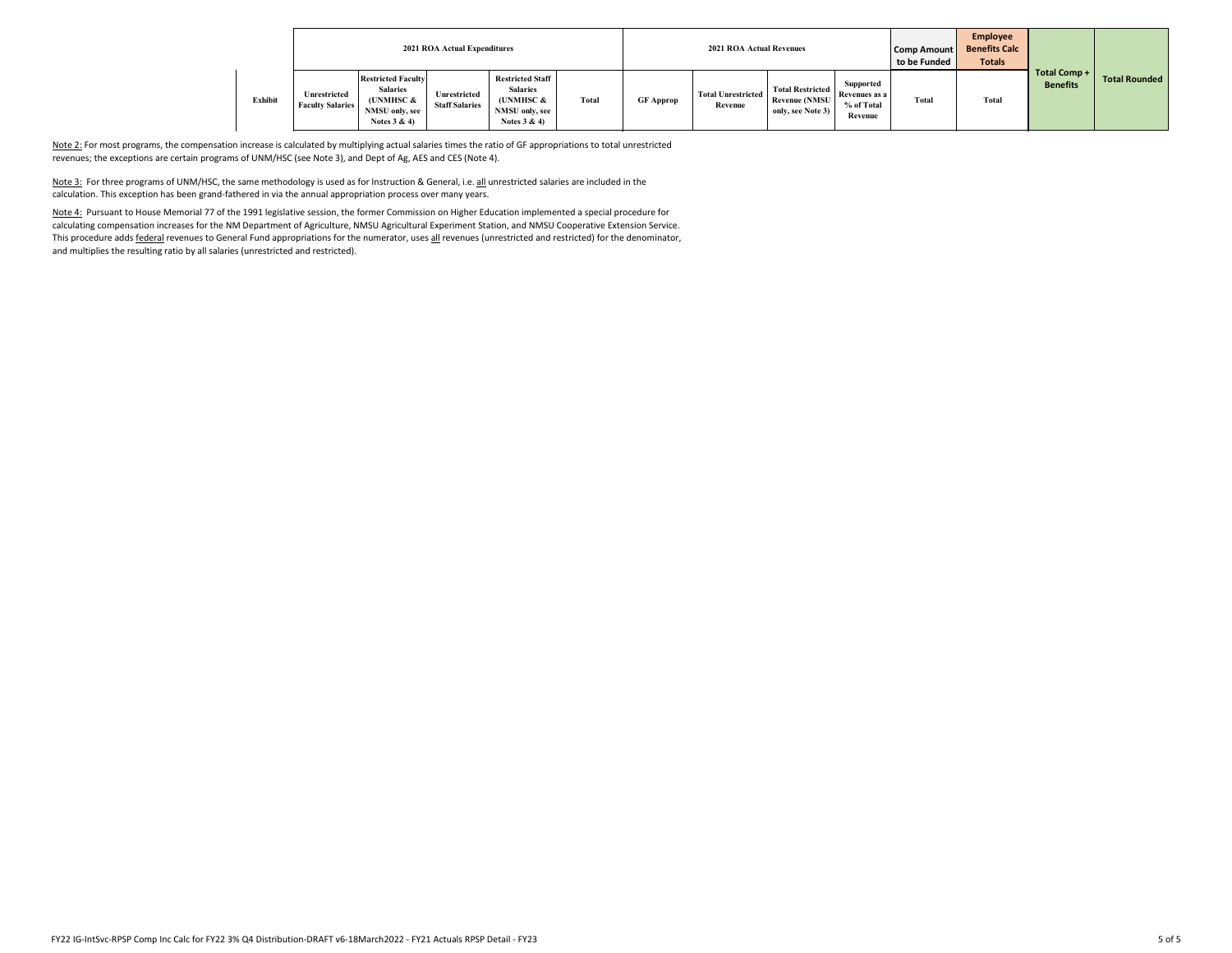|         |                                         |                                                                                              | <b>2021 ROA Actual Expenditures</b>   |                                                                                            |       |                  | <b>2021 ROA Actual Revenues</b>      |                                                               |                                                     | <b>Comp Amount</b><br>to be Funded | Employee<br><b>Benefits Calc</b><br><b>Totals</b> |                                        |               |
|---------|-----------------------------------------|----------------------------------------------------------------------------------------------|---------------------------------------|--------------------------------------------------------------------------------------------|-------|------------------|--------------------------------------|---------------------------------------------------------------|-----------------------------------------------------|------------------------------------|---------------------------------------------------|----------------------------------------|---------------|
| Exhibit | Unrestricted<br><b>Faculty Salaries</b> | <b>Restricted Faculty</b><br><b>Salaries</b><br>(UNMHSC &<br>NMSU only, see<br>Notes $3 & 4$ | Unrestricted<br><b>Staff Salaries</b> | <b>Restricted Staff</b><br><b>Salaries</b><br>(UNMHSC &<br>NMSU only, see<br>Notes $3 & 4$ | Total | <b>GF Approp</b> | <b>Total Unrestricted</b><br>Revenue | <b>Total Restricted</b><br>Revenue (NMSU<br>only, see Note 3) | Supported<br>Revenues as a<br>% of Total<br>Revenue | <b>Total</b>                       | <b>Total</b>                                      | <b>Total Comp +</b><br><b>Benefits</b> | Total Rounded |

Note 2: For most programs, the compensation increase is calculated by multiplying actual salaries times the ratio of GF appropriations to total unrestricted revenues; the exceptions are certain programs of UNM/HSC (see Note 3), and Dept of Ag, AES and CES (Note 4).

Note 3: For three programs of UNM/HSC, the same methodology is used as for Instruction & General, i.e. all unrestricted salaries are included in the calculation. This exception has been grand‐fathered in via the annual appropriation process over many years.

Note 4: Pursuant to House Memorial 77 of the 1991 legislative session, the former Commission on Higher Education implemented a special procedure for calculating compensation increases for the NM Department of Agriculture, NMSU Agricultural Experiment Station, and NMSU Cooperative Extension Service. This procedure adds federal revenues to General Fund appropriations for the numerator, uses all revenues (unrestricted and restricted) for the denominator, and multiplies the resulting ratio by all salaries (unrestricted and restricted).